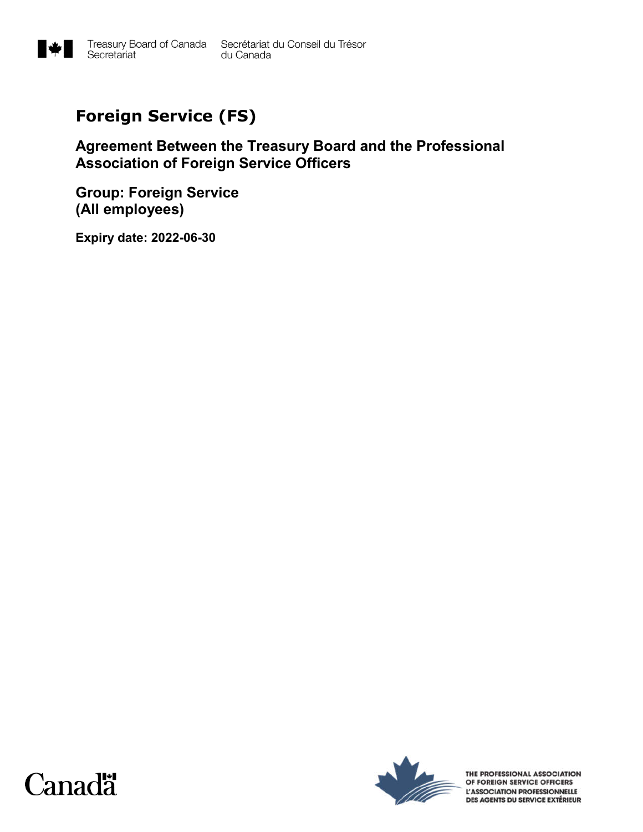

# **Foreign Service (FS)**

## **Agreement Between the Treasury Board and the Professional Association of Foreign Service Officers**

**Group: Foreign Service (All employees)**

**Expiry date: 2022-06-30**





THE PROFESSIONAL ASSOCIATION OF FOREIGN SERVICE OFFICERS L'ASSOCIATION PROFESSIONNELLE DES AGENTS DU SERVICE EXTÉRIEUR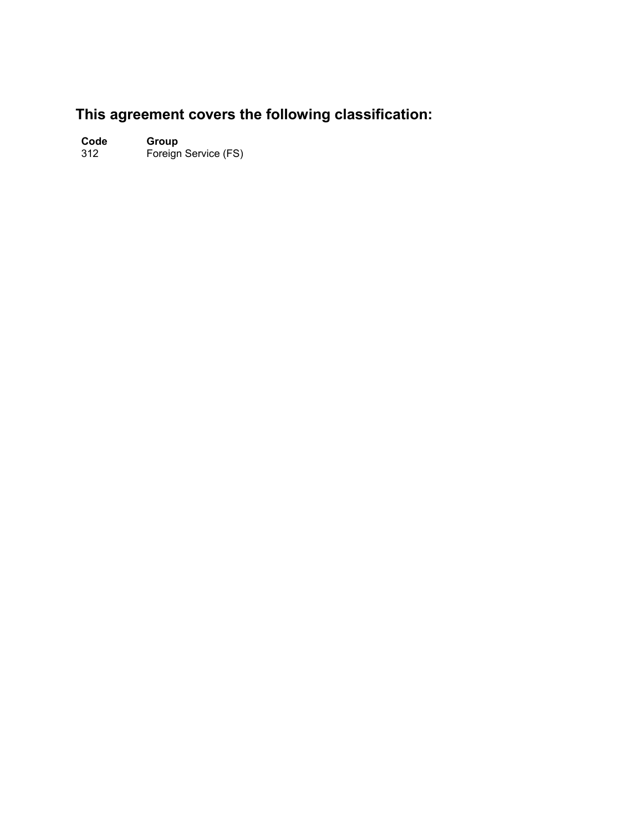## **This agreement covers the following classification:**

**Code Group**

312 Foreign Service (FS)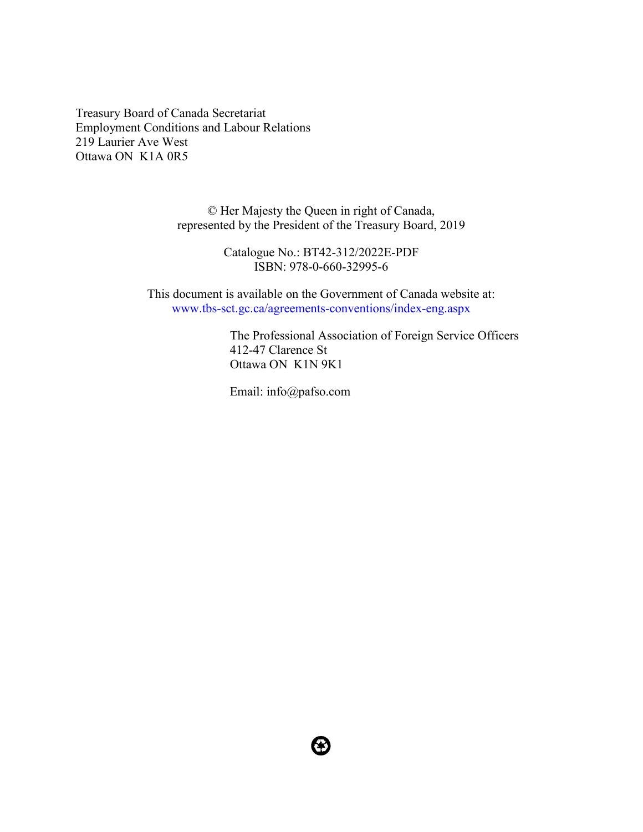Treasury Board of Canada Secretariat Employment Conditions and Labour Relations 219 Laurier Ave West Ottawa ON K1A 0R5

> © Her Majesty the Queen in right of Canada, represented by the President of the Treasury Board, 2019

> > Catalogue No.: BT42-312/2022E-PDF ISBN: 978-0-660-32995-6

This document is available on the Government of Canada website at: www.tbs-sct.gc.ca/agreements-conventions/index-eng.aspx

> The Professional Association of Foreign Service Officers 412-47 Clarence St Ottawa ON K1N 9K1

Email: info@pafso.com

8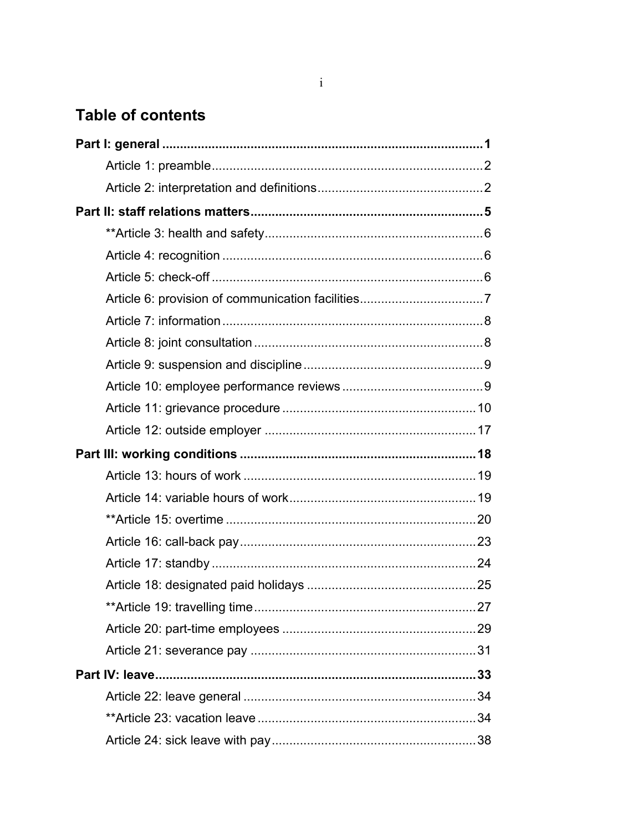## **Table of contents**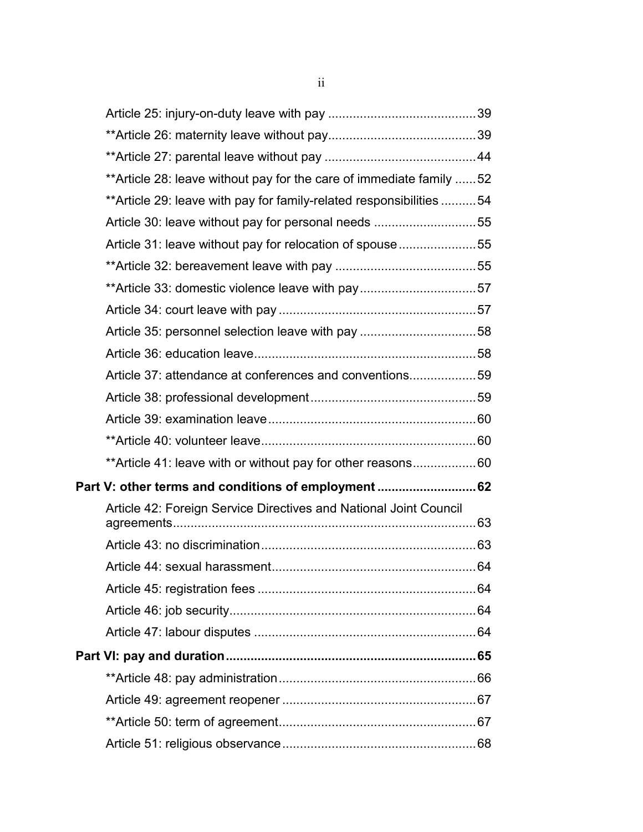| ** Article 28: leave without pay for the care of immediate family  52 |  |
|-----------------------------------------------------------------------|--|
| ** Article 29: leave with pay for family-related responsibilities  54 |  |
| Article 30: leave without pay for personal needs 55                   |  |
| Article 31: leave without pay for relocation of spouse55              |  |
|                                                                       |  |
| **Article 33: domestic violence leave with pay57                      |  |
|                                                                       |  |
| Article 35: personnel selection leave with pay 58                     |  |
|                                                                       |  |
| Article 37: attendance at conferences and conventions59               |  |
|                                                                       |  |
|                                                                       |  |
|                                                                       |  |
| ** Article 41: leave with or without pay for other reasons60          |  |
| Part V: other terms and conditions of employment 62                   |  |
| Article 42: Foreign Service Directives and National Joint Council     |  |
|                                                                       |  |
|                                                                       |  |
|                                                                       |  |
|                                                                       |  |
|                                                                       |  |
|                                                                       |  |
|                                                                       |  |
|                                                                       |  |
|                                                                       |  |
|                                                                       |  |
|                                                                       |  |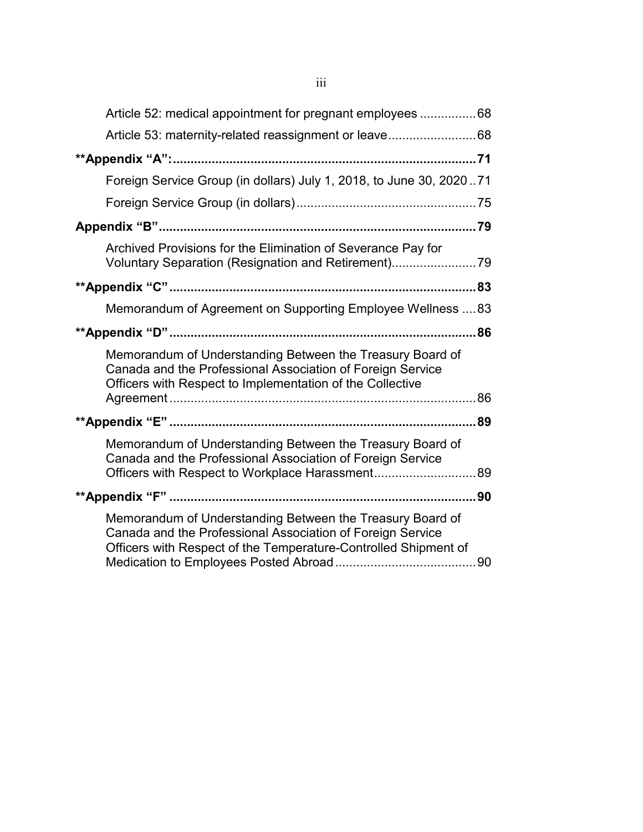| Article 52: medical appointment for pregnant employees  68                                                                                                                                 |  |
|--------------------------------------------------------------------------------------------------------------------------------------------------------------------------------------------|--|
|                                                                                                                                                                                            |  |
|                                                                                                                                                                                            |  |
| Foreign Service Group (in dollars) July 1, 2018, to June 30, 202071                                                                                                                        |  |
|                                                                                                                                                                                            |  |
|                                                                                                                                                                                            |  |
| Archived Provisions for the Elimination of Severance Pay for<br>Voluntary Separation (Resignation and Retirement)79                                                                        |  |
|                                                                                                                                                                                            |  |
| Memorandum of Agreement on Supporting Employee Wellness  83                                                                                                                                |  |
|                                                                                                                                                                                            |  |
| Memorandum of Understanding Between the Treasury Board of<br>Canada and the Professional Association of Foreign Service<br>Officers with Respect to Implementation of the Collective       |  |
|                                                                                                                                                                                            |  |
| Memorandum of Understanding Between the Treasury Board of<br>Canada and the Professional Association of Foreign Service<br>Officers with Respect to Workplace Harassment89                 |  |
|                                                                                                                                                                                            |  |
| Memorandum of Understanding Between the Treasury Board of<br>Canada and the Professional Association of Foreign Service<br>Officers with Respect of the Temperature-Controlled Shipment of |  |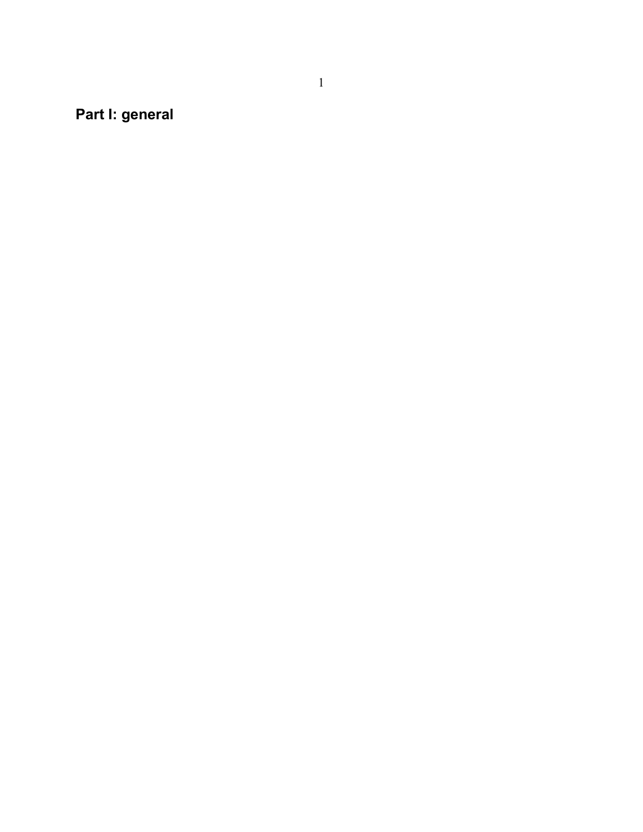**Part I: general**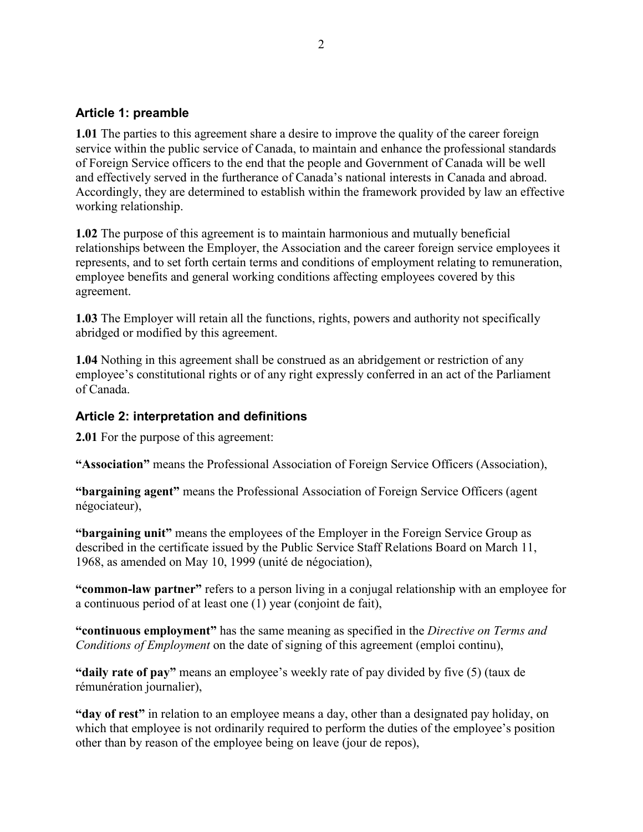### **Article 1: preamble**

**1.01** The parties to this agreement share a desire to improve the quality of the career foreign service within the public service of Canada, to maintain and enhance the professional standards of Foreign Service officers to the end that the people and Government of Canada will be well and effectively served in the furtherance of Canada's national interests in Canada and abroad. Accordingly, they are determined to establish within the framework provided by law an effective working relationship.

**1.02** The purpose of this agreement is to maintain harmonious and mutually beneficial relationships between the Employer, the Association and the career foreign service employees it represents, and to set forth certain terms and conditions of employment relating to remuneration, employee benefits and general working conditions affecting employees covered by this agreement.

**1.03** The Employer will retain all the functions, rights, powers and authority not specifically abridged or modified by this agreement.

**1.04** Nothing in this agreement shall be construed as an abridgement or restriction of any employee's constitutional rights or of any right expressly conferred in an act of the Parliament of Canada.

### **Article 2: interpretation and definitions**

**2.01** For the purpose of this agreement:

**"Association"** means the Professional Association of Foreign Service Officers (Association),

**"bargaining agent"** means the Professional Association of Foreign Service Officers (agent négociateur),

**"bargaining unit"** means the employees of the Employer in the Foreign Service Group as described in the certificate issued by the Public Service Staff Relations Board on March 11, 1968, as amended on May 10, 1999 (unité de négociation),

**"common-law partner"** refers to a person living in a conjugal relationship with an employee for a continuous period of at least one (1) year (conjoint de fait),

**"continuous employment"** has the same meaning as specified in the *Directive on Terms and Conditions of Employment* on the date of signing of this agreement (emploi continu),

**"daily rate of pay"** means an employee's weekly rate of pay divided by five (5) (taux de rémunération journalier),

**"day of rest"** in relation to an employee means a day, other than a designated pay holiday, on which that employee is not ordinarily required to perform the duties of the employee's position other than by reason of the employee being on leave (jour de repos),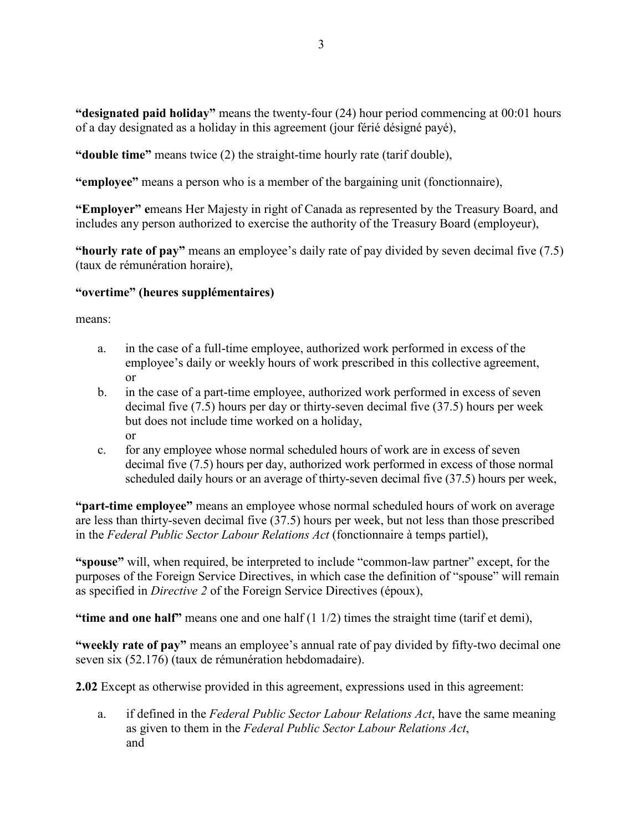**"designated paid holiday"** means the twenty-four (24) hour period commencing at 00:01 hours of a day designated as a holiday in this agreement (jour férié désigné payé),

**"double time"** means twice (2) the straight-time hourly rate (tarif double),

**"employee"** means a person who is a member of the bargaining unit (fonctionnaire),

**"Employer" e**means Her Majesty in right of Canada as represented by the Treasury Board, and includes any person authorized to exercise the authority of the Treasury Board (employeur),

**"hourly rate of pay"** means an employee's daily rate of pay divided by seven decimal five (7.5) (taux de rémunération horaire),

#### **"overtime" (heures supplémentaires)**

means:

- a. in the case of a full-time employee, authorized work performed in excess of the employee's daily or weekly hours of work prescribed in this collective agreement, or
- b. in the case of a part-time employee, authorized work performed in excess of seven decimal five (7.5) hours per day or thirty-seven decimal five (37.5) hours per week but does not include time worked on a holiday, or
- c. for any employee whose normal scheduled hours of work are in excess of seven decimal five (7.5) hours per day, authorized work performed in excess of those normal scheduled daily hours or an average of thirty-seven decimal five (37.5) hours per week,

**"part-time employee"** means an employee whose normal scheduled hours of work on average are less than thirty-seven decimal five (37.5) hours per week, but not less than those prescribed in the *Federal Public Sector Labour Relations Act* (fonctionnaire à temps partiel),

**"spouse"** will, when required, be interpreted to include "common-law partner" except, for the purposes of the Foreign Service Directives, in which case the definition of "spouse" will remain as specified in *Directive 2* of the Foreign Service Directives (époux),

**"time and one half"** means one and one half (1 1/2) times the straight time (tarif et demi),

**"weekly rate of pay"** means an employee's annual rate of pay divided by fifty-two decimal one seven six (52.176) (taux de rémunération hebdomadaire).

**2.02** Except as otherwise provided in this agreement, expressions used in this agreement:

a. if defined in the *Federal Public Sector Labour Relations Act*, have the same meaning as given to them in the *Federal Public Sector Labour Relations Act*, and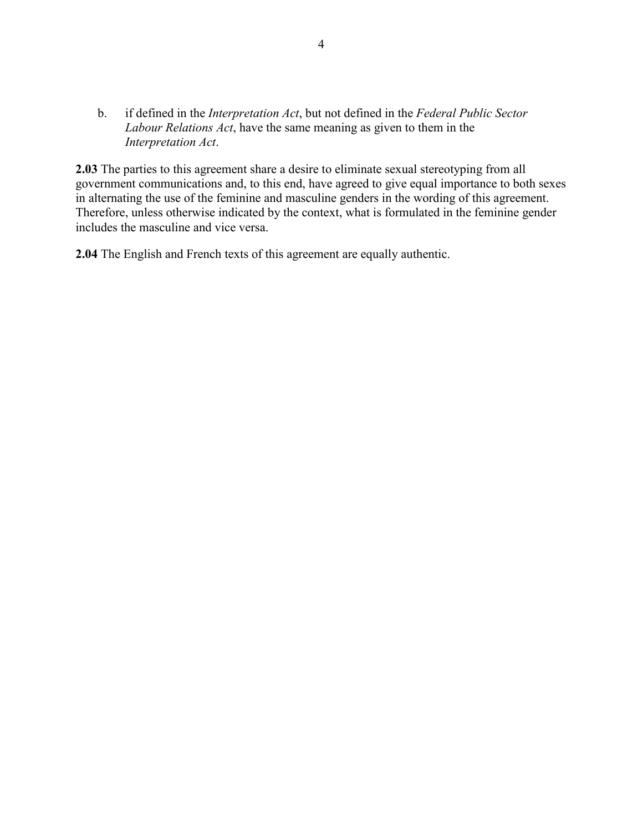b. if defined in the *Interpretation Act*, but not defined in the *Federal Public Sector Labour Relations Act*, have the same meaning as given to them in the *Interpretation Act*.

**2.03** The parties to this agreement share a desire to eliminate sexual stereotyping from all government communications and, to this end, have agreed to give equal importance to both sexes in alternating the use of the feminine and masculine genders in the wording of this agreement. Therefore, unless otherwise indicated by the context, what is formulated in the feminine gender includes the masculine and vice versa.

**2.04** The English and French texts of this agreement are equally authentic.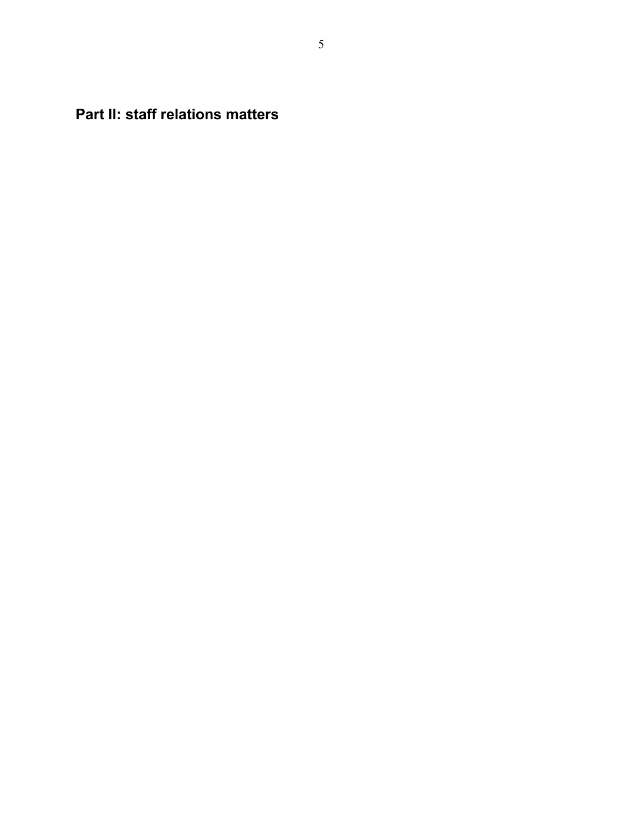**Part II: staff relations matters**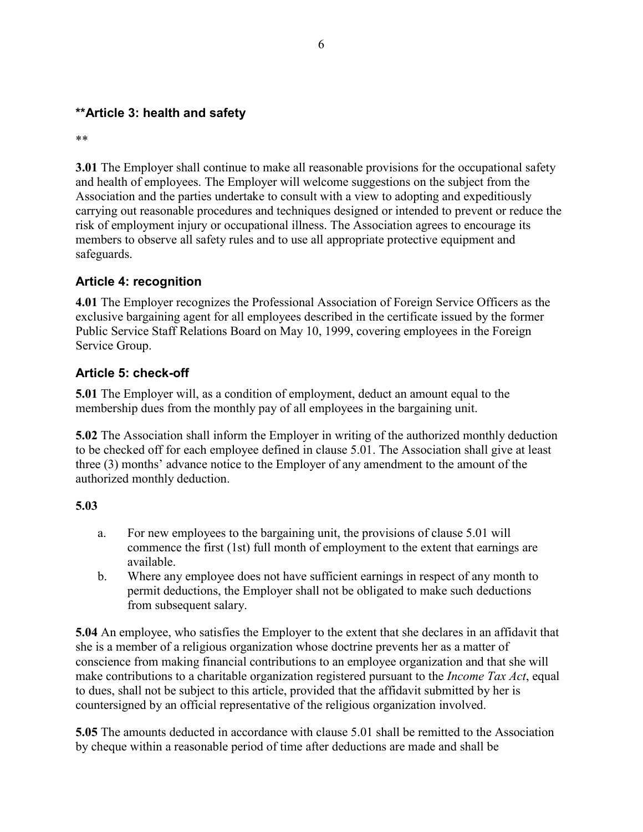## **\*\*Article 3: health and safety**

\*\*

**3.01** The Employer shall continue to make all reasonable provisions for the occupational safety and health of employees. The Employer will welcome suggestions on the subject from the Association and the parties undertake to consult with a view to adopting and expeditiously carrying out reasonable procedures and techniques designed or intended to prevent or reduce the risk of employment injury or occupational illness. The Association agrees to encourage its members to observe all safety rules and to use all appropriate protective equipment and safeguards.

## **Article 4: recognition**

**4.01** The Employer recognizes the Professional Association of Foreign Service Officers as the exclusive bargaining agent for all employees described in the certificate issued by the former Public Service Staff Relations Board on May 10, 1999, covering employees in the Foreign Service Group.

## **Article 5: check-off**

**5.01** The Employer will, as a condition of employment, deduct an amount equal to the membership dues from the monthly pay of all employees in the bargaining unit.

**5.02** The Association shall inform the Employer in writing of the authorized monthly deduction to be checked off for each employee defined in clause 5.01. The Association shall give at least three (3) months' advance notice to the Employer of any amendment to the amount of the authorized monthly deduction.

## **5.03**

- a. For new employees to the bargaining unit, the provisions of clause 5.01 will commence the first (1st) full month of employment to the extent that earnings are available.
- b. Where any employee does not have sufficient earnings in respect of any month to permit deductions, the Employer shall not be obligated to make such deductions from subsequent salary.

**5.04** An employee, who satisfies the Employer to the extent that she declares in an affidavit that she is a member of a religious organization whose doctrine prevents her as a matter of conscience from making financial contributions to an employee organization and that she will make contributions to a charitable organization registered pursuant to the *Income Tax Act*, equal to dues, shall not be subject to this article, provided that the affidavit submitted by her is countersigned by an official representative of the religious organization involved.

**5.05** The amounts deducted in accordance with clause 5.01 shall be remitted to the Association by cheque within a reasonable period of time after deductions are made and shall be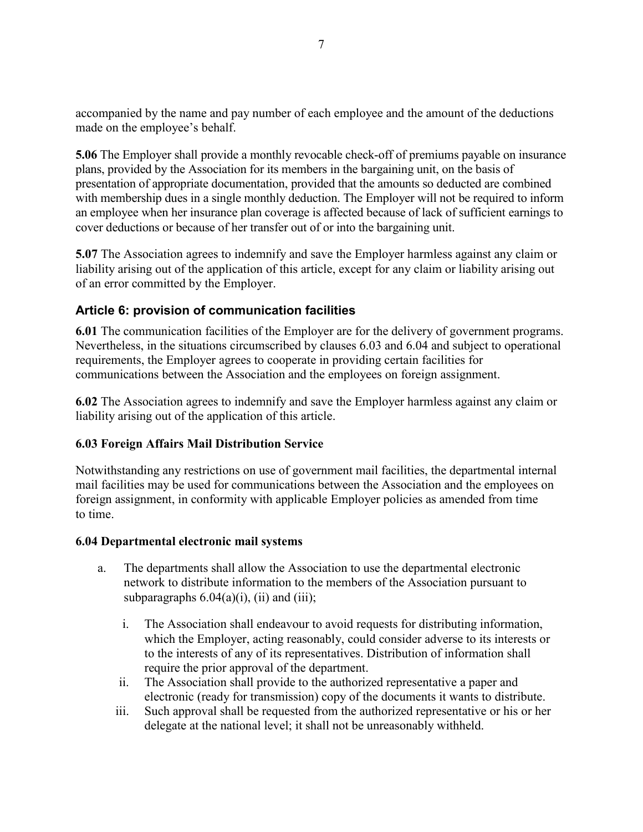accompanied by the name and pay number of each employee and the amount of the deductions made on the employee's behalf.

**5.06** The Employer shall provide a monthly revocable check-off of premiums payable on insurance plans, provided by the Association for its members in the bargaining unit, on the basis of presentation of appropriate documentation, provided that the amounts so deducted are combined with membership dues in a single monthly deduction. The Employer will not be required to inform an employee when her insurance plan coverage is affected because of lack of sufficient earnings to cover deductions or because of her transfer out of or into the bargaining unit.

**5.07** The Association agrees to indemnify and save the Employer harmless against any claim or liability arising out of the application of this article, except for any claim or liability arising out of an error committed by the Employer.

## **Article 6: provision of communication facilities**

**6.01** The communication facilities of the Employer are for the delivery of government programs. Nevertheless, in the situations circumscribed by clauses 6.03 and 6.04 and subject to operational requirements, the Employer agrees to cooperate in providing certain facilities for communications between the Association and the employees on foreign assignment.

**6.02** The Association agrees to indemnify and save the Employer harmless against any claim or liability arising out of the application of this article.

#### **6.03 Foreign Affairs Mail Distribution Service**

Notwithstanding any restrictions on use of government mail facilities, the departmental internal mail facilities may be used for communications between the Association and the employees on foreign assignment, in conformity with applicable Employer policies as amended from time to time.

#### **6.04 Departmental electronic mail systems**

- a. The departments shall allow the Association to use the departmental electronic network to distribute information to the members of the Association pursuant to subparagraphs  $6.04(a)(i)$ , (ii) and (iii);
	- i. The Association shall endeavour to avoid requests for distributing information, which the Employer, acting reasonably, could consider adverse to its interests or to the interests of any of its representatives. Distribution of information shall require the prior approval of the department.
	- ii. The Association shall provide to the authorized representative a paper and electronic (ready for transmission) copy of the documents it wants to distribute.
	- iii. Such approval shall be requested from the authorized representative or his or her delegate at the national level; it shall not be unreasonably withheld.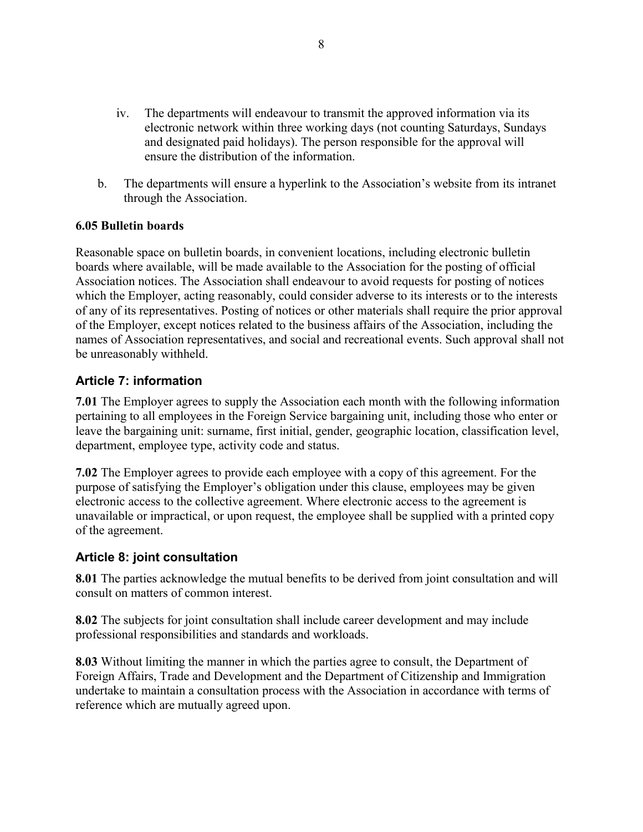- iv. The departments will endeavour to transmit the approved information via its electronic network within three working days (not counting Saturdays, Sundays and designated paid holidays). The person responsible for the approval will ensure the distribution of the information.
- b. The departments will ensure a hyperlink to the Association's website from its intranet through the Association.

#### **6.05 Bulletin boards**

Reasonable space on bulletin boards, in convenient locations, including electronic bulletin boards where available, will be made available to the Association for the posting of official Association notices. The Association shall endeavour to avoid requests for posting of notices which the Employer, acting reasonably, could consider adverse to its interests or to the interests of any of its representatives. Posting of notices or other materials shall require the prior approval of the Employer, except notices related to the business affairs of the Association, including the names of Association representatives, and social and recreational events. Such approval shall not be unreasonably withheld.

## **Article 7: information**

**7.01** The Employer agrees to supply the Association each month with the following information pertaining to all employees in the Foreign Service bargaining unit, including those who enter or leave the bargaining unit: surname, first initial, gender, geographic location, classification level, department, employee type, activity code and status.

**7.02** The Employer agrees to provide each employee with a copy of this agreement. For the purpose of satisfying the Employer's obligation under this clause, employees may be given electronic access to the collective agreement. Where electronic access to the agreement is unavailable or impractical, or upon request, the employee shall be supplied with a printed copy of the agreement.

#### **Article 8: joint consultation**

**8.01** The parties acknowledge the mutual benefits to be derived from joint consultation and will consult on matters of common interest.

**8.02** The subjects for joint consultation shall include career development and may include professional responsibilities and standards and workloads.

**8.03** Without limiting the manner in which the parties agree to consult, the Department of Foreign Affairs, Trade and Development and the Department of Citizenship and Immigration undertake to maintain a consultation process with the Association in accordance with terms of reference which are mutually agreed upon.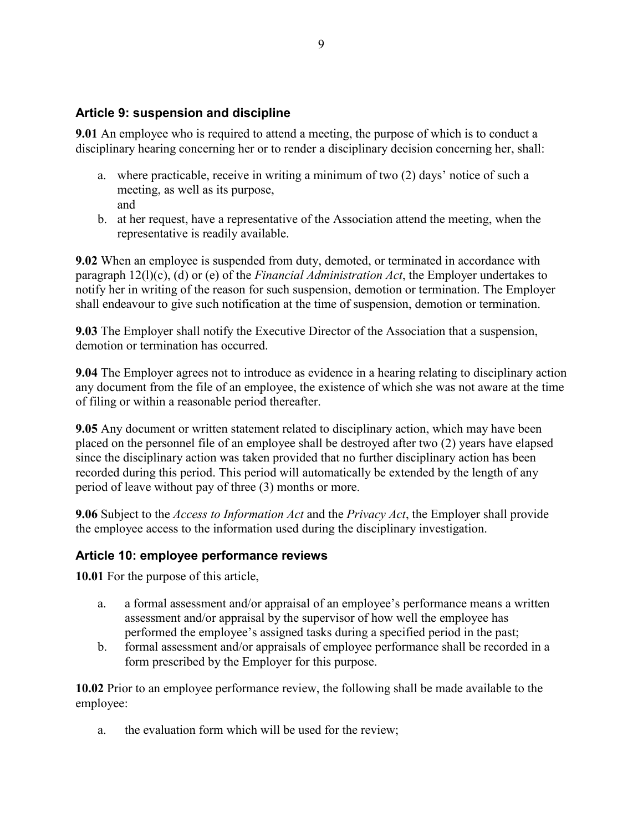## **Article 9: suspension and discipline**

**9.01** An employee who is required to attend a meeting, the purpose of which is to conduct a disciplinary hearing concerning her or to render a disciplinary decision concerning her, shall:

- a. where practicable, receive in writing a minimum of two (2) days' notice of such a meeting, as well as its purpose, and
- b. at her request, have a representative of the Association attend the meeting, when the representative is readily available.

**9.02** When an employee is suspended from duty, demoted, or terminated in accordance with paragraph 12(l)(c), (d) or (e) of the *Financial Administration Act*, the Employer undertakes to notify her in writing of the reason for such suspension, demotion or termination. The Employer shall endeavour to give such notification at the time of suspension, demotion or termination.

**9.03** The Employer shall notify the Executive Director of the Association that a suspension, demotion or termination has occurred.

**9.04** The Employer agrees not to introduce as evidence in a hearing relating to disciplinary action any document from the file of an employee, the existence of which she was not aware at the time of filing or within a reasonable period thereafter.

**9.05** Any document or written statement related to disciplinary action, which may have been placed on the personnel file of an employee shall be destroyed after two (2) years have elapsed since the disciplinary action was taken provided that no further disciplinary action has been recorded during this period. This period will automatically be extended by the length of any period of leave without pay of three (3) months or more.

**9.06** Subject to the *Access to Information Act* and the *Privacy Act*, the Employer shall provide the employee access to the information used during the disciplinary investigation.

## **Article 10: employee performance reviews**

**10.01** For the purpose of this article,

- a. a formal assessment and/or appraisal of an employee's performance means a written assessment and/or appraisal by the supervisor of how well the employee has performed the employee's assigned tasks during a specified period in the past;
- b. formal assessment and/or appraisals of employee performance shall be recorded in a form prescribed by the Employer for this purpose.

**10.02** Prior to an employee performance review, the following shall be made available to the employee:

a. the evaluation form which will be used for the review;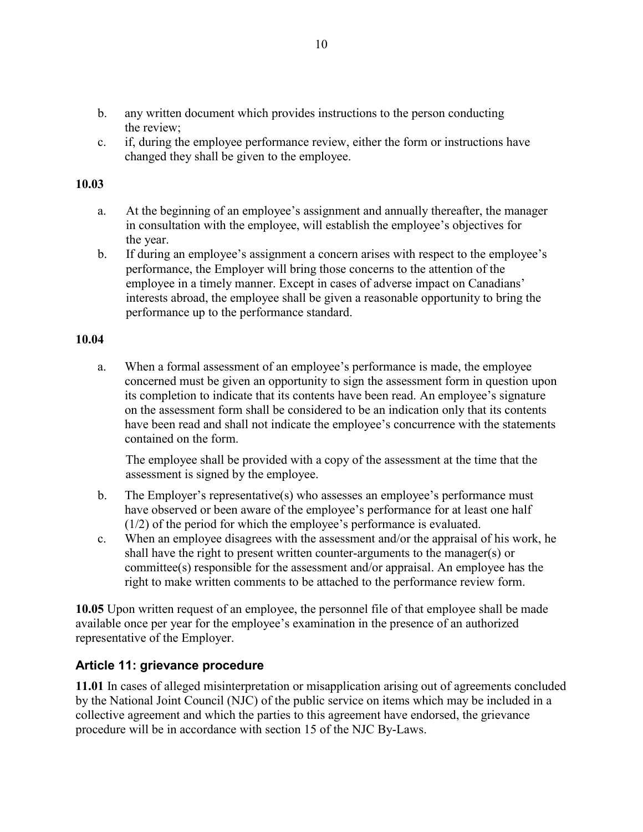- b. any written document which provides instructions to the person conducting the review;
- c. if, during the employee performance review, either the form or instructions have changed they shall be given to the employee.

### **10.03**

- a. At the beginning of an employee's assignment and annually thereafter, the manager in consultation with the employee, will establish the employee's objectives for the year.
- b. If during an employee's assignment a concern arises with respect to the employee's performance, the Employer will bring those concerns to the attention of the employee in a timely manner. Except in cases of adverse impact on Canadians' interests abroad, the employee shall be given a reasonable opportunity to bring the performance up to the performance standard.

#### **10.04**

a. When a formal assessment of an employee's performance is made, the employee concerned must be given an opportunity to sign the assessment form in question upon its completion to indicate that its contents have been read. An employee's signature on the assessment form shall be considered to be an indication only that its contents have been read and shall not indicate the employee's concurrence with the statements contained on the form.

The employee shall be provided with a copy of the assessment at the time that the assessment is signed by the employee.

- b. The Employer's representative(s) who assesses an employee's performance must have observed or been aware of the employee's performance for at least one half (1/2) of the period for which the employee's performance is evaluated.
- c. When an employee disagrees with the assessment and/or the appraisal of his work, he shall have the right to present written counter-arguments to the manager(s) or committee(s) responsible for the assessment and/or appraisal. An employee has the right to make written comments to be attached to the performance review form.

**10.05** Upon written request of an employee, the personnel file of that employee shall be made available once per year for the employee's examination in the presence of an authorized representative of the Employer.

## **Article 11: grievance procedure**

**11.01** In cases of alleged misinterpretation or misapplication arising out of agreements concluded by the National Joint Council (NJC) of the public service on items which may be included in a collective agreement and which the parties to this agreement have endorsed, the grievance procedure will be in accordance with section 15 of the NJC By-Laws.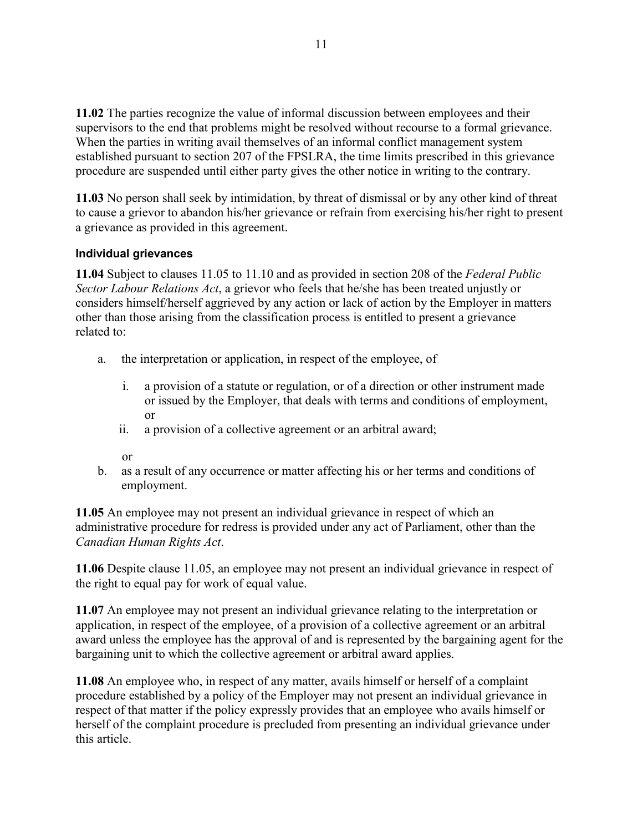**11.02** The parties recognize the value of informal discussion between employees and their supervisors to the end that problems might be resolved without recourse to a formal grievance. When the parties in writing avail themselves of an informal conflict management system established pursuant to section 207 of the FPSLRA, the time limits prescribed in this grievance procedure are suspended until either party gives the other notice in writing to the contrary.

**11.03** No person shall seek by intimidation, by threat of dismissal or by any other kind of threat to cause a grievor to abandon his/her grievance or refrain from exercising his/her right to present a grievance as provided in this agreement.

#### **Individual grievances**

**11.04** Subject to clauses 11.05 to 11.10 and as provided in section 208 of the *Federal Public Sector Labour Relations Act*, a grievor who feels that he/she has been treated unjustly or considers himself/herself aggrieved by any action or lack of action by the Employer in matters other than those arising from the classification process is entitled to present a grievance related to:

- a. the interpretation or application, in respect of the employee, of
	- i. a provision of a statute or regulation, or of a direction or other instrument made or issued by the Employer, that deals with terms and conditions of employment, or
	- ii. a provision of a collective agreement or an arbitral award;
	- or
- b. as a result of any occurrence or matter affecting his or her terms and conditions of employment.

**11.05** An employee may not present an individual grievance in respect of which an administrative procedure for redress is provided under any act of Parliament, other than the *Canadian Human Rights Act*.

**11.06** Despite clause 11.05, an employee may not present an individual grievance in respect of the right to equal pay for work of equal value.

**11.07** An employee may not present an individual grievance relating to the interpretation or application, in respect of the employee, of a provision of a collective agreement or an arbitral award unless the employee has the approval of and is represented by the bargaining agent for the bargaining unit to which the collective agreement or arbitral award applies.

**11.08** An employee who, in respect of any matter, avails himself or herself of a complaint procedure established by a policy of the Employer may not present an individual grievance in respect of that matter if the policy expressly provides that an employee who avails himself or herself of the complaint procedure is precluded from presenting an individual grievance under this article.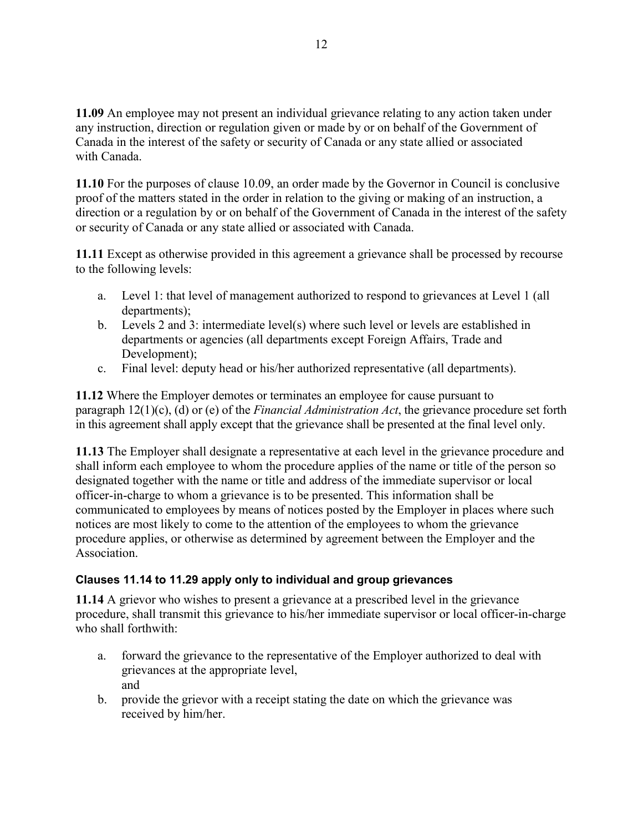**11.09** An employee may not present an individual grievance relating to any action taken under any instruction, direction or regulation given or made by or on behalf of the Government of Canada in the interest of the safety or security of Canada or any state allied or associated with Canada.

**11.10** For the purposes of clause 10.09, an order made by the Governor in Council is conclusive proof of the matters stated in the order in relation to the giving or making of an instruction, a direction or a regulation by or on behalf of the Government of Canada in the interest of the safety or security of Canada or any state allied or associated with Canada.

**11.11** Except as otherwise provided in this agreement a grievance shall be processed by recourse to the following levels:

- a. Level 1: that level of management authorized to respond to grievances at Level 1 (all departments);
- b. Levels 2 and 3: intermediate level(s) where such level or levels are established in departments or agencies (all departments except Foreign Affairs, Trade and Development);
- c. Final level: deputy head or his/her authorized representative (all departments).

**11.12** Where the Employer demotes or terminates an employee for cause pursuant to paragraph 12(1)(c), (d) or (e) of the *Financial Administration Act*, the grievance procedure set forth in this agreement shall apply except that the grievance shall be presented at the final level only.

**11.13** The Employer shall designate a representative at each level in the grievance procedure and shall inform each employee to whom the procedure applies of the name or title of the person so designated together with the name or title and address of the immediate supervisor or local officer-in-charge to whom a grievance is to be presented. This information shall be communicated to employees by means of notices posted by the Employer in places where such notices are most likely to come to the attention of the employees to whom the grievance procedure applies, or otherwise as determined by agreement between the Employer and the Association.

## **Clauses 11.14 to 11.29 apply only to individual and group grievances**

**11.14** A grievor who wishes to present a grievance at a prescribed level in the grievance procedure, shall transmit this grievance to his/her immediate supervisor or local officer-in-charge who shall forthwith:

- a. forward the grievance to the representative of the Employer authorized to deal with grievances at the appropriate level, and
- b. provide the grievor with a receipt stating the date on which the grievance was received by him/her.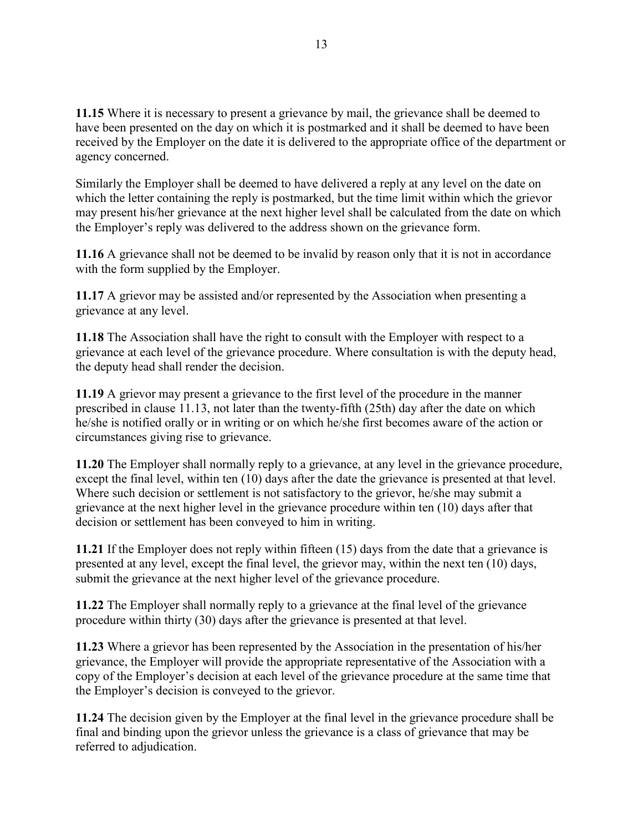**11.15** Where it is necessary to present a grievance by mail, the grievance shall be deemed to have been presented on the day on which it is postmarked and it shall be deemed to have been received by the Employer on the date it is delivered to the appropriate office of the department or agency concerned.

Similarly the Employer shall be deemed to have delivered a reply at any level on the date on which the letter containing the reply is postmarked, but the time limit within which the grievor may present his/her grievance at the next higher level shall be calculated from the date on which the Employer's reply was delivered to the address shown on the grievance form.

**11.16** A grievance shall not be deemed to be invalid by reason only that it is not in accordance with the form supplied by the Employer.

**11.17** A grievor may be assisted and/or represented by the Association when presenting a grievance at any level.

**11.18** The Association shall have the right to consult with the Employer with respect to a grievance at each level of the grievance procedure. Where consultation is with the deputy head, the deputy head shall render the decision.

**11.19** A grievor may present a grievance to the first level of the procedure in the manner prescribed in clause 11.13, not later than the twenty-fifth (25th) day after the date on which he/she is notified orally or in writing or on which he/she first becomes aware of the action or circumstances giving rise to grievance.

**11.20** The Employer shall normally reply to a grievance, at any level in the grievance procedure, except the final level, within ten (10) days after the date the grievance is presented at that level. Where such decision or settlement is not satisfactory to the grievor, he/she may submit a grievance at the next higher level in the grievance procedure within ten (10) days after that decision or settlement has been conveyed to him in writing.

**11.21** If the Employer does not reply within fifteen (15) days from the date that a grievance is presented at any level, except the final level, the grievor may, within the next ten (10) days, submit the grievance at the next higher level of the grievance procedure.

**11.22** The Employer shall normally reply to a grievance at the final level of the grievance procedure within thirty (30) days after the grievance is presented at that level.

**11.23** Where a grievor has been represented by the Association in the presentation of his/her grievance, the Employer will provide the appropriate representative of the Association with a copy of the Employer's decision at each level of the grievance procedure at the same time that the Employer's decision is conveyed to the grievor.

**11.24** The decision given by the Employer at the final level in the grievance procedure shall be final and binding upon the grievor unless the grievance is a class of grievance that may be referred to adjudication.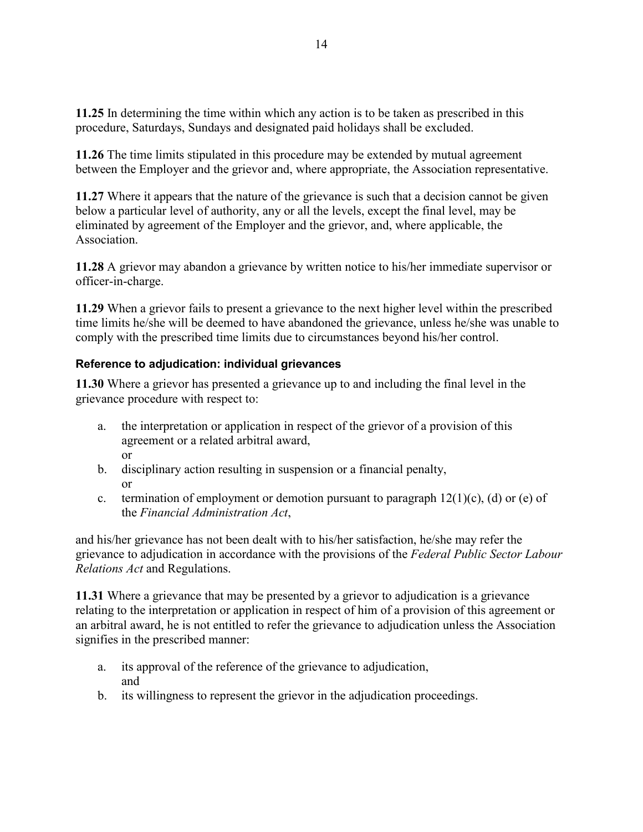**11.25** In determining the time within which any action is to be taken as prescribed in this procedure, Saturdays, Sundays and designated paid holidays shall be excluded.

**11.26** The time limits stipulated in this procedure may be extended by mutual agreement between the Employer and the grievor and, where appropriate, the Association representative.

**11.27** Where it appears that the nature of the grievance is such that a decision cannot be given below a particular level of authority, any or all the levels, except the final level, may be eliminated by agreement of the Employer and the grievor, and, where applicable, the Association.

**11.28** A grievor may abandon a grievance by written notice to his/her immediate supervisor or officer-in-charge.

**11.29** When a grievor fails to present a grievance to the next higher level within the prescribed time limits he/she will be deemed to have abandoned the grievance, unless he/she was unable to comply with the prescribed time limits due to circumstances beyond his/her control.

## **Reference to adjudication: individual grievances**

**11.30** Where a grievor has presented a grievance up to and including the final level in the grievance procedure with respect to:

- a. the interpretation or application in respect of the grievor of a provision of this agreement or a related arbitral award, or
- b. disciplinary action resulting in suspension or a financial penalty, or
- c. termination of employment or demotion pursuant to paragraph  $12(1)(c)$ , (d) or (e) of the *Financial Administration Act*,

and his/her grievance has not been dealt with to his/her satisfaction, he/she may refer the grievance to adjudication in accordance with the provisions of the *Federal Public Sector Labour Relations Act* and Regulations.

**11.31** Where a grievance that may be presented by a grievor to adjudication is a grievance relating to the interpretation or application in respect of him of a provision of this agreement or an arbitral award, he is not entitled to refer the grievance to adjudication unless the Association signifies in the prescribed manner:

- a. its approval of the reference of the grievance to adjudication, and
- b. its willingness to represent the grievor in the adjudication proceedings.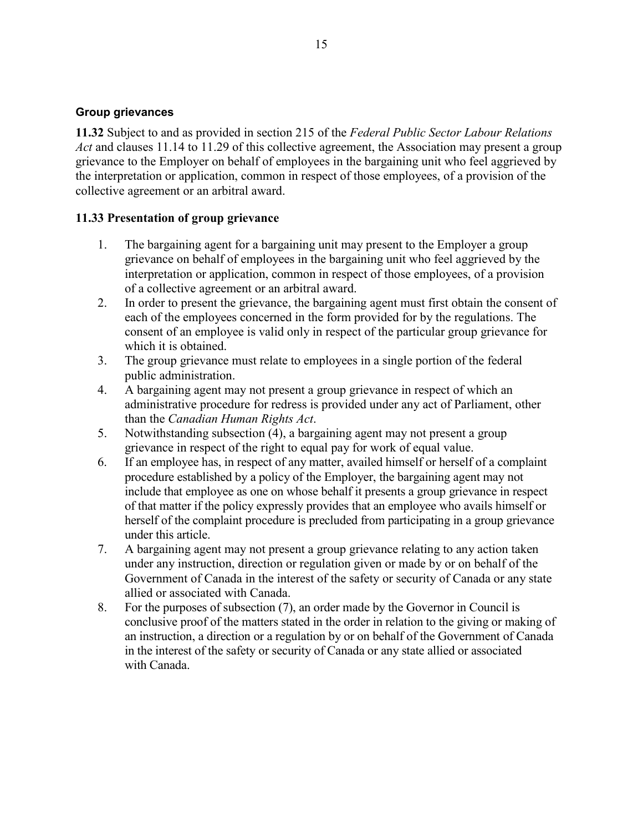#### **Group grievances**

**11.32** Subject to and as provided in section 215 of the *Federal Public Sector Labour Relations Act* and clauses 11.14 to 11.29 of this collective agreement, the Association may present a group grievance to the Employer on behalf of employees in the bargaining unit who feel aggrieved by the interpretation or application, common in respect of those employees, of a provision of the collective agreement or an arbitral award.

#### **11.33 Presentation of group grievance**

- 1. The bargaining agent for a bargaining unit may present to the Employer a group grievance on behalf of employees in the bargaining unit who feel aggrieved by the interpretation or application, common in respect of those employees, of a provision of a collective agreement or an arbitral award.
- 2. In order to present the grievance, the bargaining agent must first obtain the consent of each of the employees concerned in the form provided for by the regulations. The consent of an employee is valid only in respect of the particular group grievance for which it is obtained.
- 3. The group grievance must relate to employees in a single portion of the federal public administration.
- 4. A bargaining agent may not present a group grievance in respect of which an administrative procedure for redress is provided under any act of Parliament, other than the *Canadian Human Rights Act*.
- 5. Notwithstanding subsection (4), a bargaining agent may not present a group grievance in respect of the right to equal pay for work of equal value.
- 6. If an employee has, in respect of any matter, availed himself or herself of a complaint procedure established by a policy of the Employer, the bargaining agent may not include that employee as one on whose behalf it presents a group grievance in respect of that matter if the policy expressly provides that an employee who avails himself or herself of the complaint procedure is precluded from participating in a group grievance under this article.
- 7. A bargaining agent may not present a group grievance relating to any action taken under any instruction, direction or regulation given or made by or on behalf of the Government of Canada in the interest of the safety or security of Canada or any state allied or associated with Canada.
- 8. For the purposes of subsection (7), an order made by the Governor in Council is conclusive proof of the matters stated in the order in relation to the giving or making of an instruction, a direction or a regulation by or on behalf of the Government of Canada in the interest of the safety or security of Canada or any state allied or associated with Canada.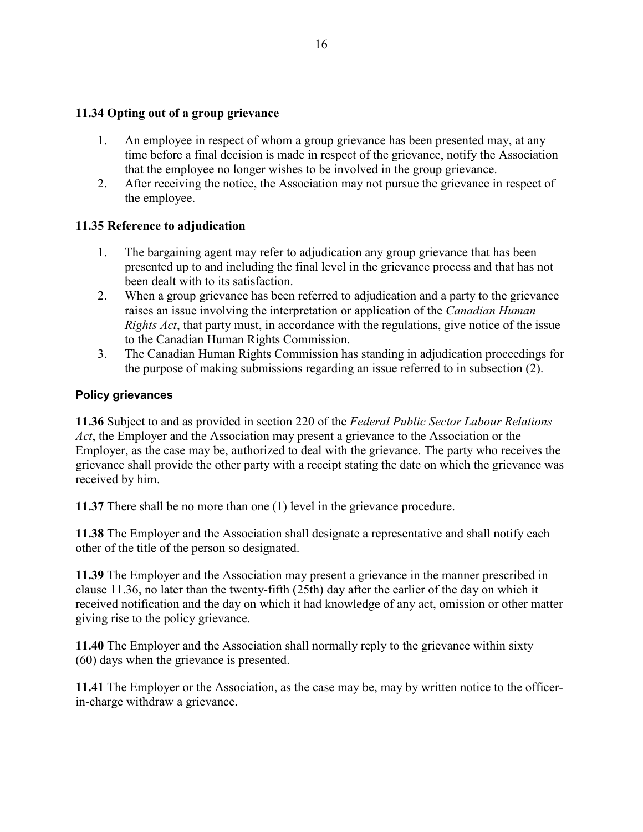#### **11.34 Opting out of a group grievance**

- 1. An employee in respect of whom a group grievance has been presented may, at any time before a final decision is made in respect of the grievance, notify the Association that the employee no longer wishes to be involved in the group grievance.
- 2. After receiving the notice, the Association may not pursue the grievance in respect of the employee.

#### **11.35 Reference to adjudication**

- 1. The bargaining agent may refer to adjudication any group grievance that has been presented up to and including the final level in the grievance process and that has not been dealt with to its satisfaction.
- 2. When a group grievance has been referred to adjudication and a party to the grievance raises an issue involving the interpretation or application of the *Canadian Human Rights Act*, that party must, in accordance with the regulations, give notice of the issue to the Canadian Human Rights Commission.
- 3. The Canadian Human Rights Commission has standing in adjudication proceedings for the purpose of making submissions regarding an issue referred to in subsection (2).

#### **Policy grievances**

**11.36** Subject to and as provided in section 220 of the *Federal Public Sector Labour Relations Act*, the Employer and the Association may present a grievance to the Association or the Employer, as the case may be, authorized to deal with the grievance. The party who receives the grievance shall provide the other party with a receipt stating the date on which the grievance was received by him.

**11.37** There shall be no more than one (1) level in the grievance procedure.

**11.38** The Employer and the Association shall designate a representative and shall notify each other of the title of the person so designated.

**11.39** The Employer and the Association may present a grievance in the manner prescribed in clause 11.36, no later than the twenty-fifth (25th) day after the earlier of the day on which it received notification and the day on which it had knowledge of any act, omission or other matter giving rise to the policy grievance.

**11.40** The Employer and the Association shall normally reply to the grievance within sixty (60) days when the grievance is presented.

**11.41** The Employer or the Association, as the case may be, may by written notice to the officerin-charge withdraw a grievance.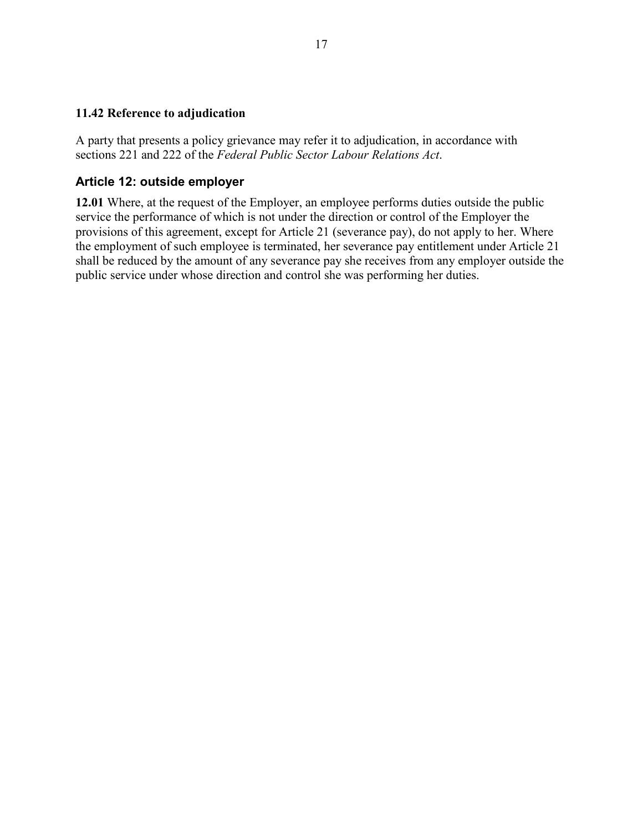## **11.42 Reference to adjudication**

A party that presents a policy grievance may refer it to adjudication, in accordance with sections 221 and 222 of the *Federal Public Sector Labour Relations Act*.

## **Article 12: outside employer**

**12.01** Where, at the request of the Employer, an employee performs duties outside the public service the performance of which is not under the direction or control of the Employer the provisions of this agreement, except for Article 21 (severance pay), do not apply to her. Where the employment of such employee is terminated, her severance pay entitlement under Article 21 shall be reduced by the amount of any severance pay she receives from any employer outside the public service under whose direction and control she was performing her duties.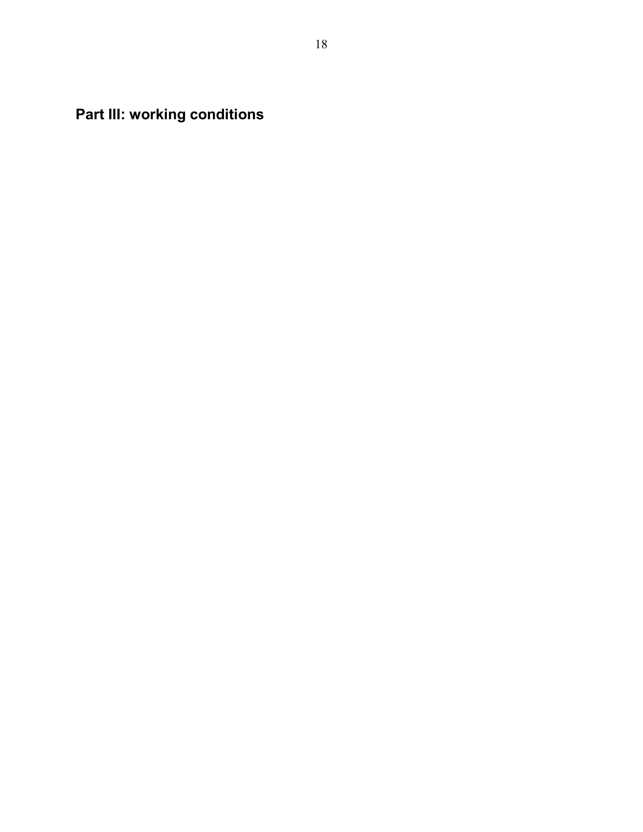**Part III: working conditions**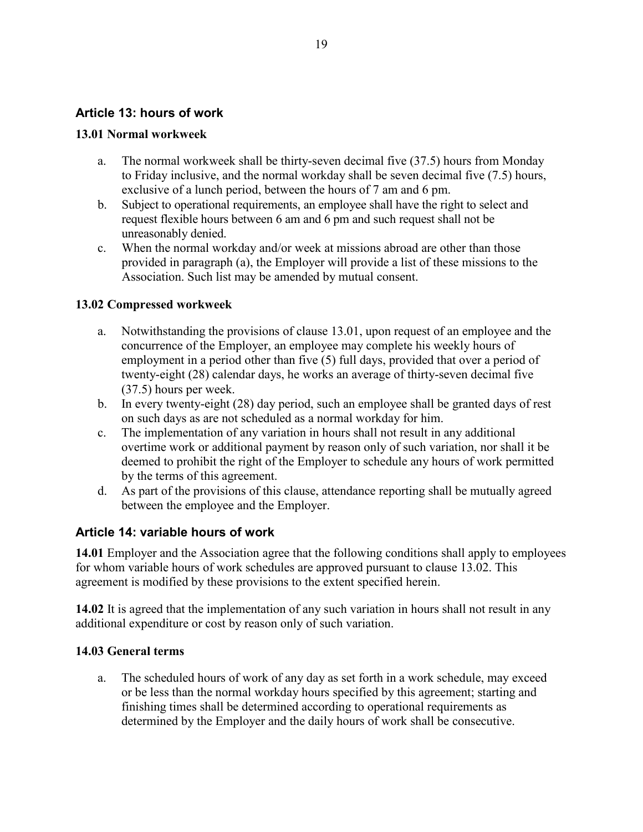### **Article 13: hours of work**

#### **13.01 Normal workweek**

- a. The normal workweek shall be thirty-seven decimal five (37.5) hours from Monday to Friday inclusive, and the normal workday shall be seven decimal five (7.5) hours, exclusive of a lunch period, between the hours of 7 am and 6 pm.
- b. Subject to operational requirements, an employee shall have the right to select and request flexible hours between 6 am and 6 pm and such request shall not be unreasonably denied.
- c. When the normal workday and/or week at missions abroad are other than those provided in paragraph (a), the Employer will provide a list of these missions to the Association. Such list may be amended by mutual consent.

#### **13.02 Compressed workweek**

- a. Notwithstanding the provisions of clause 13.01, upon request of an employee and the concurrence of the Employer, an employee may complete his weekly hours of employment in a period other than five (5) full days, provided that over a period of twenty-eight (28) calendar days, he works an average of thirty-seven decimal five (37.5) hours per week.
- b. In every twenty-eight (28) day period, such an employee shall be granted days of rest on such days as are not scheduled as a normal workday for him.
- c. The implementation of any variation in hours shall not result in any additional overtime work or additional payment by reason only of such variation, nor shall it be deemed to prohibit the right of the Employer to schedule any hours of work permitted by the terms of this agreement.
- d. As part of the provisions of this clause, attendance reporting shall be mutually agreed between the employee and the Employer.

#### **Article 14: variable hours of work**

**14.01** Employer and the Association agree that the following conditions shall apply to employees for whom variable hours of work schedules are approved pursuant to clause 13.02. This agreement is modified by these provisions to the extent specified herein.

**14.02** It is agreed that the implementation of any such variation in hours shall not result in any additional expenditure or cost by reason only of such variation.

#### **14.03 General terms**

a. The scheduled hours of work of any day as set forth in a work schedule, may exceed or be less than the normal workday hours specified by this agreement; starting and finishing times shall be determined according to operational requirements as determined by the Employer and the daily hours of work shall be consecutive.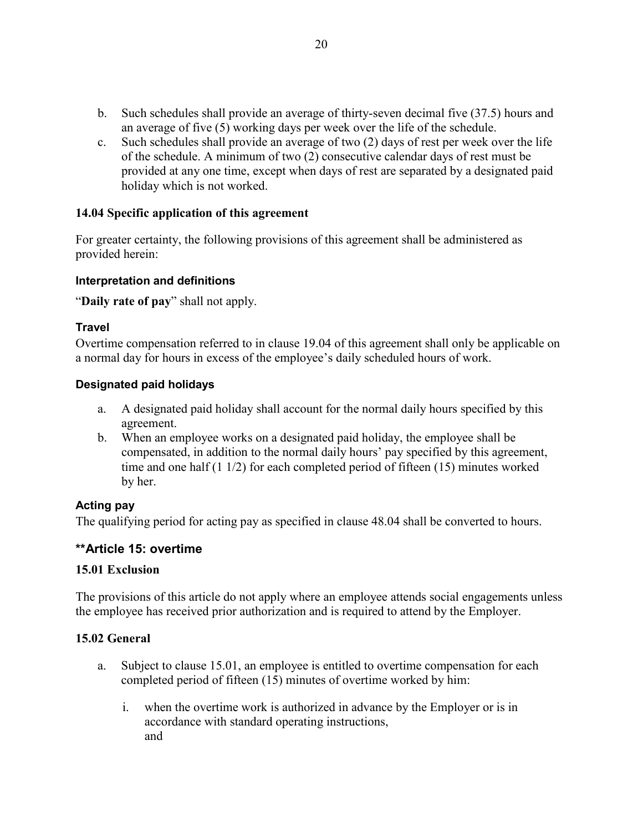- b. Such schedules shall provide an average of thirty-seven decimal five (37.5) hours and an average of five (5) working days per week over the life of the schedule.
- c. Such schedules shall provide an average of two (2) days of rest per week over the life of the schedule. A minimum of two (2) consecutive calendar days of rest must be provided at any one time, except when days of rest are separated by a designated paid holiday which is not worked.

## **14.04 Specific application of this agreement**

For greater certainty, the following provisions of this agreement shall be administered as provided herein:

#### **Interpretation and definitions**

"**Daily rate of pay**" shall not apply.

#### **Travel**

Overtime compensation referred to in clause 19.04 of this agreement shall only be applicable on a normal day for hours in excess of the employee's daily scheduled hours of work.

#### **Designated paid holidays**

- a. A designated paid holiday shall account for the normal daily hours specified by this agreement.
- b. When an employee works on a designated paid holiday, the employee shall be compensated, in addition to the normal daily hours' pay specified by this agreement, time and one half (1 1/2) for each completed period of fifteen (15) minutes worked by her.

## **Acting pay**

The qualifying period for acting pay as specified in clause 48.04 shall be converted to hours.

## **\*\*Article 15: overtime**

#### **15.01 Exclusion**

The provisions of this article do not apply where an employee attends social engagements unless the employee has received prior authorization and is required to attend by the Employer.

#### **15.02 General**

- a. Subject to clause 15.01, an employee is entitled to overtime compensation for each completed period of fifteen (15) minutes of overtime worked by him:
	- i. when the overtime work is authorized in advance by the Employer or is in accordance with standard operating instructions, and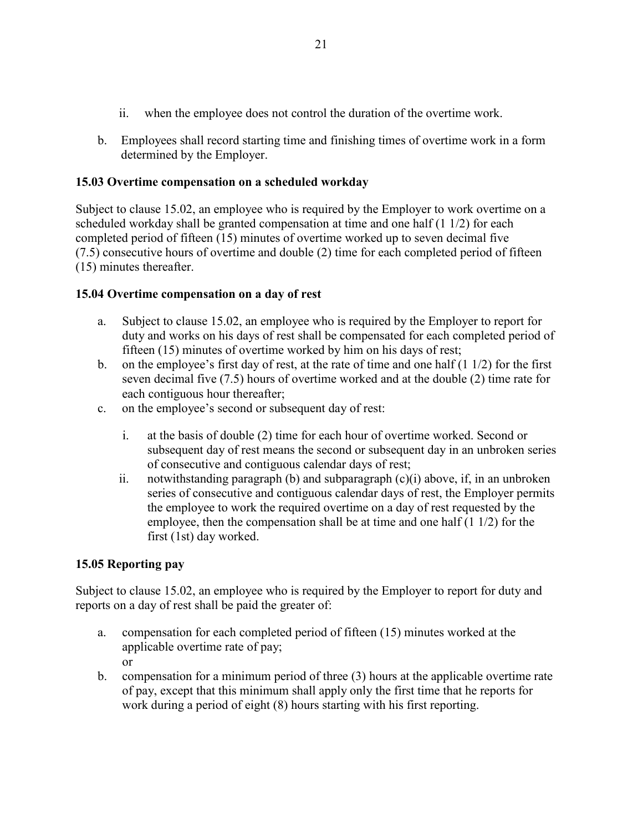- ii. when the employee does not control the duration of the overtime work.
- b. Employees shall record starting time and finishing times of overtime work in a form determined by the Employer.

## **15.03 Overtime compensation on a scheduled workday**

Subject to clause 15.02, an employee who is required by the Employer to work overtime on a scheduled workday shall be granted compensation at time and one half (1 1/2) for each completed period of fifteen (15) minutes of overtime worked up to seven decimal five (7.5) consecutive hours of overtime and double (2) time for each completed period of fifteen (15) minutes thereafter.

## **15.04 Overtime compensation on a day of rest**

- a. Subject to clause 15.02, an employee who is required by the Employer to report for duty and works on his days of rest shall be compensated for each completed period of fifteen (15) minutes of overtime worked by him on his days of rest;
- b. on the employee's first day of rest, at the rate of time and one half (1 1/2) for the first seven decimal five (7.5) hours of overtime worked and at the double (2) time rate for each contiguous hour thereafter;
- c. on the employee's second or subsequent day of rest:
	- i. at the basis of double (2) time for each hour of overtime worked. Second or subsequent day of rest means the second or subsequent day in an unbroken series of consecutive and contiguous calendar days of rest;
	- ii. notwithstanding paragraph (b) and subparagraph  $(c)(i)$  above, if, in an unbroken series of consecutive and contiguous calendar days of rest, the Employer permits the employee to work the required overtime on a day of rest requested by the employee, then the compensation shall be at time and one half (1 1/2) for the first (1st) day worked.

## **15.05 Reporting pay**

Subject to clause 15.02, an employee who is required by the Employer to report for duty and reports on a day of rest shall be paid the greater of:

- a. compensation for each completed period of fifteen (15) minutes worked at the applicable overtime rate of pay; or
- b. compensation for a minimum period of three (3) hours at the applicable overtime rate of pay, except that this minimum shall apply only the first time that he reports for work during a period of eight (8) hours starting with his first reporting.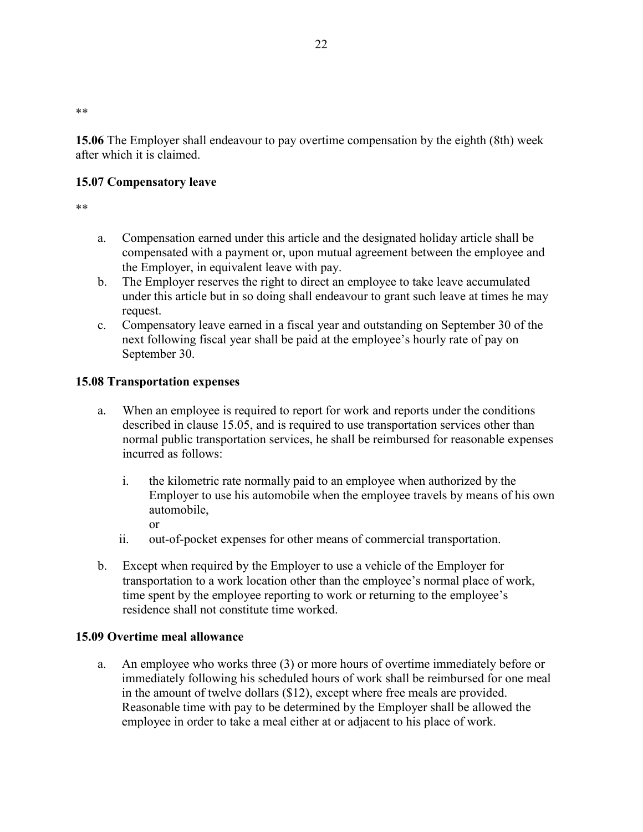\*\*

**15.06** The Employer shall endeavour to pay overtime compensation by the eighth (8th) week after which it is claimed.

## **15.07 Compensatory leave**

\*\*

- a. Compensation earned under this article and the designated holiday article shall be compensated with a payment or, upon mutual agreement between the employee and the Employer, in equivalent leave with pay.
- b. The Employer reserves the right to direct an employee to take leave accumulated under this article but in so doing shall endeavour to grant such leave at times he may request.
- c. Compensatory leave earned in a fiscal year and outstanding on September 30 of the next following fiscal year shall be paid at the employee's hourly rate of pay on September 30.

## **15.08 Transportation expenses**

- a. When an employee is required to report for work and reports under the conditions described in clause 15.05, and is required to use transportation services other than normal public transportation services, he shall be reimbursed for reasonable expenses incurred as follows:
	- i. the kilometric rate normally paid to an employee when authorized by the Employer to use his automobile when the employee travels by means of his own automobile,
		- or
	- ii. out-of-pocket expenses for other means of commercial transportation.
- b. Except when required by the Employer to use a vehicle of the Employer for transportation to a work location other than the employee's normal place of work, time spent by the employee reporting to work or returning to the employee's residence shall not constitute time worked.

## **15.09 Overtime meal allowance**

a. An employee who works three (3) or more hours of overtime immediately before or immediately following his scheduled hours of work shall be reimbursed for one meal in the amount of twelve dollars (\$12), except where free meals are provided. Reasonable time with pay to be determined by the Employer shall be allowed the employee in order to take a meal either at or adjacent to his place of work.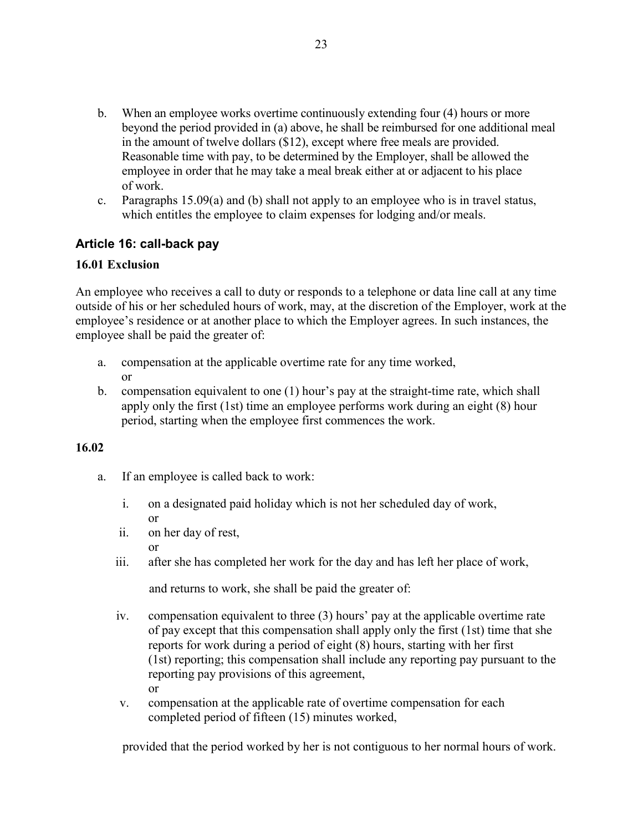- b. When an employee works overtime continuously extending four (4) hours or more beyond the period provided in (a) above, he shall be reimbursed for one additional meal in the amount of twelve dollars (\$12), except where free meals are provided. Reasonable time with pay, to be determined by the Employer, shall be allowed the employee in order that he may take a meal break either at or adjacent to his place of work.
- c. Paragraphs 15.09(a) and (b) shall not apply to an employee who is in travel status, which entitles the employee to claim expenses for lodging and/or meals.

## **Article 16: call-back pay**

#### **16.01 Exclusion**

An employee who receives a call to duty or responds to a telephone or data line call at any time outside of his or her scheduled hours of work, may, at the discretion of the Employer, work at the employee's residence or at another place to which the Employer agrees. In such instances, the employee shall be paid the greater of:

- a. compensation at the applicable overtime rate for any time worked, or
- b. compensation equivalent to one (1) hour's pay at the straight-time rate, which shall apply only the first (1st) time an employee performs work during an eight (8) hour period, starting when the employee first commences the work.

## **16.02**

- a. If an employee is called back to work:
	- i. on a designated paid holiday which is not her scheduled day of work,
	- or ii. on her day of rest,
		- or
	- iii. after she has completed her work for the day and has left her place of work,

and returns to work, she shall be paid the greater of:

- iv. compensation equivalent to three (3) hours' pay at the applicable overtime rate of pay except that this compensation shall apply only the first (1st) time that she reports for work during a period of eight (8) hours, starting with her first (1st) reporting; this compensation shall include any reporting pay pursuant to the reporting pay provisions of this agreement, or
- v. compensation at the applicable rate of overtime compensation for each completed period of fifteen (15) minutes worked,

provided that the period worked by her is not contiguous to her normal hours of work.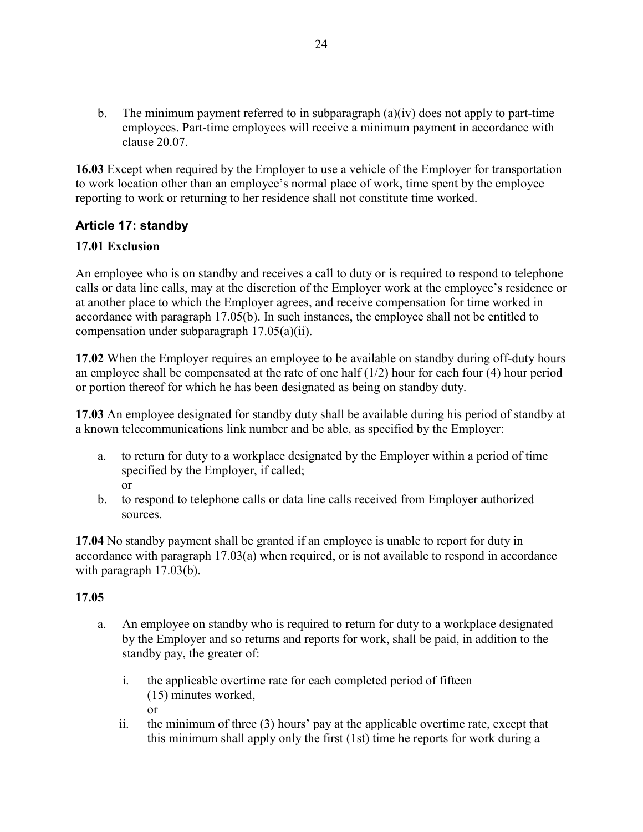b. The minimum payment referred to in subparagraph  $(a)(iv)$  does not apply to part-time employees. Part-time employees will receive a minimum payment in accordance with clause 20.07.

**16.03** Except when required by the Employer to use a vehicle of the Employer for transportation to work location other than an employee's normal place of work, time spent by the employee reporting to work or returning to her residence shall not constitute time worked.

## **Article 17: standby**

## **17.01 Exclusion**

An employee who is on standby and receives a call to duty or is required to respond to telephone calls or data line calls, may at the discretion of the Employer work at the employee's residence or at another place to which the Employer agrees, and receive compensation for time worked in accordance with paragraph 17.05(b). In such instances, the employee shall not be entitled to compensation under subparagraph 17.05(a)(ii).

**17.02** When the Employer requires an employee to be available on standby during off-duty hours an employee shall be compensated at the rate of one half (1/2) hour for each four (4) hour period or portion thereof for which he has been designated as being on standby duty.

**17.03** An employee designated for standby duty shall be available during his period of standby at a known telecommunications link number and be able, as specified by the Employer:

- a. to return for duty to a workplace designated by the Employer within a period of time specified by the Employer, if called; or
- b. to respond to telephone calls or data line calls received from Employer authorized sources.

**17.04** No standby payment shall be granted if an employee is unable to report for duty in accordance with paragraph 17.03(a) when required, or is not available to respond in accordance with paragraph 17.03(b).

## **17.05**

- a. An employee on standby who is required to return for duty to a workplace designated by the Employer and so returns and reports for work, shall be paid, in addition to the standby pay, the greater of:
	- i. the applicable overtime rate for each completed period of fifteen (15) minutes worked, or
	- ii. the minimum of three (3) hours' pay at the applicable overtime rate, except that this minimum shall apply only the first (1st) time he reports for work during a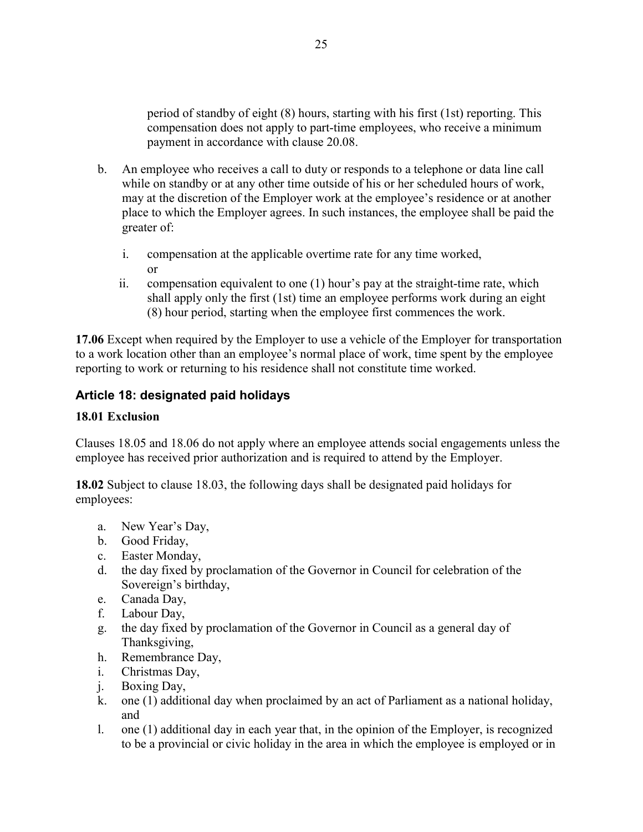period of standby of eight (8) hours, starting with his first (1st) reporting. This compensation does not apply to part-time employees, who receive a minimum payment in accordance with clause 20.08.

- b. An employee who receives a call to duty or responds to a telephone or data line call while on standby or at any other time outside of his or her scheduled hours of work, may at the discretion of the Employer work at the employee's residence or at another place to which the Employer agrees. In such instances, the employee shall be paid the greater of:
	- i. compensation at the applicable overtime rate for any time worked, or
	- ii. compensation equivalent to one (1) hour's pay at the straight-time rate, which shall apply only the first (1st) time an employee performs work during an eight (8) hour period, starting when the employee first commences the work.

**17.06** Except when required by the Employer to use a vehicle of the Employer for transportation to a work location other than an employee's normal place of work, time spent by the employee reporting to work or returning to his residence shall not constitute time worked.

## **Article 18: designated paid holidays**

### **18.01 Exclusion**

Clauses 18.05 and 18.06 do not apply where an employee attends social engagements unless the employee has received prior authorization and is required to attend by the Employer.

**18.02** Subject to clause 18.03, the following days shall be designated paid holidays for employees:

- a. New Year's Day,
- b. Good Friday,
- c. Easter Monday,
- d. the day fixed by proclamation of the Governor in Council for celebration of the Sovereign's birthday,
- e. Canada Day,
- f. Labour Day,
- g. the day fixed by proclamation of the Governor in Council as a general day of Thanksgiving,
- h. Remembrance Day,
- i. Christmas Day,
- j. Boxing Day,
- k. one (1) additional day when proclaimed by an act of Parliament as a national holiday, and
- l. one (1) additional day in each year that, in the opinion of the Employer, is recognized to be a provincial or civic holiday in the area in which the employee is employed or in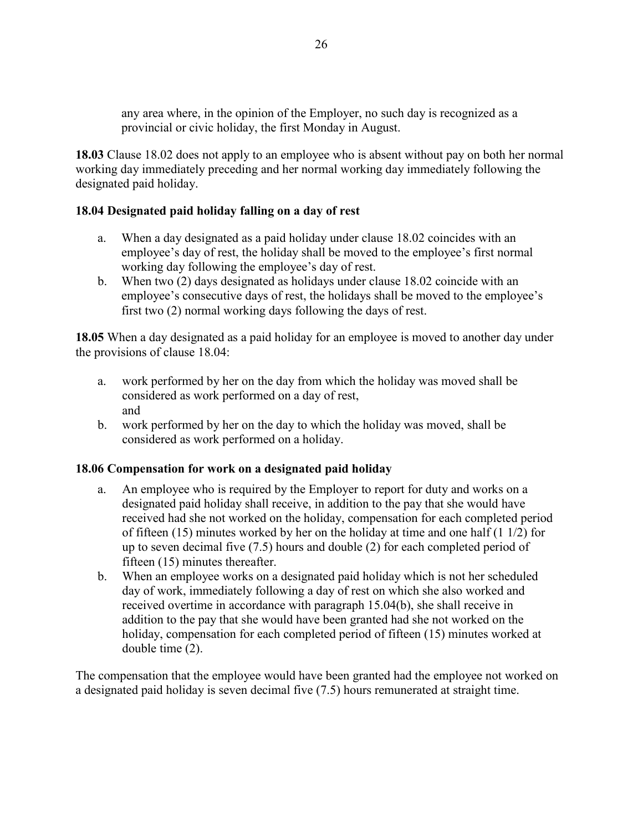any area where, in the opinion of the Employer, no such day is recognized as a provincial or civic holiday, the first Monday in August.

**18.03** Clause 18.02 does not apply to an employee who is absent without pay on both her normal working day immediately preceding and her normal working day immediately following the designated paid holiday.

## **18.04 Designated paid holiday falling on a day of rest**

- a. When a day designated as a paid holiday under clause 18.02 coincides with an employee's day of rest, the holiday shall be moved to the employee's first normal working day following the employee's day of rest.
- b. When two (2) days designated as holidays under clause 18.02 coincide with an employee's consecutive days of rest, the holidays shall be moved to the employee's first two (2) normal working days following the days of rest.

**18.05** When a day designated as a paid holiday for an employee is moved to another day under the provisions of clause 18.04:

- a. work performed by her on the day from which the holiday was moved shall be considered as work performed on a day of rest, and
- b. work performed by her on the day to which the holiday was moved, shall be considered as work performed on a holiday.

#### **18.06 Compensation for work on a designated paid holiday**

- a. An employee who is required by the Employer to report for duty and works on a designated paid holiday shall receive, in addition to the pay that she would have received had she not worked on the holiday, compensation for each completed period of fifteen (15) minutes worked by her on the holiday at time and one half (1 1/2) for up to seven decimal five (7.5) hours and double (2) for each completed period of fifteen (15) minutes thereafter.
- b. When an employee works on a designated paid holiday which is not her scheduled day of work, immediately following a day of rest on which she also worked and received overtime in accordance with paragraph 15.04(b), she shall receive in addition to the pay that she would have been granted had she not worked on the holiday, compensation for each completed period of fifteen (15) minutes worked at double time (2).

The compensation that the employee would have been granted had the employee not worked on a designated paid holiday is seven decimal five (7.5) hours remunerated at straight time.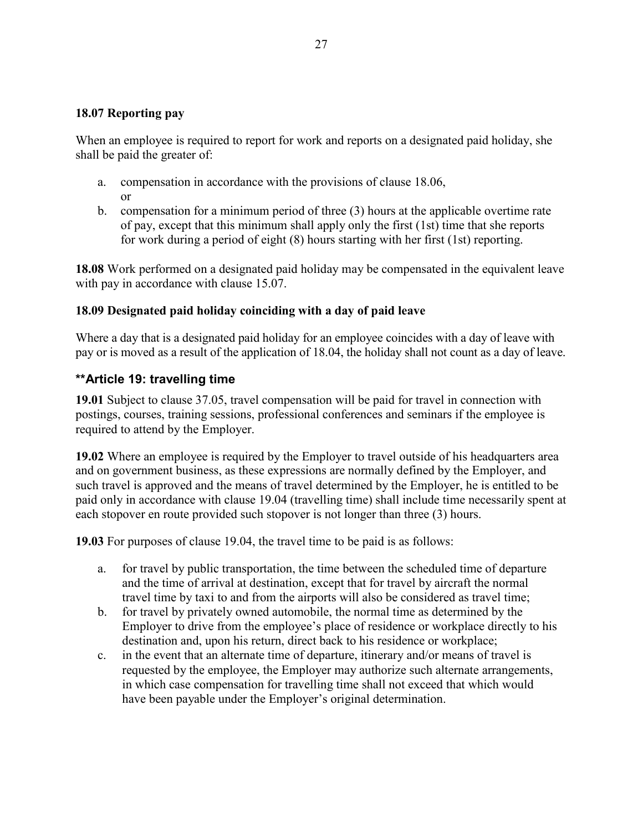#### **18.07 Reporting pay**

When an employee is required to report for work and reports on a designated paid holiday, she shall be paid the greater of:

- a. compensation in accordance with the provisions of clause 18.06, or
- b. compensation for a minimum period of three (3) hours at the applicable overtime rate of pay, except that this minimum shall apply only the first (1st) time that she reports for work during a period of eight (8) hours starting with her first (1st) reporting.

**18.08** Work performed on a designated paid holiday may be compensated in the equivalent leave with pay in accordance with clause 15.07.

#### **18.09 Designated paid holiday coinciding with a day of paid leave**

Where a day that is a designated paid holiday for an employee coincides with a day of leave with pay or is moved as a result of the application of 18.04, the holiday shall not count as a day of leave.

#### **\*\*Article 19: travelling time**

**19.01** Subject to clause 37.05, travel compensation will be paid for travel in connection with postings, courses, training sessions, professional conferences and seminars if the employee is required to attend by the Employer.

**19.02** Where an employee is required by the Employer to travel outside of his headquarters area and on government business, as these expressions are normally defined by the Employer, and such travel is approved and the means of travel determined by the Employer, he is entitled to be paid only in accordance with clause 19.04 (travelling time) shall include time necessarily spent at each stopover en route provided such stopover is not longer than three (3) hours.

**19.03** For purposes of clause 19.04, the travel time to be paid is as follows:

- a. for travel by public transportation, the time between the scheduled time of departure and the time of arrival at destination, except that for travel by aircraft the normal travel time by taxi to and from the airports will also be considered as travel time;
- b. for travel by privately owned automobile, the normal time as determined by the Employer to drive from the employee's place of residence or workplace directly to his destination and, upon his return, direct back to his residence or workplace;
- c. in the event that an alternate time of departure, itinerary and/or means of travel is requested by the employee, the Employer may authorize such alternate arrangements, in which case compensation for travelling time shall not exceed that which would have been payable under the Employer's original determination.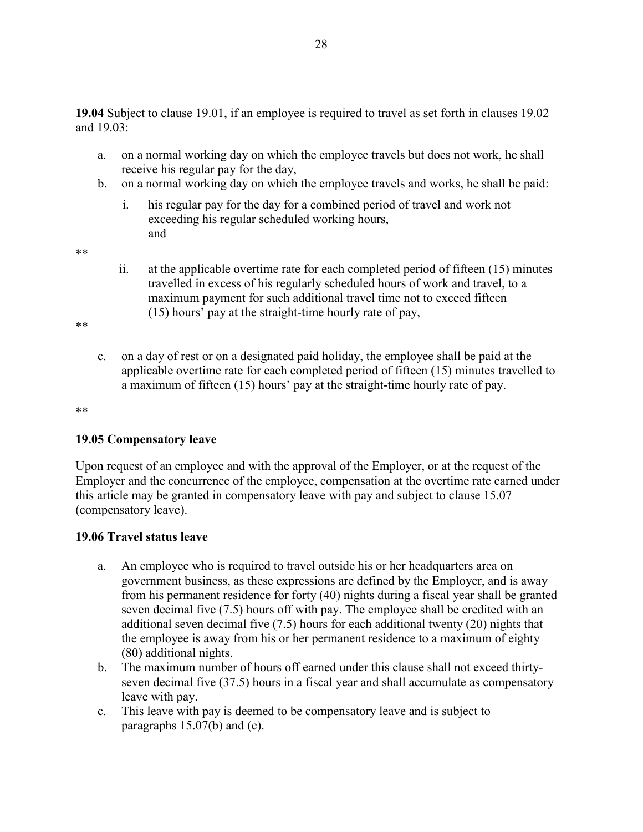- a. on a normal working day on which the employee travels but does not work, he shall receive his regular pay for the day,
- b. on a normal working day on which the employee travels and works, he shall be paid:
	- i. his regular pay for the day for a combined period of travel and work not exceeding his regular scheduled working hours, and

\*\*

ii. at the applicable overtime rate for each completed period of fifteen (15) minutes travelled in excess of his regularly scheduled hours of work and travel, to a maximum payment for such additional travel time not to exceed fifteen (15) hours' pay at the straight-time hourly rate of pay,

\*\*

c. on a day of rest or on a designated paid holiday, the employee shall be paid at the applicable overtime rate for each completed period of fifteen (15) minutes travelled to a maximum of fifteen (15) hours' pay at the straight-time hourly rate of pay.

\*\*

## **19.05 Compensatory leave**

Upon request of an employee and with the approval of the Employer, or at the request of the Employer and the concurrence of the employee, compensation at the overtime rate earned under this article may be granted in compensatory leave with pay and subject to clause 15.07 (compensatory leave).

#### **19.06 Travel status leave**

- a. An employee who is required to travel outside his or her headquarters area on government business, as these expressions are defined by the Employer, and is away from his permanent residence for forty (40) nights during a fiscal year shall be granted seven decimal five (7.5) hours off with pay. The employee shall be credited with an additional seven decimal five (7.5) hours for each additional twenty (20) nights that the employee is away from his or her permanent residence to a maximum of eighty (80) additional nights.
- b. The maximum number of hours off earned under this clause shall not exceed thirtyseven decimal five (37.5) hours in a fiscal year and shall accumulate as compensatory leave with pay.
- c. This leave with pay is deemed to be compensatory leave and is subject to paragraphs 15.07(b) and (c).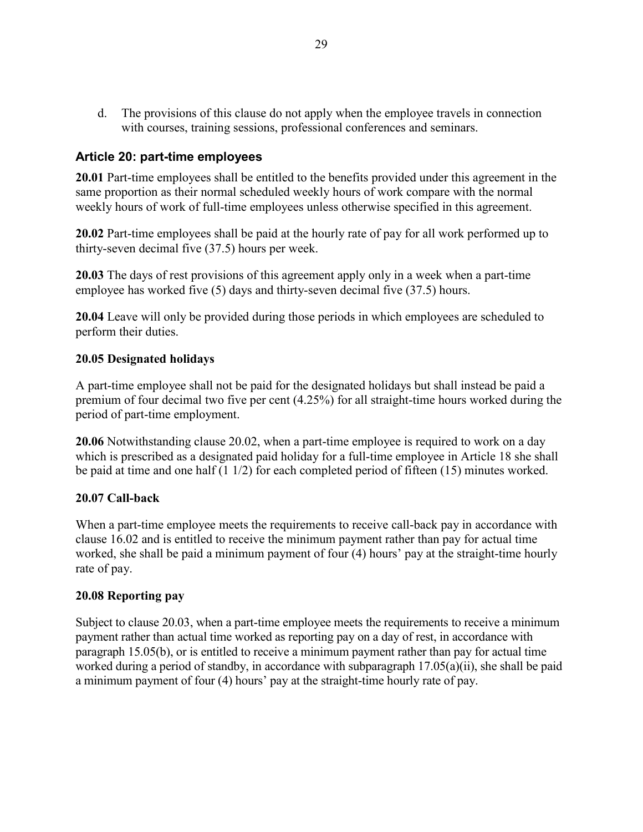d. The provisions of this clause do not apply when the employee travels in connection with courses, training sessions, professional conferences and seminars.

### **Article 20: part-time employees**

**20.01** Part-time employees shall be entitled to the benefits provided under this agreement in the same proportion as their normal scheduled weekly hours of work compare with the normal weekly hours of work of full-time employees unless otherwise specified in this agreement.

**20.02** Part-time employees shall be paid at the hourly rate of pay for all work performed up to thirty-seven decimal five (37.5) hours per week.

**20.03** The days of rest provisions of this agreement apply only in a week when a part-time employee has worked five (5) days and thirty-seven decimal five (37.5) hours.

**20.04** Leave will only be provided during those periods in which employees are scheduled to perform their duties.

### **20.05 Designated holidays**

A part-time employee shall not be paid for the designated holidays but shall instead be paid a premium of four decimal two five per cent (4.25%) for all straight-time hours worked during the period of part-time employment.

**20.06** Notwithstanding clause 20.02, when a part-time employee is required to work on a day which is prescribed as a designated paid holiday for a full-time employee in Article 18 she shall be paid at time and one half (1 1/2) for each completed period of fifteen (15) minutes worked.

### **20.07 Call-back**

When a part-time employee meets the requirements to receive call-back pay in accordance with clause 16.02 and is entitled to receive the minimum payment rather than pay for actual time worked, she shall be paid a minimum payment of four (4) hours' pay at the straight-time hourly rate of pay.

### **20.08 Reporting pay**

Subject to clause 20.03, when a part-time employee meets the requirements to receive a minimum payment rather than actual time worked as reporting pay on a day of rest, in accordance with paragraph 15.05(b), or is entitled to receive a minimum payment rather than pay for actual time worked during a period of standby, in accordance with subparagraph 17.05(a)(ii), she shall be paid a minimum payment of four (4) hours' pay at the straight-time hourly rate of pay.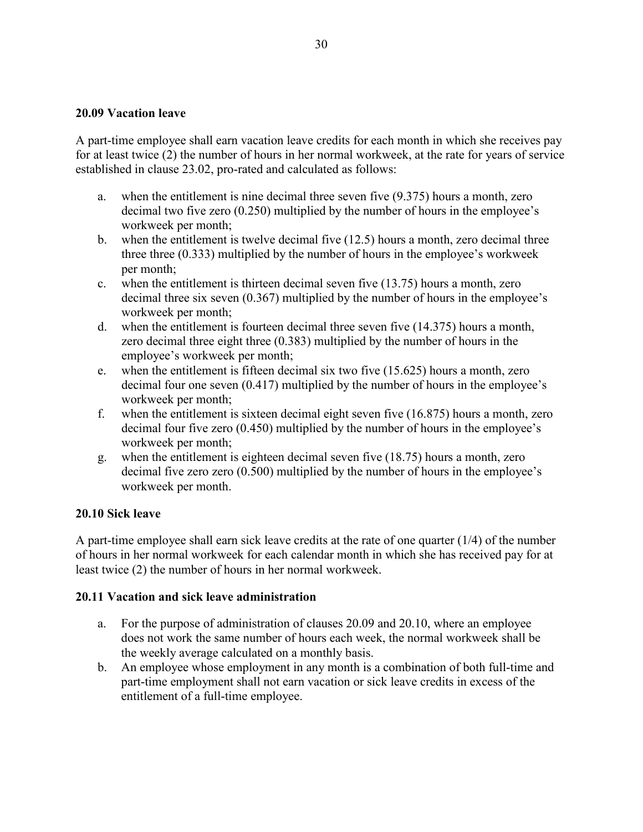### **20.09 Vacation leave**

A part-time employee shall earn vacation leave credits for each month in which she receives pay for at least twice (2) the number of hours in her normal workweek, at the rate for years of service established in clause 23.02, pro-rated and calculated as follows:

- a. when the entitlement is nine decimal three seven five (9.375) hours a month, zero decimal two five zero (0.250) multiplied by the number of hours in the employee's workweek per month;
- b. when the entitlement is twelve decimal five (12.5) hours a month, zero decimal three three three (0.333) multiplied by the number of hours in the employee's workweek per month;
- c. when the entitlement is thirteen decimal seven five (13.75) hours a month, zero decimal three six seven (0.367) multiplied by the number of hours in the employee's workweek per month;
- d. when the entitlement is fourteen decimal three seven five (14.375) hours a month, zero decimal three eight three (0.383) multiplied by the number of hours in the employee's workweek per month;
- e. when the entitlement is fifteen decimal six two five (15.625) hours a month, zero decimal four one seven (0.417) multiplied by the number of hours in the employee's workweek per month;
- f. when the entitlement is sixteen decimal eight seven five (16.875) hours a month, zero decimal four five zero (0.450) multiplied by the number of hours in the employee's workweek per month;
- g. when the entitlement is eighteen decimal seven five (18.75) hours a month, zero decimal five zero zero (0.500) multiplied by the number of hours in the employee's workweek per month.

### **20.10 Sick leave**

A part-time employee shall earn sick leave credits at the rate of one quarter (1/4) of the number of hours in her normal workweek for each calendar month in which she has received pay for at least twice (2) the number of hours in her normal workweek.

### **20.11 Vacation and sick leave administration**

- a. For the purpose of administration of clauses 20.09 and 20.10, where an employee does not work the same number of hours each week, the normal workweek shall be the weekly average calculated on a monthly basis.
- b. An employee whose employment in any month is a combination of both full-time and part-time employment shall not earn vacation or sick leave credits in excess of the entitlement of a full-time employee.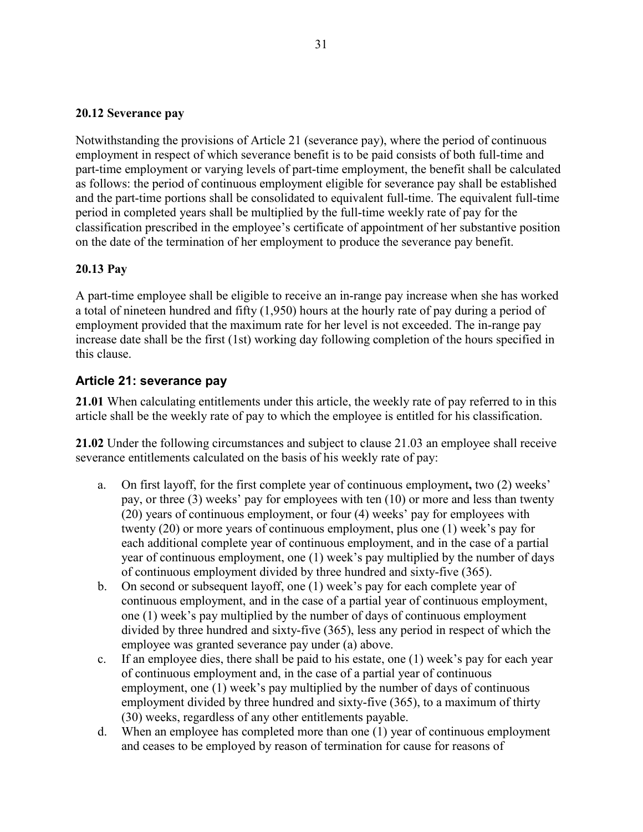### **20.12 Severance pay**

Notwithstanding the provisions of Article 21 (severance pay), where the period of continuous employment in respect of which severance benefit is to be paid consists of both full-time and part-time employment or varying levels of part-time employment, the benefit shall be calculated as follows: the period of continuous employment eligible for severance pay shall be established and the part-time portions shall be consolidated to equivalent full-time. The equivalent full-time period in completed years shall be multiplied by the full-time weekly rate of pay for the classification prescribed in the employee's certificate of appointment of her substantive position on the date of the termination of her employment to produce the severance pay benefit.

# **20.13 Pay**

A part-time employee shall be eligible to receive an in-range pay increase when she has worked a total of nineteen hundred and fifty (1,950) hours at the hourly rate of pay during a period of employment provided that the maximum rate for her level is not exceeded. The in-range pay increase date shall be the first (1st) working day following completion of the hours specified in this clause.

# **Article 21: severance pay**

**21.01** When calculating entitlements under this article, the weekly rate of pay referred to in this article shall be the weekly rate of pay to which the employee is entitled for his classification.

**21.02** Under the following circumstances and subject to clause 21.03 an employee shall receive severance entitlements calculated on the basis of his weekly rate of pay:

- a. On first layoff, for the first complete year of continuous employment**,** two (2) weeks' pay, or three (3) weeks' pay for employees with ten (10) or more and less than twenty (20) years of continuous employment, or four (4) weeks' pay for employees with twenty (20) or more years of continuous employment, plus one (1) week's pay for each additional complete year of continuous employment, and in the case of a partial year of continuous employment, one (1) week's pay multiplied by the number of days of continuous employment divided by three hundred and sixty-five (365).
- b. On second or subsequent layoff, one (1) week's pay for each complete year of continuous employment, and in the case of a partial year of continuous employment, one (1) week's pay multiplied by the number of days of continuous employment divided by three hundred and sixty-five (365), less any period in respect of which the employee was granted severance pay under (a) above.
- c. If an employee dies, there shall be paid to his estate, one (1) week's pay for each year of continuous employment and, in the case of a partial year of continuous employment, one (1) week's pay multiplied by the number of days of continuous employment divided by three hundred and sixty-five (365), to a maximum of thirty (30) weeks, regardless of any other entitlements payable.
- d. When an employee has completed more than one (1) year of continuous employment and ceases to be employed by reason of termination for cause for reasons of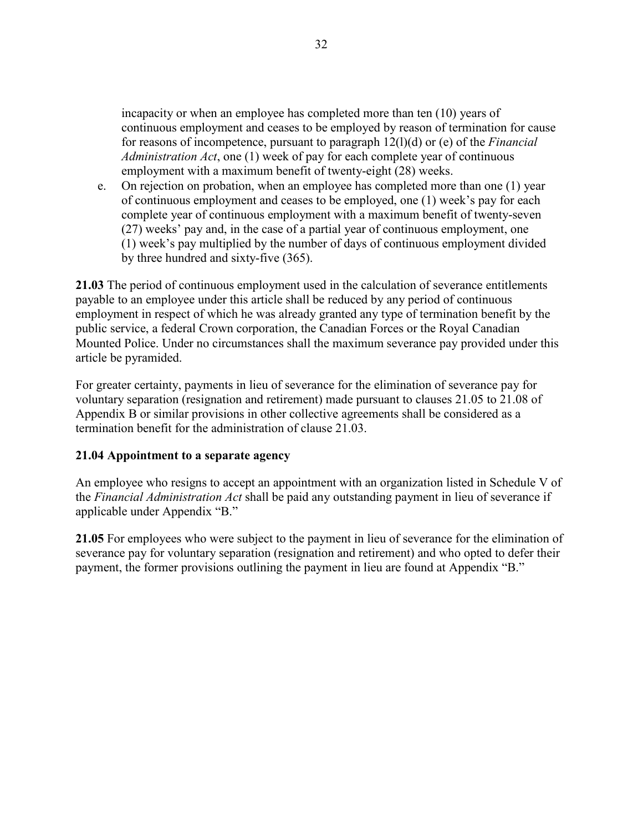incapacity or when an employee has completed more than ten (10) years of continuous employment and ceases to be employed by reason of termination for cause for reasons of incompetence, pursuant to paragraph 12(l)(d) or (e) of the *Financial Administration Act*, one (1) week of pay for each complete year of continuous employment with a maximum benefit of twenty-eight (28) weeks.

e. On rejection on probation, when an employee has completed more than one (1) year of continuous employment and ceases to be employed, one (1) week's pay for each complete year of continuous employment with a maximum benefit of twenty-seven (27) weeks' pay and, in the case of a partial year of continuous employment, one (1) week's pay multiplied by the number of days of continuous employment divided by three hundred and sixty-five (365).

**21.03** The period of continuous employment used in the calculation of severance entitlements payable to an employee under this article shall be reduced by any period of continuous employment in respect of which he was already granted any type of termination benefit by the public service, a federal Crown corporation, the Canadian Forces or the Royal Canadian Mounted Police. Under no circumstances shall the maximum severance pay provided under this article be pyramided.

For greater certainty, payments in lieu of severance for the elimination of severance pay for voluntary separation (resignation and retirement) made pursuant to clauses 21.05 to 21.08 of Appendix B or similar provisions in other collective agreements shall be considered as a termination benefit for the administration of clause 21.03.

### **21.04 Appointment to a separate agency**

An employee who resigns to accept an appointment with an organization listed in Schedule V of the *Financial Administration Act* shall be paid any outstanding payment in lieu of severance if applicable under Appendix "B."

**21.05** For employees who were subject to the payment in lieu of severance for the elimination of severance pay for voluntary separation (resignation and retirement) and who opted to defer their payment, the former provisions outlining the payment in lieu are found at Appendix "B."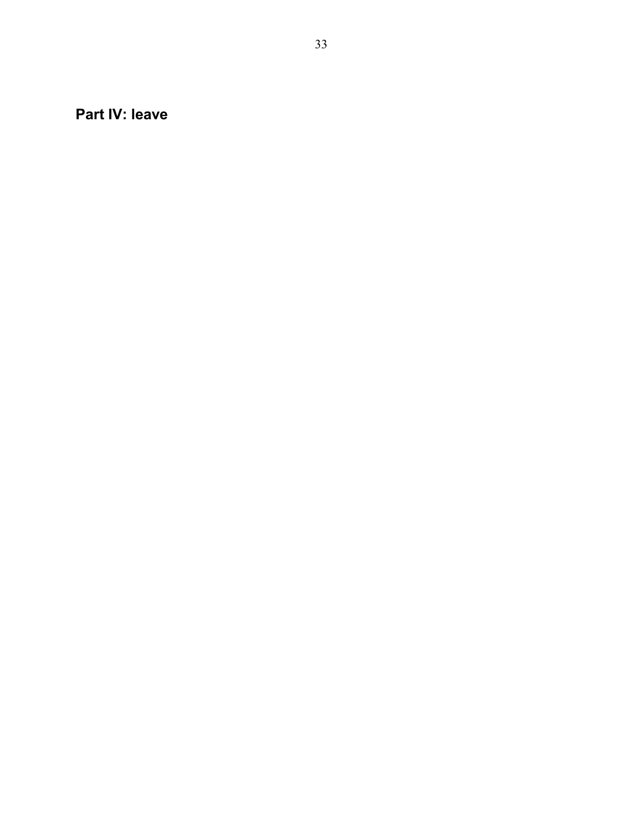**Part IV: leave**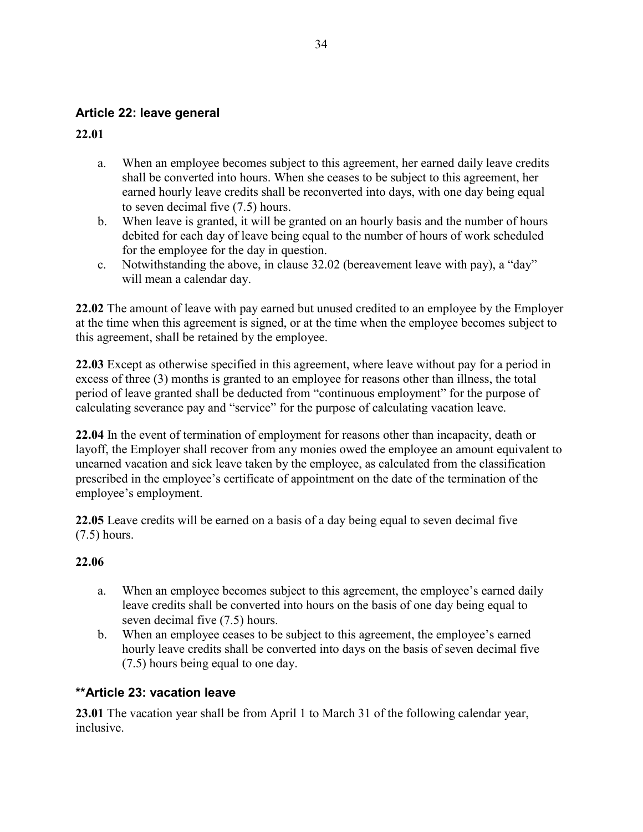# **Article 22: leave general**

**22.01**

- a. When an employee becomes subject to this agreement, her earned daily leave credits shall be converted into hours. When she ceases to be subject to this agreement, her earned hourly leave credits shall be reconverted into days, with one day being equal to seven decimal five (7.5) hours.
- b. When leave is granted, it will be granted on an hourly basis and the number of hours debited for each day of leave being equal to the number of hours of work scheduled for the employee for the day in question.
- c. Notwithstanding the above, in clause 32.02 (bereavement leave with pay), a "day" will mean a calendar day.

**22.02** The amount of leave with pay earned but unused credited to an employee by the Employer at the time when this agreement is signed, or at the time when the employee becomes subject to this agreement, shall be retained by the employee.

**22.03** Except as otherwise specified in this agreement, where leave without pay for a period in excess of three (3) months is granted to an employee for reasons other than illness, the total period of leave granted shall be deducted from "continuous employment" for the purpose of calculating severance pay and "service" for the purpose of calculating vacation leave.

**22.04** In the event of termination of employment for reasons other than incapacity, death or layoff, the Employer shall recover from any monies owed the employee an amount equivalent to unearned vacation and sick leave taken by the employee, as calculated from the classification prescribed in the employee's certificate of appointment on the date of the termination of the employee's employment.

**22.05** Leave credits will be earned on a basis of a day being equal to seven decimal five (7.5) hours.

# **22.06**

- a. When an employee becomes subject to this agreement, the employee's earned daily leave credits shall be converted into hours on the basis of one day being equal to seven decimal five (7.5) hours.
- b. When an employee ceases to be subject to this agreement, the employee's earned hourly leave credits shall be converted into days on the basis of seven decimal five (7.5) hours being equal to one day.

# **\*\*Article 23: vacation leave**

**23.01** The vacation year shall be from April 1 to March 31 of the following calendar year, inclusive.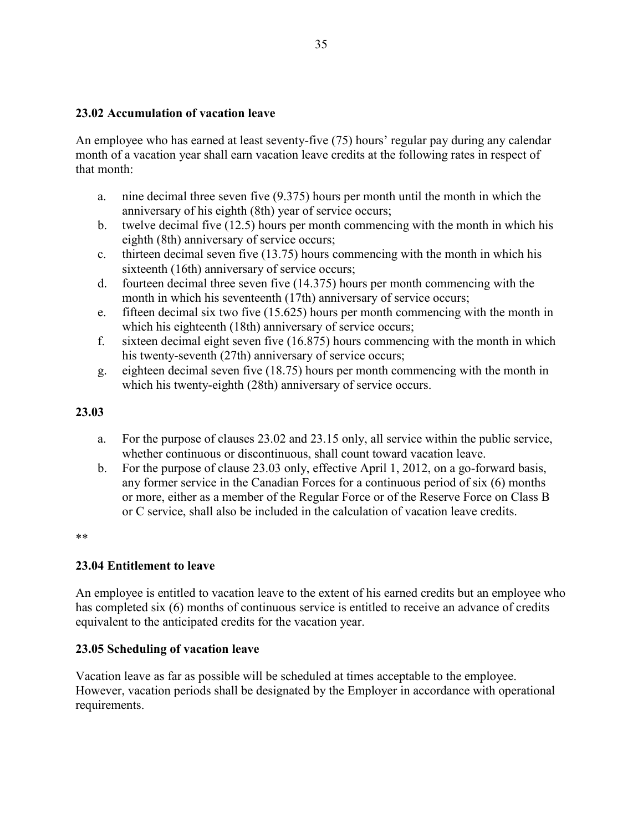### **23.02 Accumulation of vacation leave**

An employee who has earned at least seventy-five (75) hours' regular pay during any calendar month of a vacation year shall earn vacation leave credits at the following rates in respect of that month:

- a. nine decimal three seven five (9.375) hours per month until the month in which the anniversary of his eighth (8th) year of service occurs;
- b. twelve decimal five (12.5) hours per month commencing with the month in which his eighth (8th) anniversary of service occurs;
- c. thirteen decimal seven five (13.75) hours commencing with the month in which his sixteenth (16th) anniversary of service occurs;
- d. fourteen decimal three seven five (14.375) hours per month commencing with the month in which his seventeenth (17th) anniversary of service occurs;
- e. fifteen decimal six two five (15.625) hours per month commencing with the month in which his eighteenth (18th) anniversary of service occurs;
- f. sixteen decimal eight seven five (16.875) hours commencing with the month in which his twenty-seventh (27th) anniversary of service occurs;
- g. eighteen decimal seven five (18.75) hours per month commencing with the month in which his twenty-eighth (28th) anniversary of service occurs.

### **23.03**

- a. For the purpose of clauses 23.02 and 23.15 only, all service within the public service, whether continuous or discontinuous, shall count toward vacation leave.
- b. For the purpose of clause 23.03 only, effective April 1, 2012, on a go-forward basis, any former service in the Canadian Forces for a continuous period of six (6) months or more, either as a member of the Regular Force or of the Reserve Force on Class B or C service, shall also be included in the calculation of vacation leave credits.

\*\*

### **23.04 Entitlement to leave**

An employee is entitled to vacation leave to the extent of his earned credits but an employee who has completed six (6) months of continuous service is entitled to receive an advance of credits equivalent to the anticipated credits for the vacation year.

### **23.05 Scheduling of vacation leave**

Vacation leave as far as possible will be scheduled at times acceptable to the employee. However, vacation periods shall be designated by the Employer in accordance with operational requirements.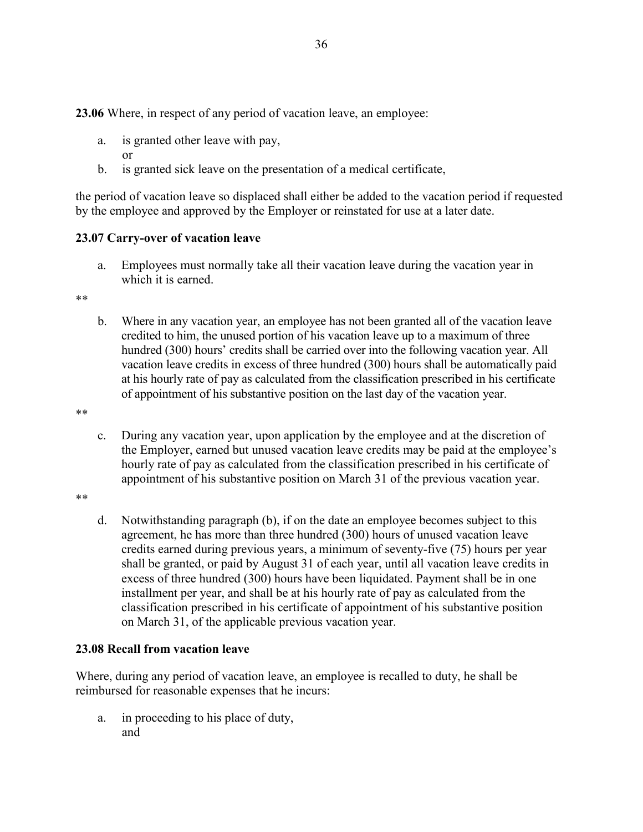**23.06** Where, in respect of any period of vacation leave, an employee:

- a. is granted other leave with pay, or
- b. is granted sick leave on the presentation of a medical certificate,

the period of vacation leave so displaced shall either be added to the vacation period if requested by the employee and approved by the Employer or reinstated for use at a later date.

### **23.07 Carry-over of vacation leave**

a. Employees must normally take all their vacation leave during the vacation year in which it is earned.

\*\*

b. Where in any vacation year, an employee has not been granted all of the vacation leave credited to him, the unused portion of his vacation leave up to a maximum of three hundred (300) hours' credits shall be carried over into the following vacation year. All vacation leave credits in excess of three hundred (300) hours shall be automatically paid at his hourly rate of pay as calculated from the classification prescribed in his certificate of appointment of his substantive position on the last day of the vacation year.

\*\*

c. During any vacation year, upon application by the employee and at the discretion of the Employer, earned but unused vacation leave credits may be paid at the employee's hourly rate of pay as calculated from the classification prescribed in his certificate of appointment of his substantive position on March 31 of the previous vacation year.

\*\*

d. Notwithstanding paragraph (b), if on the date an employee becomes subject to this agreement, he has more than three hundred (300) hours of unused vacation leave credits earned during previous years, a minimum of seventy-five (75) hours per year shall be granted, or paid by August 31 of each year, until all vacation leave credits in excess of three hundred (300) hours have been liquidated. Payment shall be in one installment per year, and shall be at his hourly rate of pay as calculated from the classification prescribed in his certificate of appointment of his substantive position on March 31, of the applicable previous vacation year.

# **23.08 Recall from vacation leave**

Where, during any period of vacation leave, an employee is recalled to duty, he shall be reimbursed for reasonable expenses that he incurs:

a. in proceeding to his place of duty, and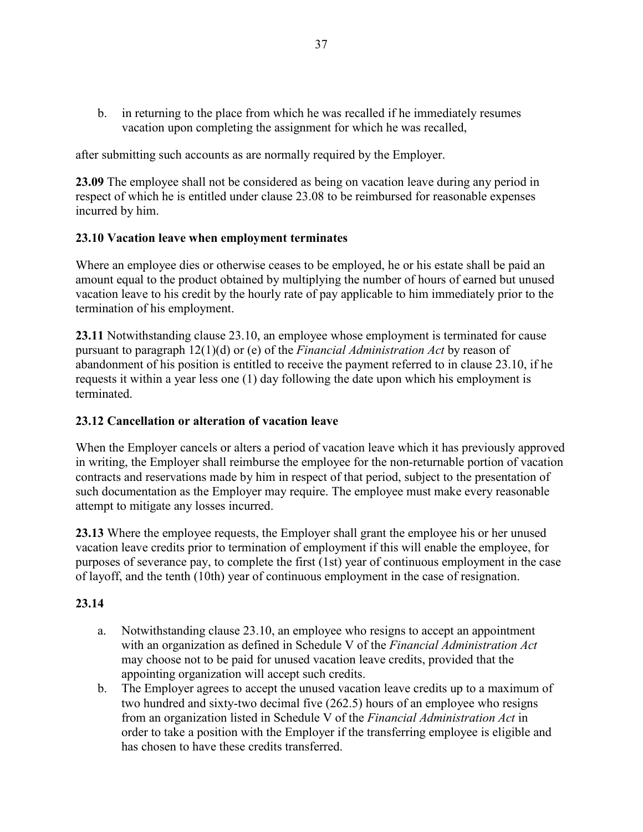b. in returning to the place from which he was recalled if he immediately resumes vacation upon completing the assignment for which he was recalled,

after submitting such accounts as are normally required by the Employer.

**23.09** The employee shall not be considered as being on vacation leave during any period in respect of which he is entitled under clause 23.08 to be reimbursed for reasonable expenses incurred by him.

### **23.10 Vacation leave when employment terminates**

Where an employee dies or otherwise ceases to be employed, he or his estate shall be paid an amount equal to the product obtained by multiplying the number of hours of earned but unused vacation leave to his credit by the hourly rate of pay applicable to him immediately prior to the termination of his employment.

**23.11** Notwithstanding clause 23.10, an employee whose employment is terminated for cause pursuant to paragraph 12(1)(d) or (e) of the *Financial Administration Act* by reason of abandonment of his position is entitled to receive the payment referred to in clause 23.10, if he requests it within a year less one (1) day following the date upon which his employment is terminated.

### **23.12 Cancellation or alteration of vacation leave**

When the Employer cancels or alters a period of vacation leave which it has previously approved in writing, the Employer shall reimburse the employee for the non-returnable portion of vacation contracts and reservations made by him in respect of that period, subject to the presentation of such documentation as the Employer may require. The employee must make every reasonable attempt to mitigate any losses incurred.

**23.13** Where the employee requests, the Employer shall grant the employee his or her unused vacation leave credits prior to termination of employment if this will enable the employee, for purposes of severance pay, to complete the first (1st) year of continuous employment in the case of layoff, and the tenth (10th) year of continuous employment in the case of resignation.

# **23.14**

- a. Notwithstanding clause 23.10, an employee who resigns to accept an appointment with an organization as defined in Schedule V of the *Financial Administration Act* may choose not to be paid for unused vacation leave credits, provided that the appointing organization will accept such credits.
- b. The Employer agrees to accept the unused vacation leave credits up to a maximum of two hundred and sixty-two decimal five (262.5) hours of an employee who resigns from an organization listed in Schedule V of the *Financial Administration Act* in order to take a position with the Employer if the transferring employee is eligible and has chosen to have these credits transferred.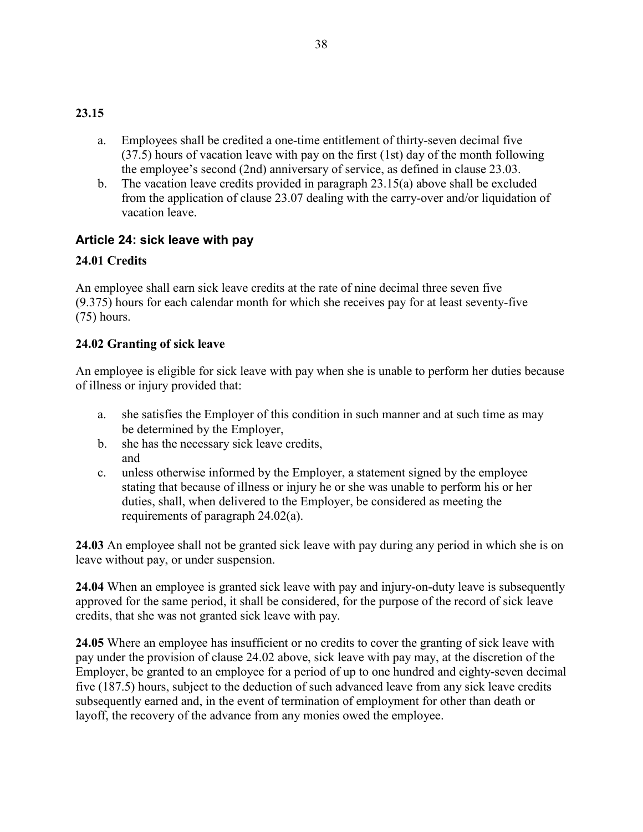### **23.15**

- a. Employees shall be credited a one-time entitlement of thirty-seven decimal five (37.5) hours of vacation leave with pay on the first (1st) day of the month following the employee's second (2nd) anniversary of service, as defined in clause 23.03.
- b. The vacation leave credits provided in paragraph 23.15(a) above shall be excluded from the application of clause 23.07 dealing with the carry-over and/or liquidation of vacation leave.

# **Article 24: sick leave with pay**

# **24.01 Credits**

An employee shall earn sick leave credits at the rate of nine decimal three seven five (9.375) hours for each calendar month for which she receives pay for at least seventy-five (75) hours.

# **24.02 Granting of sick leave**

An employee is eligible for sick leave with pay when she is unable to perform her duties because of illness or injury provided that:

- a. she satisfies the Employer of this condition in such manner and at such time as may be determined by the Employer,
- b. she has the necessary sick leave credits, and
- c. unless otherwise informed by the Employer, a statement signed by the employee stating that because of illness or injury he or she was unable to perform his or her duties, shall, when delivered to the Employer, be considered as meeting the requirements of paragraph 24.02(a).

**24.03** An employee shall not be granted sick leave with pay during any period in which she is on leave without pay, or under suspension.

**24.04** When an employee is granted sick leave with pay and injury-on-duty leave is subsequently approved for the same period, it shall be considered, for the purpose of the record of sick leave credits, that she was not granted sick leave with pay.

**24.05** Where an employee has insufficient or no credits to cover the granting of sick leave with pay under the provision of clause 24.02 above, sick leave with pay may, at the discretion of the Employer, be granted to an employee for a period of up to one hundred and eighty-seven decimal five (187.5) hours, subject to the deduction of such advanced leave from any sick leave credits subsequently earned and, in the event of termination of employment for other than death or layoff, the recovery of the advance from any monies owed the employee.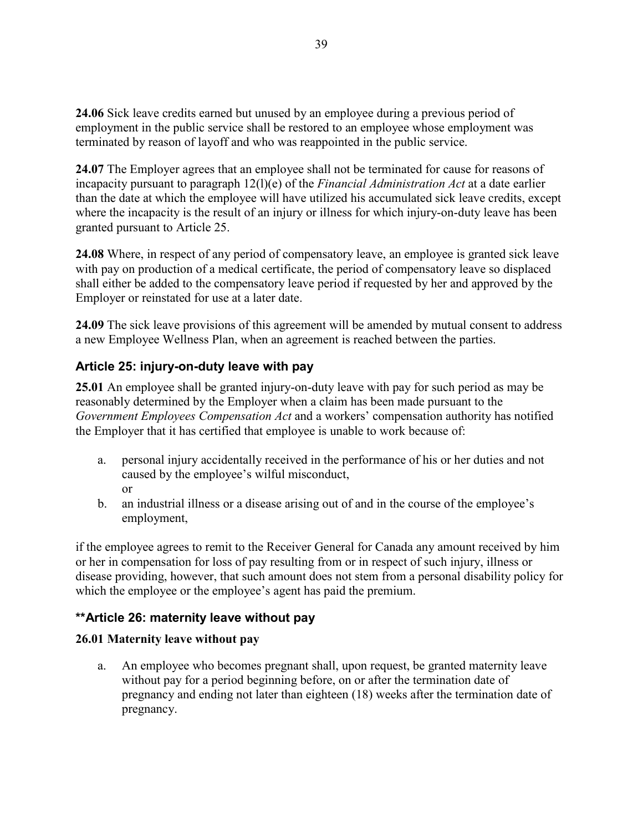**24.06** Sick leave credits earned but unused by an employee during a previous period of employment in the public service shall be restored to an employee whose employment was terminated by reason of layoff and who was reappointed in the public service.

**24.07** The Employer agrees that an employee shall not be terminated for cause for reasons of incapacity pursuant to paragraph 12(l)(e) of the *Financial Administration Act* at a date earlier than the date at which the employee will have utilized his accumulated sick leave credits, except where the incapacity is the result of an injury or illness for which injury-on-duty leave has been granted pursuant to Article 25.

**24.08** Where, in respect of any period of compensatory leave, an employee is granted sick leave with pay on production of a medical certificate, the period of compensatory leave so displaced shall either be added to the compensatory leave period if requested by her and approved by the Employer or reinstated for use at a later date.

**24.09** The sick leave provisions of this agreement will be amended by mutual consent to address a new Employee Wellness Plan, when an agreement is reached between the parties.

# **Article 25: injury-on-duty leave with pay**

**25.01** An employee shall be granted injury-on-duty leave with pay for such period as may be reasonably determined by the Employer when a claim has been made pursuant to the *Government Employees Compensation Act* and a workers' compensation authority has notified the Employer that it has certified that employee is unable to work because of:

- a. personal injury accidentally received in the performance of his or her duties and not caused by the employee's wilful misconduct, or
- b. an industrial illness or a disease arising out of and in the course of the employee's employment,

if the employee agrees to remit to the Receiver General for Canada any amount received by him or her in compensation for loss of pay resulting from or in respect of such injury, illness or disease providing, however, that such amount does not stem from a personal disability policy for which the employee or the employee's agent has paid the premium.

# **\*\*Article 26: maternity leave without pay**

# **26.01 Maternity leave without pay**

a. An employee who becomes pregnant shall, upon request, be granted maternity leave without pay for a period beginning before, on or after the termination date of pregnancy and ending not later than eighteen (18) weeks after the termination date of pregnancy.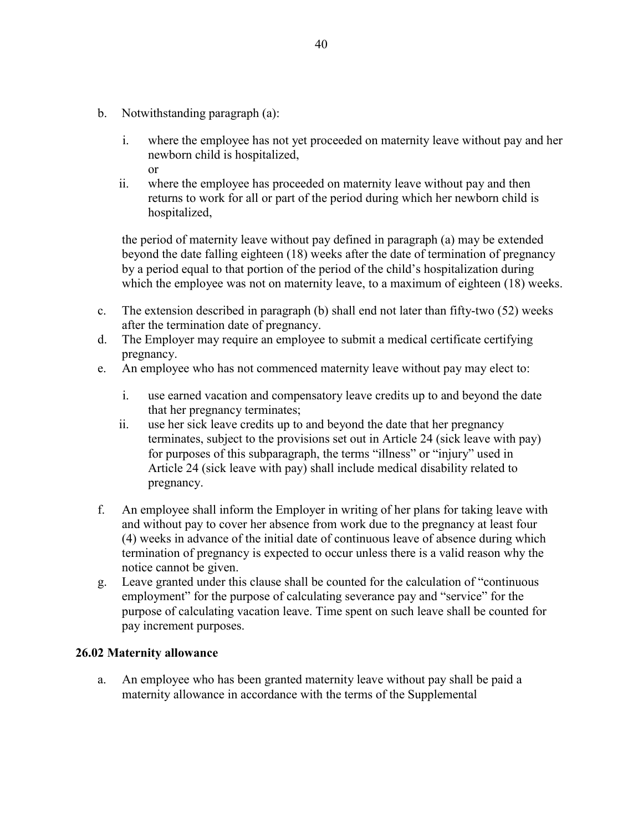- b. Notwithstanding paragraph (a):
	- i. where the employee has not yet proceeded on maternity leave without pay and her newborn child is hospitalized, or
	- ii. where the employee has proceeded on maternity leave without pay and then returns to work for all or part of the period during which her newborn child is hospitalized,

the period of maternity leave without pay defined in paragraph (a) may be extended beyond the date falling eighteen (18) weeks after the date of termination of pregnancy by a period equal to that portion of the period of the child's hospitalization during which the employee was not on maternity leave, to a maximum of eighteen (18) weeks.

- c. The extension described in paragraph (b) shall end not later than fifty-two (52) weeks after the termination date of pregnancy.
- d. The Employer may require an employee to submit a medical certificate certifying pregnancy.
- e. An employee who has not commenced maternity leave without pay may elect to:
	- i. use earned vacation and compensatory leave credits up to and beyond the date that her pregnancy terminates;
	- ii. use her sick leave credits up to and beyond the date that her pregnancy terminates, subject to the provisions set out in Article 24 (sick leave with pay) for purposes of this subparagraph, the terms "illness" or "injury" used in Article 24 (sick leave with pay) shall include medical disability related to pregnancy.
- f. An employee shall inform the Employer in writing of her plans for taking leave with and without pay to cover her absence from work due to the pregnancy at least four (4) weeks in advance of the initial date of continuous leave of absence during which termination of pregnancy is expected to occur unless there is a valid reason why the notice cannot be given.
- g. Leave granted under this clause shall be counted for the calculation of "continuous employment" for the purpose of calculating severance pay and "service" for the purpose of calculating vacation leave. Time spent on such leave shall be counted for pay increment purposes.

# **26.02 Maternity allowance**

a. An employee who has been granted maternity leave without pay shall be paid a maternity allowance in accordance with the terms of the Supplemental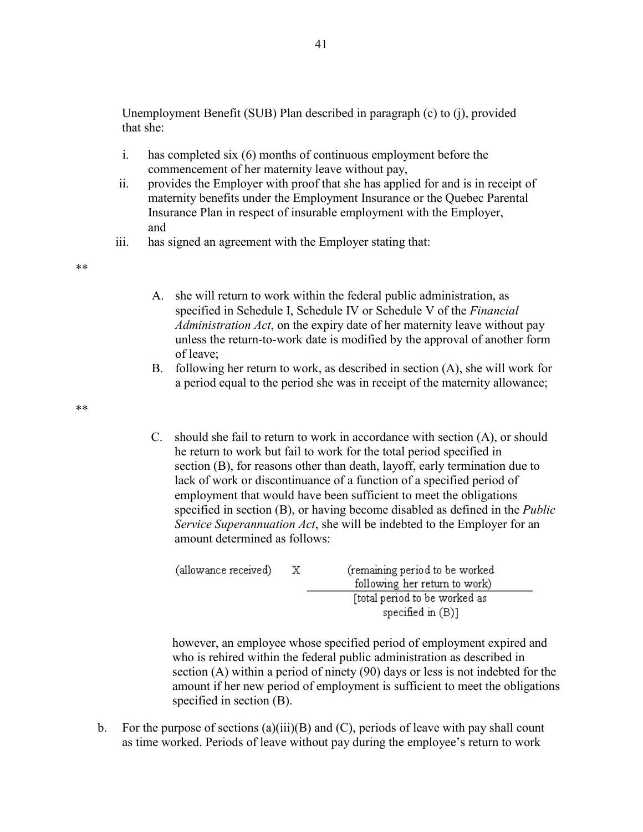Unemployment Benefit (SUB) Plan described in paragraph (c) to (j), provided that she:

- i. has completed six (6) months of continuous employment before the commencement of her maternity leave without pay,
- ii. provides the Employer with proof that she has applied for and is in receipt of maternity benefits under the Employment Insurance or the Quebec Parental Insurance Plan in respect of insurable employment with the Employer, and
- iii. has signed an agreement with the Employer stating that:

\*\*

- A. she will return to work within the federal public administration, as specified in Schedule I, Schedule IV or Schedule V of the *Financial Administration Act*, on the expiry date of her maternity leave without pay unless the return-to-work date is modified by the approval of another form of leave;
- B. following her return to work, as described in section (A), she will work for a period equal to the period she was in receipt of the maternity allowance;

\*\*

C. should she fail to return to work in accordance with section (A), or should he return to work but fail to work for the total period specified in section (B), for reasons other than death, layoff, early termination due to lack of work or discontinuance of a function of a specified period of employment that would have been sufficient to meet the obligations specified in section (B), or having become disabled as defined in the *Public Service Superannuation Act*, she will be indebted to the Employer for an amount determined as follows:

| (allowance received) | x | (remaining period to be worked<br>following her return to work) |
|----------------------|---|-----------------------------------------------------------------|
|                      |   | [total period to be worked as<br>specified in $(B)$ ]           |

however, an employee whose specified period of employment expired and who is rehired within the federal public administration as described in section (A) within a period of ninety (90) days or less is not indebted for the amount if her new period of employment is sufficient to meet the obligations specified in section (B).

b. For the purpose of sections  $(a)(iii)(B)$  and  $(C)$ , periods of leave with pay shall count as time worked. Periods of leave without pay during the employee's return to work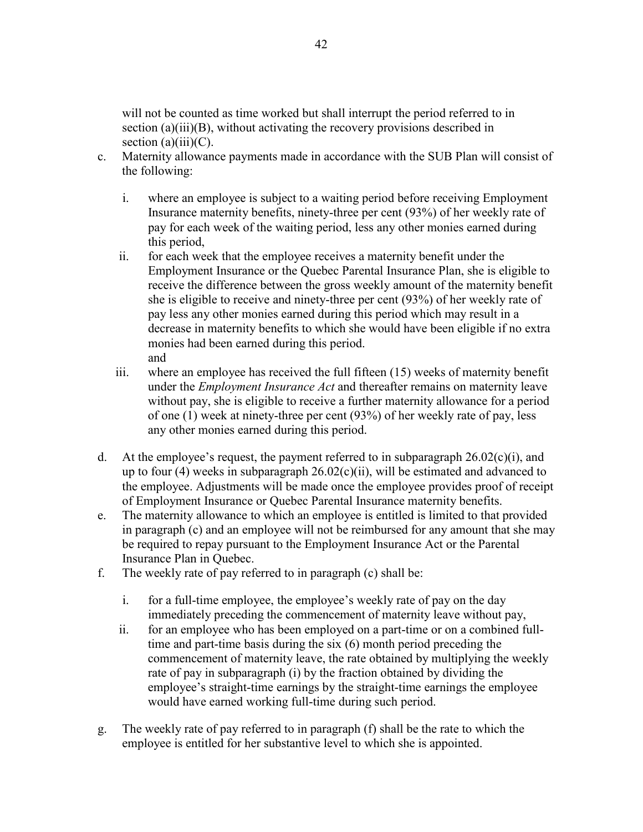will not be counted as time worked but shall interrupt the period referred to in section (a)(iii)(B), without activating the recovery provisions described in section  $(a)(iii)(C)$ .

- c. Maternity allowance payments made in accordance with the SUB Plan will consist of the following:
	- i. where an employee is subject to a waiting period before receiving Employment Insurance maternity benefits, ninety-three per cent (93%) of her weekly rate of pay for each week of the waiting period, less any other monies earned during this period,
	- ii. for each week that the employee receives a maternity benefit under the Employment Insurance or the Quebec Parental Insurance Plan, she is eligible to receive the difference between the gross weekly amount of the maternity benefit she is eligible to receive and ninety-three per cent (93%) of her weekly rate of pay less any other monies earned during this period which may result in a decrease in maternity benefits to which she would have been eligible if no extra monies had been earned during this period. and
	- iii. where an employee has received the full fifteen (15) weeks of maternity benefit under the *Employment Insurance Act* and thereafter remains on maternity leave without pay, she is eligible to receive a further maternity allowance for a period of one (1) week at ninety-three per cent (93%) of her weekly rate of pay, less any other monies earned during this period.
- d. At the employee's request, the payment referred to in subparagraph  $26.02(c)(i)$ , and up to four  $(4)$  weeks in subparagraph  $26.02(c)(ii)$ , will be estimated and advanced to the employee. Adjustments will be made once the employee provides proof of receipt of Employment Insurance or Quebec Parental Insurance maternity benefits.
- e. The maternity allowance to which an employee is entitled is limited to that provided in paragraph (c) and an employee will not be reimbursed for any amount that she may be required to repay pursuant to the Employment Insurance Act or the Parental Insurance Plan in Quebec.
- f. The weekly rate of pay referred to in paragraph (c) shall be:
	- i. for a full-time employee, the employee's weekly rate of pay on the day immediately preceding the commencement of maternity leave without pay,
	- ii. for an employee who has been employed on a part-time or on a combined fulltime and part-time basis during the six (6) month period preceding the commencement of maternity leave, the rate obtained by multiplying the weekly rate of pay in subparagraph (i) by the fraction obtained by dividing the employee's straight-time earnings by the straight-time earnings the employee would have earned working full-time during such period.
- g. The weekly rate of pay referred to in paragraph (f) shall be the rate to which the employee is entitled for her substantive level to which she is appointed.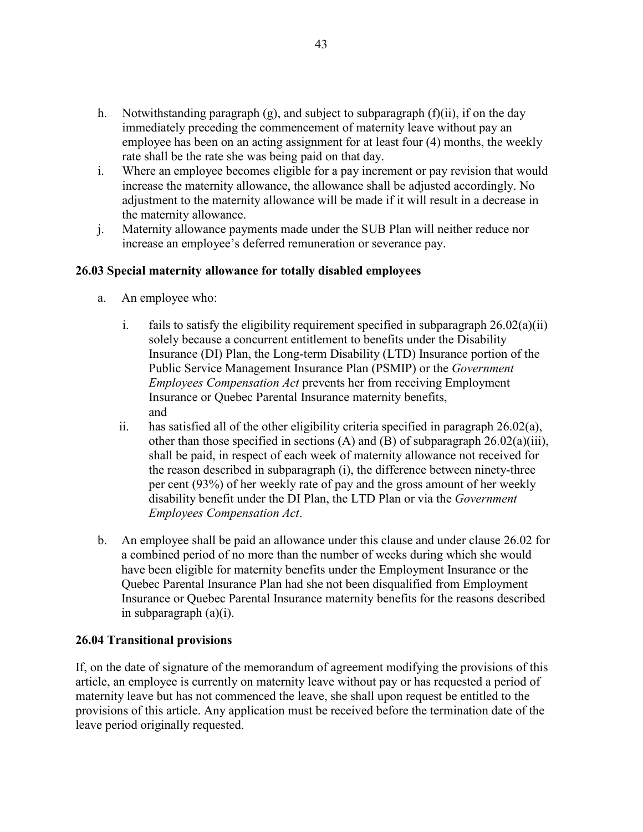- h. Notwithstanding paragraph  $(g)$ , and subject to subparagraph  $(f)(ii)$ , if on the day immediately preceding the commencement of maternity leave without pay an employee has been on an acting assignment for at least four (4) months, the weekly rate shall be the rate she was being paid on that day.
- i. Where an employee becomes eligible for a pay increment or pay revision that would increase the maternity allowance, the allowance shall be adjusted accordingly. No adjustment to the maternity allowance will be made if it will result in a decrease in the maternity allowance.
- j. Maternity allowance payments made under the SUB Plan will neither reduce nor increase an employee's deferred remuneration or severance pay.

### **26.03 Special maternity allowance for totally disabled employees**

- a. An employee who:
	- i. fails to satisfy the eligibility requirement specified in subparagraph  $26.02(a)(ii)$ solely because a concurrent entitlement to benefits under the Disability Insurance (DI) Plan, the Long-term Disability (LTD) Insurance portion of the Public Service Management Insurance Plan (PSMIP) or the *Government Employees Compensation Act* prevents her from receiving Employment Insurance or Quebec Parental Insurance maternity benefits, and
	- ii. has satisfied all of the other eligibility criteria specified in paragraph  $26.02(a)$ , other than those specified in sections (A) and (B) of subparagraph  $26.02(a)(iii)$ , shall be paid, in respect of each week of maternity allowance not received for the reason described in subparagraph (i), the difference between ninety-three per cent (93%) of her weekly rate of pay and the gross amount of her weekly disability benefit under the DI Plan, the LTD Plan or via the *Government Employees Compensation Act*.
- b. An employee shall be paid an allowance under this clause and under clause 26.02 for a combined period of no more than the number of weeks during which she would have been eligible for maternity benefits under the Employment Insurance or the Quebec Parental Insurance Plan had she not been disqualified from Employment Insurance or Quebec Parental Insurance maternity benefits for the reasons described in subparagraph (a)(i).

### **26.04 Transitional provisions**

If, on the date of signature of the memorandum of agreement modifying the provisions of this article, an employee is currently on maternity leave without pay or has requested a period of maternity leave but has not commenced the leave, she shall upon request be entitled to the provisions of this article. Any application must be received before the termination date of the leave period originally requested.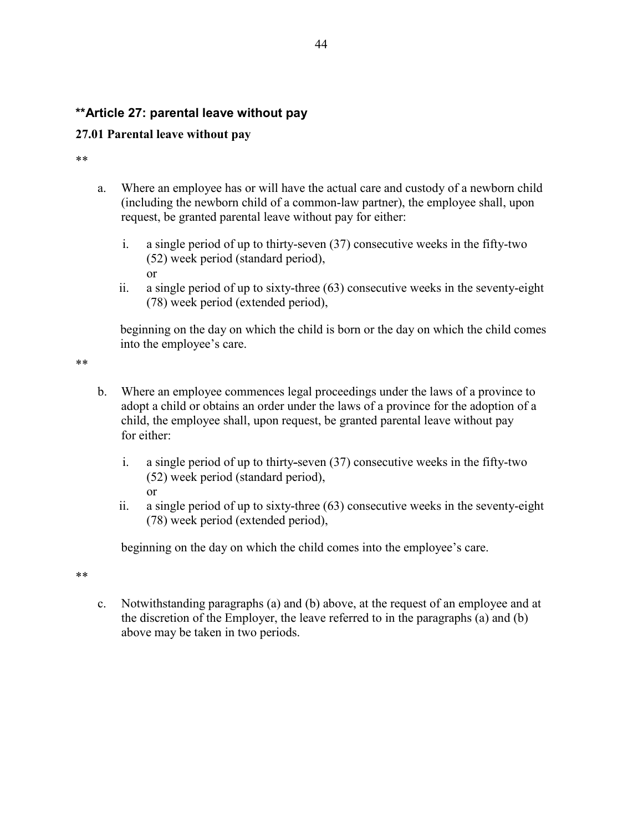# **\*\*Article 27: parental leave without pay**

### **27.01 Parental leave without pay**

or

\*\*

- a. Where an employee has or will have the actual care and custody of a newborn child (including the newborn child of a common-law partner), the employee shall, upon request, be granted parental leave without pay for either:
	- i. a single period of up to thirty-seven (37) consecutive weeks in the fifty-two (52) week period (standard period),
	- ii. a single period of up to sixty-three (63) consecutive weeks in the seventy-eight (78) week period (extended period),

beginning on the day on which the child is born or the day on which the child comes into the employee's care.

\*\*

- b. Where an employee commences legal proceedings under the laws of a province to adopt a child or obtains an order under the laws of a province for the adoption of a child, the employee shall, upon request, be granted parental leave without pay for either:
	- i. a single period of up to thirty-seven (37) consecutive weeks in the fifty-two (52) week period (standard period), or
	- ii. a single period of up to sixty-three (63) consecutive weeks in the seventy-eight (78) week period (extended period),

beginning on the day on which the child comes into the employee's care.

\*\*

c. Notwithstanding paragraphs (a) and (b) above, at the request of an employee and at the discretion of the Employer, the leave referred to in the paragraphs (a) and (b) above may be taken in two periods.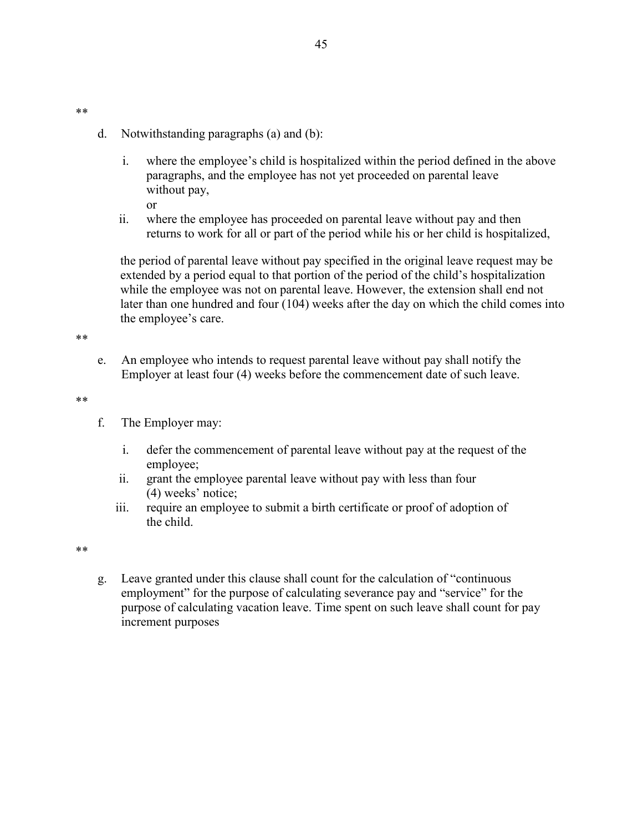- d. Notwithstanding paragraphs (a) and (b):
	- i. where the employee's child is hospitalized within the period defined in the above paragraphs, and the employee has not yet proceeded on parental leave without pay, or
- ii. where the employee has proceeded on parental leave without pay and then returns to work for all or part of the period while his or her child is hospitalized,

the period of parental leave without pay specified in the original leave request may be extended by a period equal to that portion of the period of the child's hospitalization while the employee was not on parental leave. However, the extension shall end not later than one hundred and four (104) weeks after the day on which the child comes into the employee's care.

\*\*

\*\*

e. An employee who intends to request parental leave without pay shall notify the Employer at least four (4) weeks before the commencement date of such leave.

\*\*

- f. The Employer may:
	- i. defer the commencement of parental leave without pay at the request of the employee;
	- ii. grant the employee parental leave without pay with less than four (4) weeks' notice;
	- iii. require an employee to submit a birth certificate or proof of adoption of the child.

\*\*

g. Leave granted under this clause shall count for the calculation of "continuous employment" for the purpose of calculating severance pay and "service" for the purpose of calculating vacation leave. Time spent on such leave shall count for pay increment purposes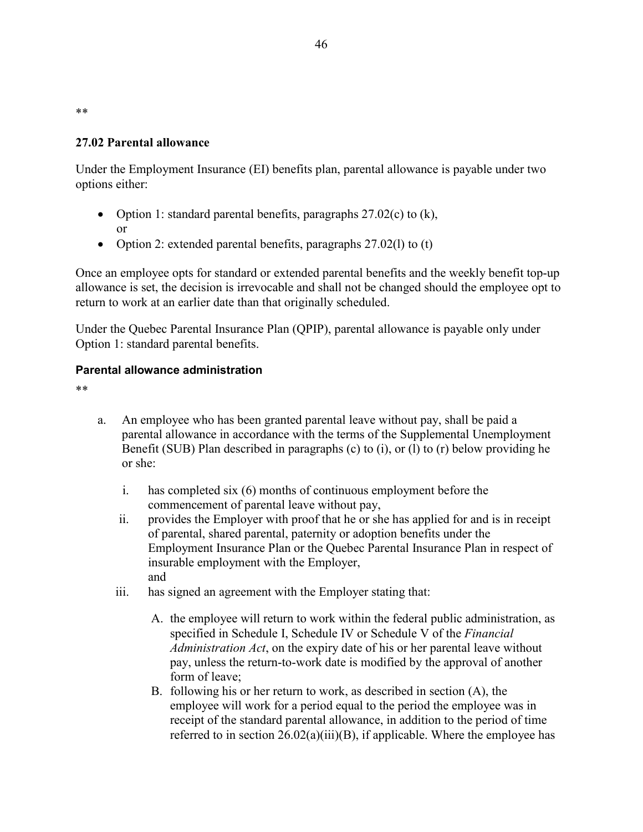\*\*

### **27.02 Parental allowance**

Under the Employment Insurance (EI) benefits plan, parental allowance is payable under two options either:

- Option 1: standard parental benefits, paragraphs  $27.02(c)$  to  $(k)$ , or
- Option 2: extended parental benefits, paragraphs  $27.02(1)$  to (t)

Once an employee opts for standard or extended parental benefits and the weekly benefit top-up allowance is set, the decision is irrevocable and shall not be changed should the employee opt to return to work at an earlier date than that originally scheduled.

Under the Quebec Parental Insurance Plan (QPIP), parental allowance is payable only under Option 1: standard parental benefits.

### **Parental allowance administration**

\*\*

- a. An employee who has been granted parental leave without pay, shall be paid a parental allowance in accordance with the terms of the Supplemental Unemployment Benefit (SUB) Plan described in paragraphs (c) to (i), or (l) to (r) below providing he or she:
	- i. has completed six (6) months of continuous employment before the commencement of parental leave without pay,
	- ii. provides the Employer with proof that he or she has applied for and is in receipt of parental, shared parental, paternity or adoption benefits under the Employment Insurance Plan or the Quebec Parental Insurance Plan in respect of insurable employment with the Employer, and
	- iii. has signed an agreement with the Employer stating that:
		- A. the employee will return to work within the federal public administration, as specified in Schedule I, Schedule IV or Schedule V of the *Financial Administration Act*, on the expiry date of his or her parental leave without pay, unless the return-to-work date is modified by the approval of another form of leave;
		- B. following his or her return to work, as described in section (A), the employee will work for a period equal to the period the employee was in receipt of the standard parental allowance, in addition to the period of time referred to in section  $26.02(a)(iii)(B)$ , if applicable. Where the employee has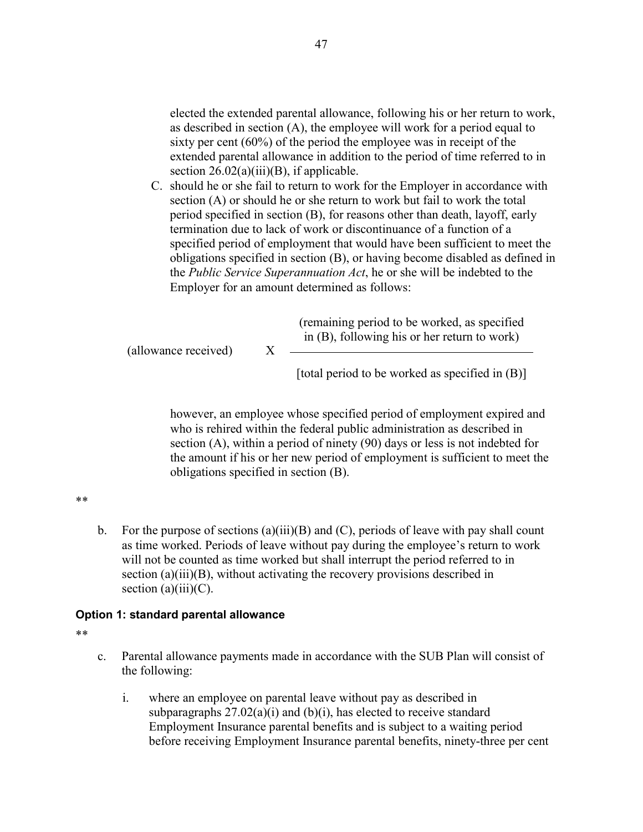elected the extended parental allowance, following his or her return to work, as described in section (A), the employee will work for a period equal to sixty per cent (60%) of the period the employee was in receipt of the extended parental allowance in addition to the period of time referred to in section  $26.02(a)(iii)(B)$ , if applicable.

C. should he or she fail to return to work for the Employer in accordance with section (A) or should he or she return to work but fail to work the total period specified in section (B), for reasons other than death, layoff, early termination due to lack of work or discontinuance of a function of a specified period of employment that would have been sufficient to meet the obligations specified in section (B), or having become disabled as defined in the *Public Service Superannuation Act*, he or she will be indebted to the Employer for an amount determined as follows:

(allowance received) X (remaining period to be worked, as specified in (B), following his or her return to work)

[total period to be worked as specified in  $(B)$ ]

however, an employee whose specified period of employment expired and who is rehired within the federal public administration as described in section (A), within a period of ninety (90) days or less is not indebted for the amount if his or her new period of employment is sufficient to meet the obligations specified in section (B).

\*\*

b. For the purpose of sections  $(a)(iii)(B)$  and  $(C)$ , periods of leave with pay shall count as time worked. Periods of leave without pay during the employee's return to work will not be counted as time worked but shall interrupt the period referred to in section (a)(iii)(B), without activating the recovery provisions described in section  $(a)(iii)(C)$ .

### **Option 1: standard parental allowance**

\*\*

- c. Parental allowance payments made in accordance with the SUB Plan will consist of the following:
	- i. where an employee on parental leave without pay as described in subparagraphs  $27.02(a)(i)$  and  $(b)(i)$ , has elected to receive standard Employment Insurance parental benefits and is subject to a waiting period before receiving Employment Insurance parental benefits, ninety-three per cent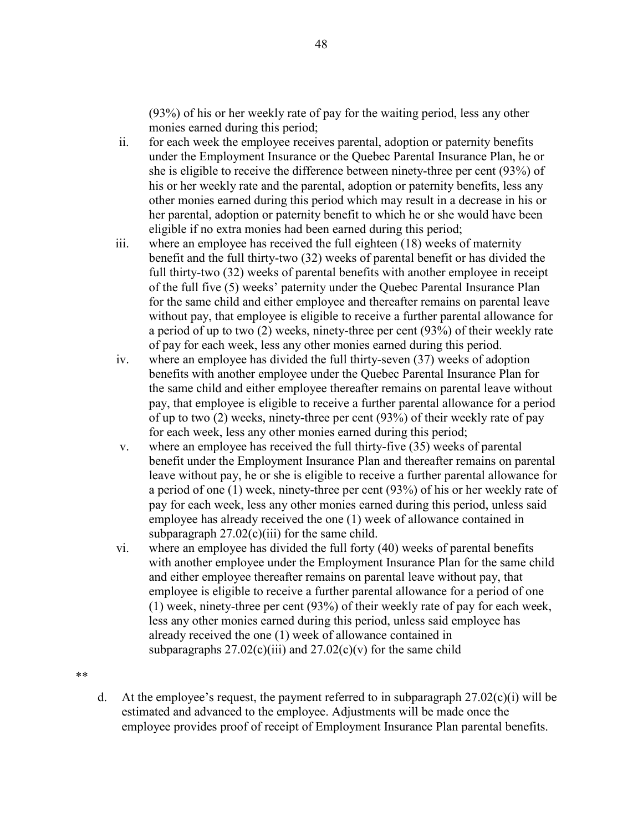(93%) of his or her weekly rate of pay for the waiting period, less any other monies earned during this period;

- ii. for each week the employee receives parental, adoption or paternity benefits under the Employment Insurance or the Quebec Parental Insurance Plan, he or she is eligible to receive the difference between ninety-three per cent (93%) of his or her weekly rate and the parental, adoption or paternity benefits, less any other monies earned during this period which may result in a decrease in his or her parental, adoption or paternity benefit to which he or she would have been eligible if no extra monies had been earned during this period;
- iii. where an employee has received the full eighteen (18) weeks of maternity benefit and the full thirty-two (32) weeks of parental benefit or has divided the full thirty-two (32) weeks of parental benefits with another employee in receipt of the full five (5) weeks' paternity under the Quebec Parental Insurance Plan for the same child and either employee and thereafter remains on parental leave without pay, that employee is eligible to receive a further parental allowance for a period of up to two (2) weeks, ninety-three per cent (93%) of their weekly rate of pay for each week, less any other monies earned during this period.
- iv. where an employee has divided the full thirty-seven (37) weeks of adoption benefits with another employee under the Quebec Parental Insurance Plan for the same child and either employee thereafter remains on parental leave without pay, that employee is eligible to receive a further parental allowance for a period of up to two (2) weeks, ninety-three per cent (93%) of their weekly rate of pay for each week, less any other monies earned during this period;
- v. where an employee has received the full thirty-five (35) weeks of parental benefit under the Employment Insurance Plan and thereafter remains on parental leave without pay, he or she is eligible to receive a further parental allowance for a period of one (1) week, ninety-three per cent (93%) of his or her weekly rate of pay for each week, less any other monies earned during this period, unless said employee has already received the one (1) week of allowance contained in subparagraph  $27.02(c)(iii)$  for the same child.
- vi. where an employee has divided the full forty (40) weeks of parental benefits with another employee under the Employment Insurance Plan for the same child and either employee thereafter remains on parental leave without pay, that employee is eligible to receive a further parental allowance for a period of one (1) week, ninety-three per cent (93%) of their weekly rate of pay for each week, less any other monies earned during this period, unless said employee has already received the one (1) week of allowance contained in subparagraphs  $27.02(c)(iii)$  and  $27.02(c)(v)$  for the same child
- \*\*
- d. At the employee's request, the payment referred to in subparagraph  $27.02(c)(i)$  will be estimated and advanced to the employee. Adjustments will be made once the employee provides proof of receipt of Employment Insurance Plan parental benefits.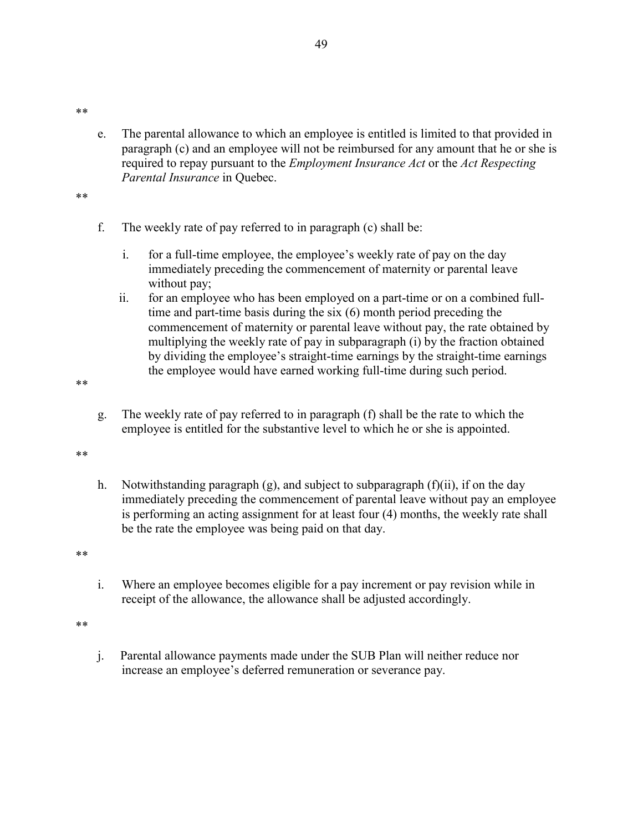\*\*

e. The parental allowance to which an employee is entitled is limited to that provided in paragraph (c) and an employee will not be reimbursed for any amount that he or she is required to repay pursuant to the *Employment Insurance Act* or the *Act Respecting Parental Insurance* in Quebec.

\*\*

- f. The weekly rate of pay referred to in paragraph (c) shall be:
	- i. for a full-time employee, the employee's weekly rate of pay on the day immediately preceding the commencement of maternity or parental leave without pay;
	- ii. for an employee who has been employed on a part-time or on a combined fulltime and part-time basis during the six (6) month period preceding the commencement of maternity or parental leave without pay, the rate obtained by multiplying the weekly rate of pay in subparagraph (i) by the fraction obtained by dividing the employee's straight-time earnings by the straight-time earnings the employee would have earned working full-time during such period.

\*\*

g. The weekly rate of pay referred to in paragraph (f) shall be the rate to which the employee is entitled for the substantive level to which he or she is appointed.

\*\*

h. Notwithstanding paragraph (g), and subject to subparagraph (f)(ii), if on the day immediately preceding the commencement of parental leave without pay an employee is performing an acting assignment for at least four (4) months, the weekly rate shall be the rate the employee was being paid on that day.

\*\*

i. Where an employee becomes eligible for a pay increment or pay revision while in receipt of the allowance, the allowance shall be adjusted accordingly.

\*\*

j. Parental allowance payments made under the SUB Plan will neither reduce nor increase an employee's deferred remuneration or severance pay.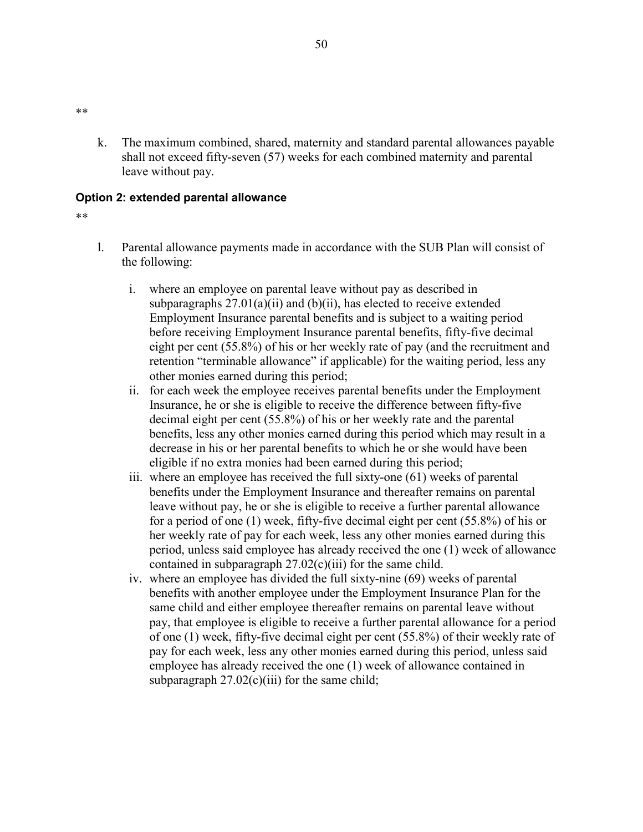k. The maximum combined, shared, maternity and standard parental allowances payable shall not exceed fifty-seven (57) weeks for each combined maternity and parental leave without pay.

### **Option 2: extended parental allowance**

#### \*\*

\*\*

- l. Parental allowance payments made in accordance with the SUB Plan will consist of the following:
	- i. where an employee on parental leave without pay as described in subparagraphs  $27.01(a)(ii)$  and  $(b)(ii)$ , has elected to receive extended Employment Insurance parental benefits and is subject to a waiting period before receiving Employment Insurance parental benefits, fifty-five decimal eight per cent (55.8%) of his or her weekly rate of pay (and the recruitment and retention "terminable allowance" if applicable) for the waiting period, less any other monies earned during this period;
	- ii. for each week the employee receives parental benefits under the Employment Insurance, he or she is eligible to receive the difference between fifty-five decimal eight per cent (55.8%) of his or her weekly rate and the parental benefits, less any other monies earned during this period which may result in a decrease in his or her parental benefits to which he or she would have been eligible if no extra monies had been earned during this period;
	- iii. where an employee has received the full sixty-one (61) weeks of parental benefits under the Employment Insurance and thereafter remains on parental leave without pay, he or she is eligible to receive a further parental allowance for a period of one (1) week, fifty-five decimal eight per cent (55.8%) of his or her weekly rate of pay for each week, less any other monies earned during this period, unless said employee has already received the one (1) week of allowance contained in subparagraph 27.02(c)(iii) for the same child.
	- iv. where an employee has divided the full sixty-nine (69) weeks of parental benefits with another employee under the Employment Insurance Plan for the same child and either employee thereafter remains on parental leave without pay, that employee is eligible to receive a further parental allowance for a period of one (1) week, fifty-five decimal eight per cent (55.8%) of their weekly rate of pay for each week, less any other monies earned during this period, unless said employee has already received the one (1) week of allowance contained in subparagraph  $27.02(c)(iii)$  for the same child;

#### 50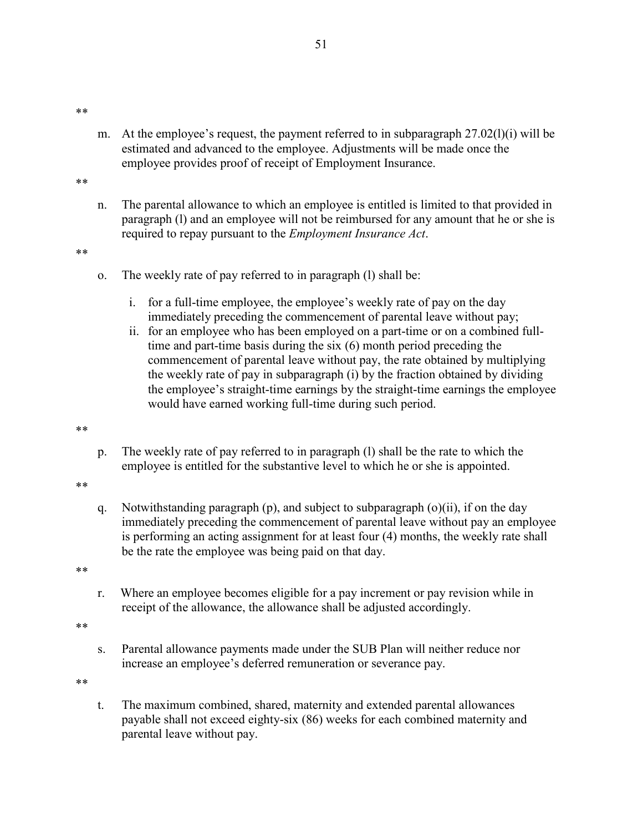\*\*

- m. At the employee's request, the payment referred to in subparagraph  $27.02(1)(i)$  will be estimated and advanced to the employee. Adjustments will be made once the employee provides proof of receipt of Employment Insurance.
- \*\*
- n. The parental allowance to which an employee is entitled is limited to that provided in paragraph (l) and an employee will not be reimbursed for any amount that he or she is required to repay pursuant to the *Employment Insurance Act*.

\*\*

- o. The weekly rate of pay referred to in paragraph (l) shall be:
	- i. for a full-time employee, the employee's weekly rate of pay on the day immediately preceding the commencement of parental leave without pay;
	- ii. for an employee who has been employed on a part-time or on a combined fulltime and part-time basis during the six (6) month period preceding the commencement of parental leave without pay, the rate obtained by multiplying the weekly rate of pay in subparagraph (i) by the fraction obtained by dividing the employee's straight-time earnings by the straight-time earnings the employee would have earned working full-time during such period.

\*\*

- p. The weekly rate of pay referred to in paragraph (l) shall be the rate to which the employee is entitled for the substantive level to which he or she is appointed.
- \*\*
- q. Notwithstanding paragraph (p), and subject to subparagraph (o)(ii), if on the day immediately preceding the commencement of parental leave without pay an employee is performing an acting assignment for at least four (4) months, the weekly rate shall be the rate the employee was being paid on that day.

\*\*

r. Where an employee becomes eligible for a pay increment or pay revision while in receipt of the allowance, the allowance shall be adjusted accordingly.

\*\*

s. Parental allowance payments made under the SUB Plan will neither reduce nor increase an employee's deferred remuneration or severance pay.

\*\*

t. The maximum combined, shared, maternity and extended parental allowances payable shall not exceed eighty-six (86) weeks for each combined maternity and parental leave without pay.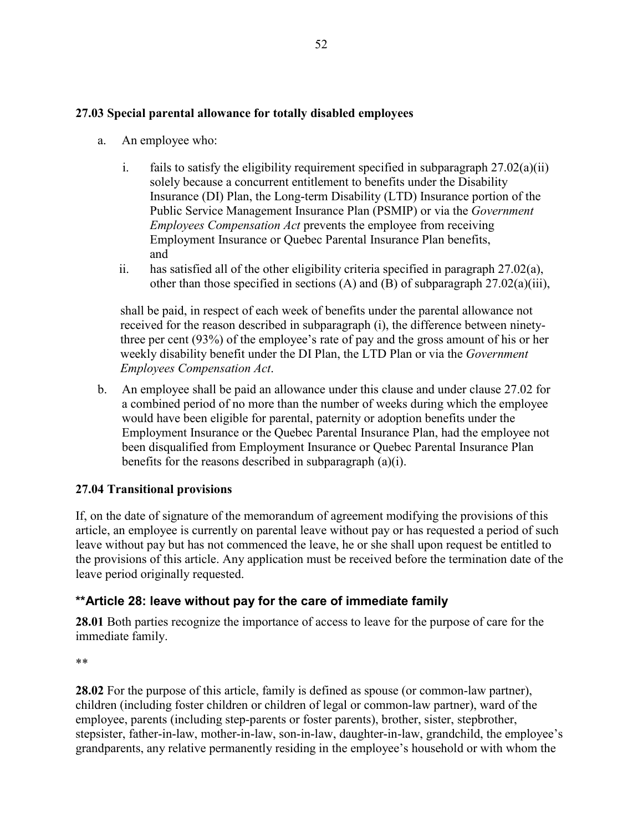# **27.03 Special parental allowance for totally disabled employees**

- a. An employee who:
	- i. fails to satisfy the eligibility requirement specified in subparagraph  $27.02(a)(ii)$ solely because a concurrent entitlement to benefits under the Disability Insurance (DI) Plan, the Long-term Disability (LTD) Insurance portion of the Public Service Management Insurance Plan (PSMIP) or via the *Government Employees Compensation Act* prevents the employee from receiving Employment Insurance or Quebec Parental Insurance Plan benefits, and
	- ii. has satisfied all of the other eligibility criteria specified in paragraph  $27.02(a)$ , other than those specified in sections (A) and (B) of subparagraph  $27.02(a)(iii)$ ,

shall be paid, in respect of each week of benefits under the parental allowance not received for the reason described in subparagraph (i), the difference between ninetythree per cent (93%) of the employee's rate of pay and the gross amount of his or her weekly disability benefit under the DI Plan, the LTD Plan or via the *Government Employees Compensation Act*.

b. An employee shall be paid an allowance under this clause and under clause 27.02 for a combined period of no more than the number of weeks during which the employee would have been eligible for parental, paternity or adoption benefits under the Employment Insurance or the Quebec Parental Insurance Plan, had the employee not been disqualified from Employment Insurance or Quebec Parental Insurance Plan benefits for the reasons described in subparagraph (a)(i).

# **27.04 Transitional provisions**

If, on the date of signature of the memorandum of agreement modifying the provisions of this article, an employee is currently on parental leave without pay or has requested a period of such leave without pay but has not commenced the leave, he or she shall upon request be entitled to the provisions of this article. Any application must be received before the termination date of the leave period originally requested.

# **\*\*Article 28: leave without pay for the care of immediate family**

**28.01** Both parties recognize the importance of access to leave for the purpose of care for the immediate family.

\*\*

**28.02** For the purpose of this article, family is defined as spouse (or common-law partner), children (including foster children or children of legal or common-law partner), ward of the employee, parents (including step-parents or foster parents), brother, sister, stepbrother, stepsister, father-in-law, mother-in-law, son-in-law, daughter-in-law, grandchild, the employee's grandparents, any relative permanently residing in the employee's household or with whom the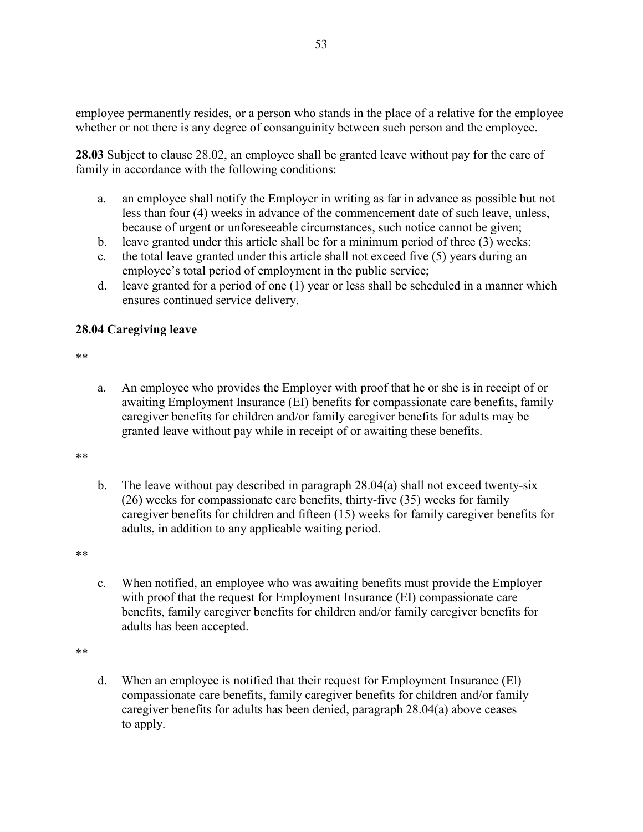employee permanently resides, or a person who stands in the place of a relative for the employee whether or not there is any degree of consanguinity between such person and the employee.

**28.03** Subject to clause 28.02, an employee shall be granted leave without pay for the care of family in accordance with the following conditions:

- a. an employee shall notify the Employer in writing as far in advance as possible but not less than four (4) weeks in advance of the commencement date of such leave, unless, because of urgent or unforeseeable circumstances, such notice cannot be given;
- b. leave granted under this article shall be for a minimum period of three (3) weeks;
- c. the total leave granted under this article shall not exceed five (5) years during an employee's total period of employment in the public service;
- d. leave granted for a period of one (1) year or less shall be scheduled in a manner which ensures continued service delivery.

### **28.04 Caregiving leave**

\*\*

a. An employee who provides the Employer with proof that he or she is in receipt of or awaiting Employment Insurance (EI) benefits for compassionate care benefits, family caregiver benefits for children and/or family caregiver benefits for adults may be granted leave without pay while in receipt of or awaiting these benefits.

#### \*\*

b. The leave without pay described in paragraph 28.04(a) shall not exceed twenty-six (26) weeks for compassionate care benefits, thirty-five (35) weeks for family caregiver benefits for children and fifteen (15) weeks for family caregiver benefits for adults, in addition to any applicable waiting period.

\*\*

c. When notified, an employee who was awaiting benefits must provide the Employer with proof that the request for Employment Insurance (EI) compassionate care benefits, family caregiver benefits for children and/or family caregiver benefits for adults has been accepted.

\*\*

d. When an employee is notified that their request for Employment Insurance (El) compassionate care benefits, family caregiver benefits for children and/or family caregiver benefits for adults has been denied, paragraph 28.04(a) above ceases to apply.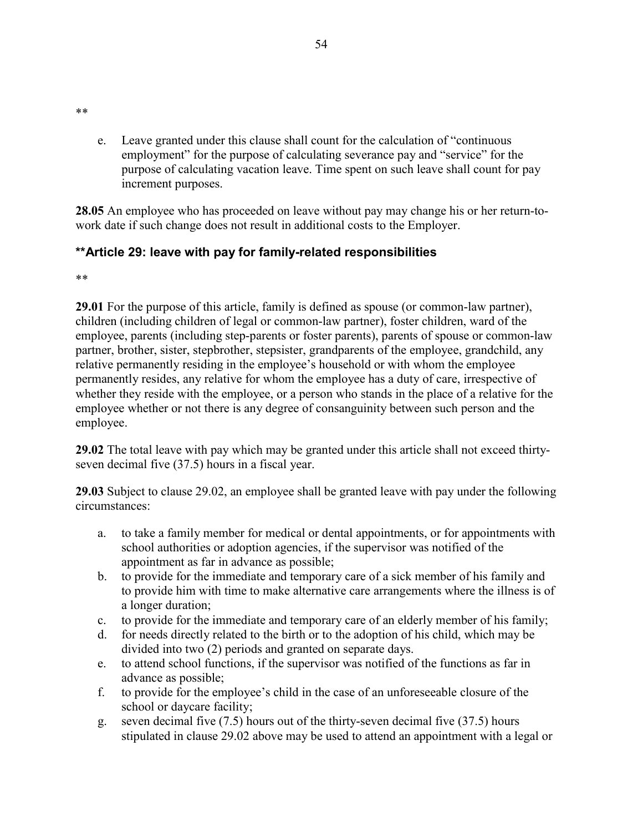- \*\*
- e. Leave granted under this clause shall count for the calculation of "continuous employment" for the purpose of calculating severance pay and "service" for the purpose of calculating vacation leave. Time spent on such leave shall count for pay increment purposes.

**28.05** An employee who has proceeded on leave without pay may change his or her return-towork date if such change does not result in additional costs to the Employer.

# **\*\*Article 29: leave with pay for family-related responsibilities**

\*\*

**29.01** For the purpose of this article, family is defined as spouse (or common-law partner), children (including children of legal or common-law partner), foster children, ward of the employee, parents (including step-parents or foster parents), parents of spouse or common-law partner, brother, sister, stepbrother, stepsister, grandparents of the employee, grandchild, any relative permanently residing in the employee's household or with whom the employee permanently resides, any relative for whom the employee has a duty of care, irrespective of whether they reside with the employee, or a person who stands in the place of a relative for the employee whether or not there is any degree of consanguinity between such person and the employee.

**29.02** The total leave with pay which may be granted under this article shall not exceed thirtyseven decimal five (37.5) hours in a fiscal year.

**29.03** Subject to clause 29.02, an employee shall be granted leave with pay under the following circumstances:

- a. to take a family member for medical or dental appointments, or for appointments with school authorities or adoption agencies, if the supervisor was notified of the appointment as far in advance as possible;
- b. to provide for the immediate and temporary care of a sick member of his family and to provide him with time to make alternative care arrangements where the illness is of a longer duration;
- c. to provide for the immediate and temporary care of an elderly member of his family;
- d. for needs directly related to the birth or to the adoption of his child, which may be divided into two (2) periods and granted on separate days.
- e. to attend school functions, if the supervisor was notified of the functions as far in advance as possible;
- f. to provide for the employee's child in the case of an unforeseeable closure of the school or daycare facility;
- g. seven decimal five (7.5) hours out of the thirty-seven decimal five (37.5) hours stipulated in clause 29.02 above may be used to attend an appointment with a legal or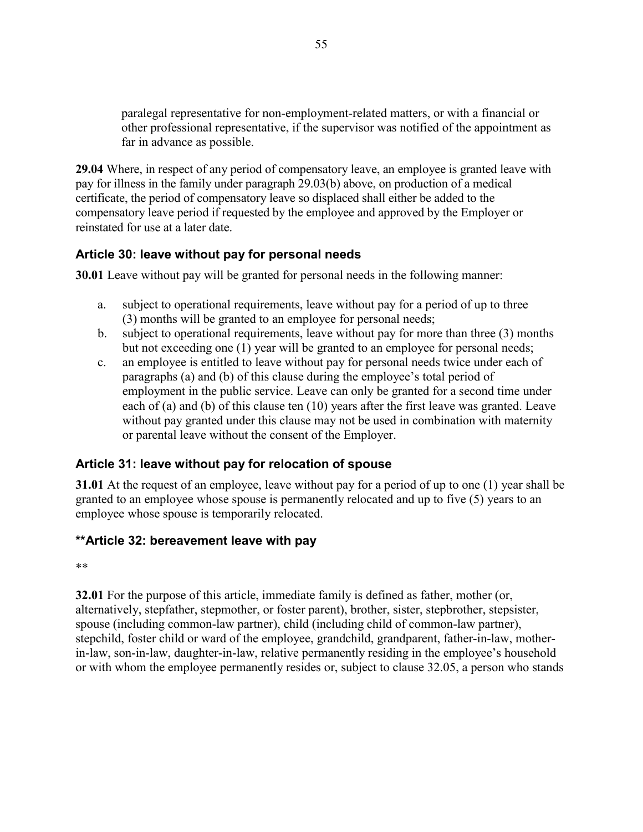paralegal representative for non-employment-related matters, or with a financial or other professional representative, if the supervisor was notified of the appointment as far in advance as possible.

**29.04** Where, in respect of any period of compensatory leave, an employee is granted leave with pay for illness in the family under paragraph 29.03(b) above, on production of a medical certificate, the period of compensatory leave so displaced shall either be added to the compensatory leave period if requested by the employee and approved by the Employer or reinstated for use at a later date.

# **Article 30: leave without pay for personal needs**

**30.01** Leave without pay will be granted for personal needs in the following manner:

- a. subject to operational requirements, leave without pay for a period of up to three (3) months will be granted to an employee for personal needs;
- b. subject to operational requirements, leave without pay for more than three (3) months but not exceeding one (1) year will be granted to an employee for personal needs;
- c. an employee is entitled to leave without pay for personal needs twice under each of paragraphs (a) and (b) of this clause during the employee's total period of employment in the public service. Leave can only be granted for a second time under each of (a) and (b) of this clause ten (10) years after the first leave was granted. Leave without pay granted under this clause may not be used in combination with maternity or parental leave without the consent of the Employer.

# **Article 31: leave without pay for relocation of spouse**

**31.01** At the request of an employee, leave without pay for a period of up to one (1) year shall be granted to an employee whose spouse is permanently relocated and up to five (5) years to an employee whose spouse is temporarily relocated.

# **\*\*Article 32: bereavement leave with pay**

\*\*

**32.01** For the purpose of this article, immediate family is defined as father, mother (or, alternatively, stepfather, stepmother, or foster parent), brother, sister, stepbrother, stepsister, spouse (including common-law partner), child (including child of common-law partner), stepchild, foster child or ward of the employee, grandchild, grandparent, father-in-law, motherin-law, son-in-law, daughter-in-law, relative permanently residing in the employee's household or with whom the employee permanently resides or, subject to clause 32.05, a person who stands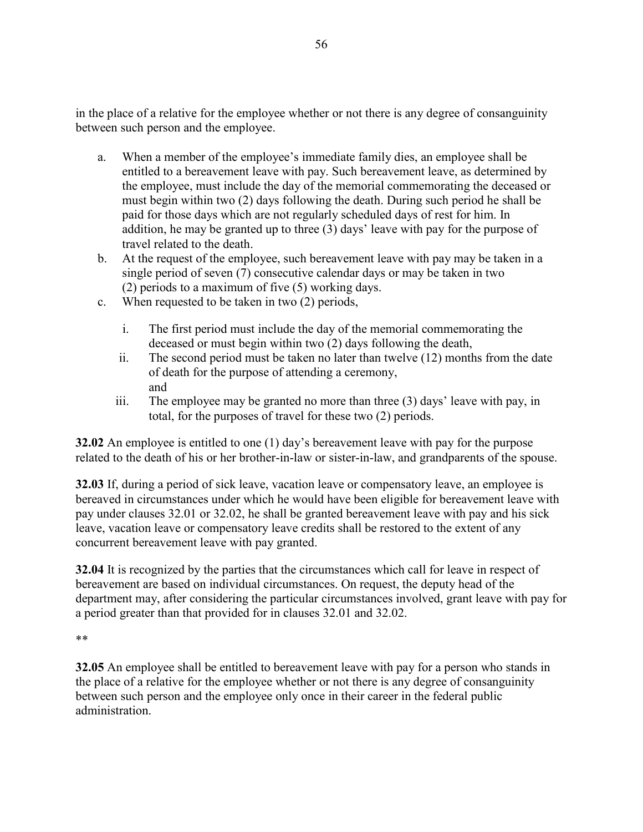in the place of a relative for the employee whether or not there is any degree of consanguinity between such person and the employee.

- a. When a member of the employee's immediate family dies, an employee shall be entitled to a bereavement leave with pay. Such bereavement leave, as determined by the employee, must include the day of the memorial commemorating the deceased or must begin within two (2) days following the death. During such period he shall be paid for those days which are not regularly scheduled days of rest for him. In addition, he may be granted up to three (3) days' leave with pay for the purpose of travel related to the death.
- b. At the request of the employee, such bereavement leave with pay may be taken in a single period of seven (7) consecutive calendar days or may be taken in two (2) periods to a maximum of five (5) working days.
- c. When requested to be taken in two (2) periods,
	- i. The first period must include the day of the memorial commemorating the deceased or must begin within two (2) days following the death,
	- ii. The second period must be taken no later than twelve (12) months from the date of death for the purpose of attending a ceremony, and
	- iii. The employee may be granted no more than three (3) days' leave with pay, in total, for the purposes of travel for these two (2) periods.

**32.02** An employee is entitled to one (1) day's bereavement leave with pay for the purpose related to the death of his or her brother-in-law or sister-in-law, and grandparents of the spouse.

**32.03** If, during a period of sick leave, vacation leave or compensatory leave, an employee is bereaved in circumstances under which he would have been eligible for bereavement leave with pay under clauses 32.01 or 32.02, he shall be granted bereavement leave with pay and his sick leave, vacation leave or compensatory leave credits shall be restored to the extent of any concurrent bereavement leave with pay granted.

**32.04** It is recognized by the parties that the circumstances which call for leave in respect of bereavement are based on individual circumstances. On request, the deputy head of the department may, after considering the particular circumstances involved, grant leave with pay for a period greater than that provided for in clauses 32.01 and 32.02.

\*\*

**32.05** An employee shall be entitled to bereavement leave with pay for a person who stands in the place of a relative for the employee whether or not there is any degree of consanguinity between such person and the employee only once in their career in the federal public administration.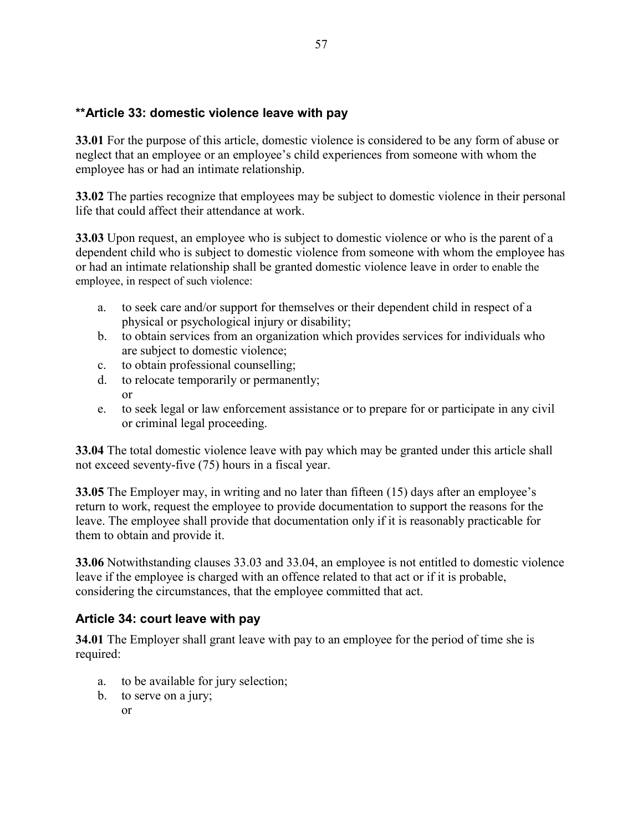# **\*\*Article 33: domestic violence leave with pay**

**33.01** For the purpose of this article, domestic violence is considered to be any form of abuse or neglect that an employee or an employee's child experiences from someone with whom the employee has or had an intimate relationship.

**33.02** The parties recognize that employees may be subject to domestic violence in their personal life that could affect their attendance at work.

**33.03** Upon request, an employee who is subject to domestic violence or who is the parent of a dependent child who is subject to domestic violence from someone with whom the employee has or had an intimate relationship shall be granted domestic violence leave in order to enable the employee, in respect of such violence:

- a. to seek care and/or support for themselves or their dependent child in respect of a physical or psychological injury or disability;
- b. to obtain services from an organization which provides services for individuals who are subject to domestic violence;
- c. to obtain professional counselling;
- d. to relocate temporarily or permanently; or
- e. to seek legal or law enforcement assistance or to prepare for or participate in any civil or criminal legal proceeding.

**33.04** The total domestic violence leave with pay which may be granted under this article shall not exceed seventy-five (75) hours in a fiscal year.

**33.05** The Employer may, in writing and no later than fifteen (15) days after an employee's return to work, request the employee to provide documentation to support the reasons for the leave. The employee shall provide that documentation only if it is reasonably practicable for them to obtain and provide it.

**33.06** Notwithstanding clauses 33.03 and 33.04, an employee is not entitled to domestic violence leave if the employee is charged with an offence related to that act or if it is probable, considering the circumstances, that the employee committed that act.

# **Article 34: court leave with pay**

**34.01** The Employer shall grant leave with pay to an employee for the period of time she is required:

- a. to be available for jury selection;
- b. to serve on a jury;
	- or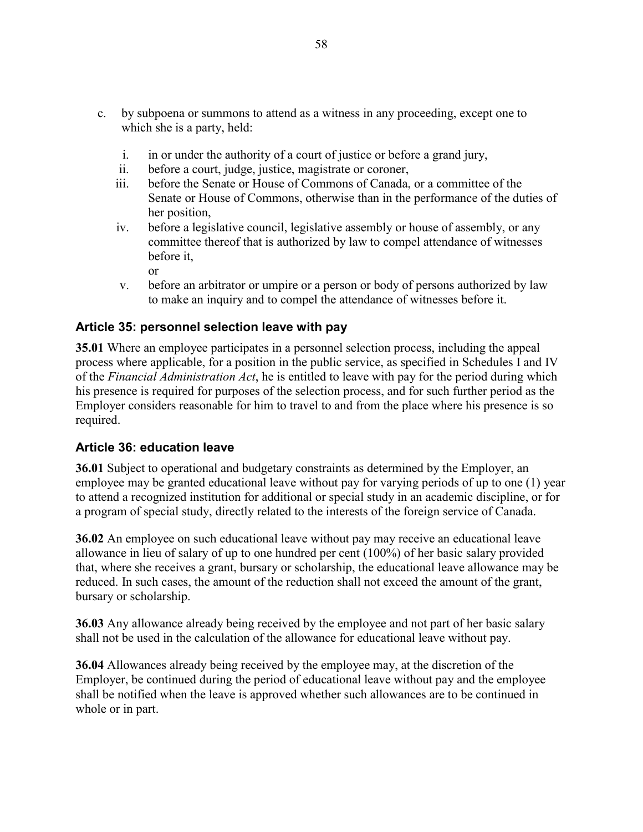- c. by subpoena or summons to attend as a witness in any proceeding, except one to which she is a party, held:
	- i. in or under the authority of a court of justice or before a grand jury,
	- ii. before a court, judge, justice, magistrate or coroner,
	- iii. before the Senate or House of Commons of Canada, or a committee of the Senate or House of Commons, otherwise than in the performance of the duties of her position,
	- iv. before a legislative council, legislative assembly or house of assembly, or any committee thereof that is authorized by law to compel attendance of witnesses before it,
		- or
	- v. before an arbitrator or umpire or a person or body of persons authorized by law to make an inquiry and to compel the attendance of witnesses before it.

# **Article 35: personnel selection leave with pay**

**35.01** Where an employee participates in a personnel selection process, including the appeal process where applicable, for a position in the public service, as specified in Schedules I and IV of the *Financial Administration Act*, he is entitled to leave with pay for the period during which his presence is required for purposes of the selection process, and for such further period as the Employer considers reasonable for him to travel to and from the place where his presence is so required.

# **Article 36: education leave**

**36.01** Subject to operational and budgetary constraints as determined by the Employer, an employee may be granted educational leave without pay for varying periods of up to one (1) year to attend a recognized institution for additional or special study in an academic discipline, or for a program of special study, directly related to the interests of the foreign service of Canada.

**36.02** An employee on such educational leave without pay may receive an educational leave allowance in lieu of salary of up to one hundred per cent (100%) of her basic salary provided that, where she receives a grant, bursary or scholarship, the educational leave allowance may be reduced. In such cases, the amount of the reduction shall not exceed the amount of the grant, bursary or scholarship.

**36.03** Any allowance already being received by the employee and not part of her basic salary shall not be used in the calculation of the allowance for educational leave without pay.

**36.04** Allowances already being received by the employee may, at the discretion of the Employer, be continued during the period of educational leave without pay and the employee shall be notified when the leave is approved whether such allowances are to be continued in whole or in part.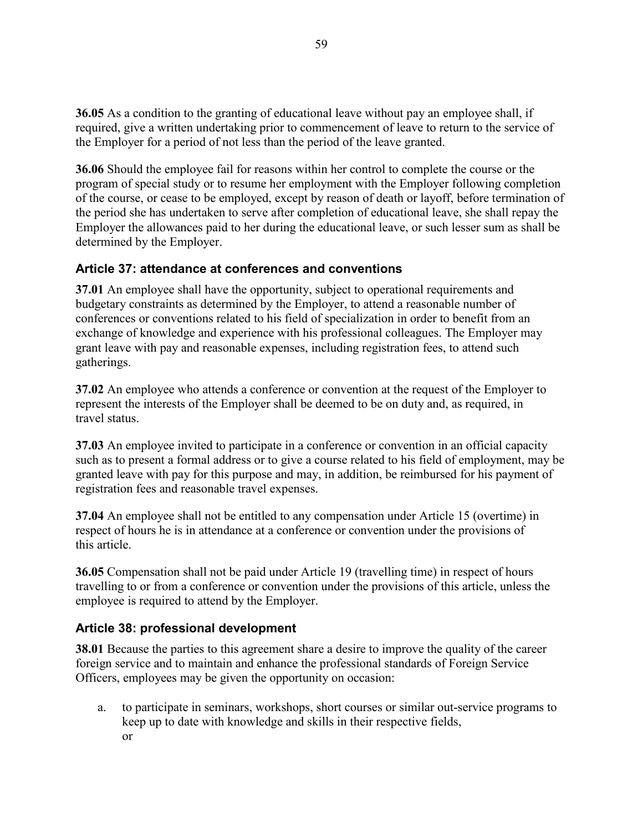**36.05** As a condition to the granting of educational leave without pay an employee shall, if required, give a written undertaking prior to commencement of leave to return to the service of the Employer for a period of not less than the period of the leave granted.

**36.06** Should the employee fail for reasons within her control to complete the course or the program of special study or to resume her employment with the Employer following completion of the course, or cease to be employed, except by reason of death or layoff, before termination of the period she has undertaken to serve after completion of educational leave, she shall repay the Employer the allowances paid to her during the educational leave, or such lesser sum as shall be determined by the Employer.

# **Article 37: attendance at conferences and conventions**

**37.01** An employee shall have the opportunity, subject to operational requirements and budgetary constraints as determined by the Employer, to attend a reasonable number of conferences or conventions related to his field of specialization in order to benefit from an exchange of knowledge and experience with his professional colleagues. The Employer may grant leave with pay and reasonable expenses, including registration fees, to attend such gatherings.

**37.02** An employee who attends a conference or convention at the request of the Employer to represent the interests of the Employer shall be deemed to be on duty and, as required, in travel status.

**37.03** An employee invited to participate in a conference or convention in an official capacity such as to present a formal address or to give a course related to his field of employment, may be granted leave with pay for this purpose and may, in addition, be reimbursed for his payment of registration fees and reasonable travel expenses.

**37.04** An employee shall not be entitled to any compensation under Article 15 (overtime) in respect of hours he is in attendance at a conference or convention under the provisions of this article.

**36.05** Compensation shall not be paid under Article 19 (travelling time) in respect of hours travelling to or from a conference or convention under the provisions of this article, unless the employee is required to attend by the Employer.

# **Article 38: professional development**

**38.01** Because the parties to this agreement share a desire to improve the quality of the career foreign service and to maintain and enhance the professional standards of Foreign Service Officers, employees may be given the opportunity on occasion:

a. to participate in seminars, workshops, short courses or similar out-service programs to keep up to date with knowledge and skills in their respective fields, or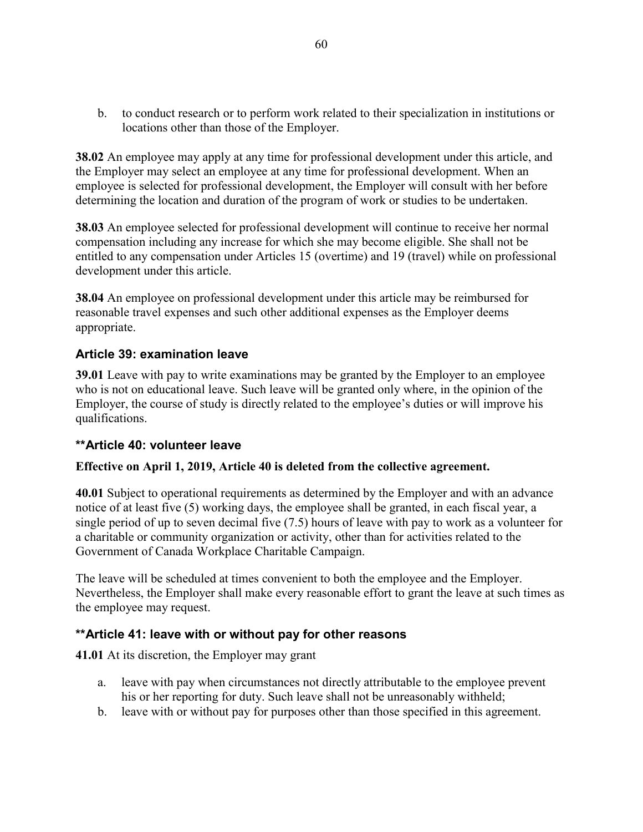b. to conduct research or to perform work related to their specialization in institutions or locations other than those of the Employer.

**38.02** An employee may apply at any time for professional development under this article, and the Employer may select an employee at any time for professional development. When an employee is selected for professional development, the Employer will consult with her before determining the location and duration of the program of work or studies to be undertaken.

**38.03** An employee selected for professional development will continue to receive her normal compensation including any increase for which she may become eligible. She shall not be entitled to any compensation under Articles 15 (overtime) and 19 (travel) while on professional development under this article.

**38.04** An employee on professional development under this article may be reimbursed for reasonable travel expenses and such other additional expenses as the Employer deems appropriate.

# **Article 39: examination leave**

**39.01** Leave with pay to write examinations may be granted by the Employer to an employee who is not on educational leave. Such leave will be granted only where, in the opinion of the Employer, the course of study is directly related to the employee's duties or will improve his qualifications.

### **\*\*Article 40: volunteer leave**

### **Effective on April 1, 2019, Article 40 is deleted from the collective agreement.**

**40.01** Subject to operational requirements as determined by the Employer and with an advance notice of at least five (5) working days, the employee shall be granted, in each fiscal year, a single period of up to seven decimal five (7.5) hours of leave with pay to work as a volunteer for a charitable or community organization or activity, other than for activities related to the Government of Canada Workplace Charitable Campaign.

The leave will be scheduled at times convenient to both the employee and the Employer. Nevertheless, the Employer shall make every reasonable effort to grant the leave at such times as the employee may request.

# **\*\*Article 41: leave with or without pay for other reasons**

**41.01** At its discretion, the Employer may grant

- a. leave with pay when circumstances not directly attributable to the employee prevent his or her reporting for duty. Such leave shall not be unreasonably withheld;
- b. leave with or without pay for purposes other than those specified in this agreement.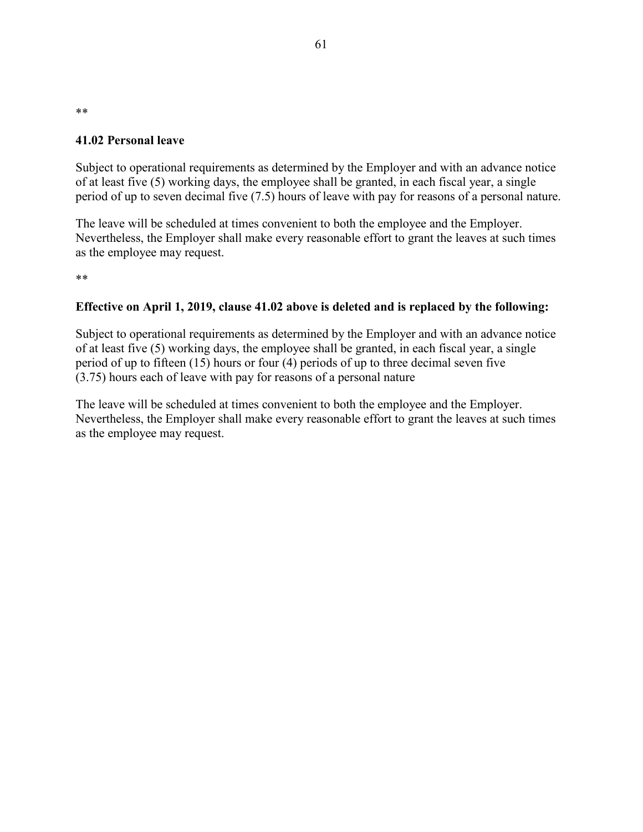### **41.02 Personal leave**

Subject to operational requirements as determined by the Employer and with an advance notice of at least five (5) working days, the employee shall be granted, in each fiscal year, a single period of up to seven decimal five (7.5) hours of leave with pay for reasons of a personal nature.

The leave will be scheduled at times convenient to both the employee and the Employer. Nevertheless, the Employer shall make every reasonable effort to grant the leaves at such times as the employee may request.

\*\*

\*\*

### **Effective on April 1, 2019, clause 41.02 above is deleted and is replaced by the following:**

Subject to operational requirements as determined by the Employer and with an advance notice of at least five (5) working days, the employee shall be granted, in each fiscal year, a single period of up to fifteen (15) hours or four (4) periods of up to three decimal seven five (3.75) hours each of leave with pay for reasons of a personal nature

The leave will be scheduled at times convenient to both the employee and the Employer. Nevertheless, the Employer shall make every reasonable effort to grant the leaves at such times as the employee may request.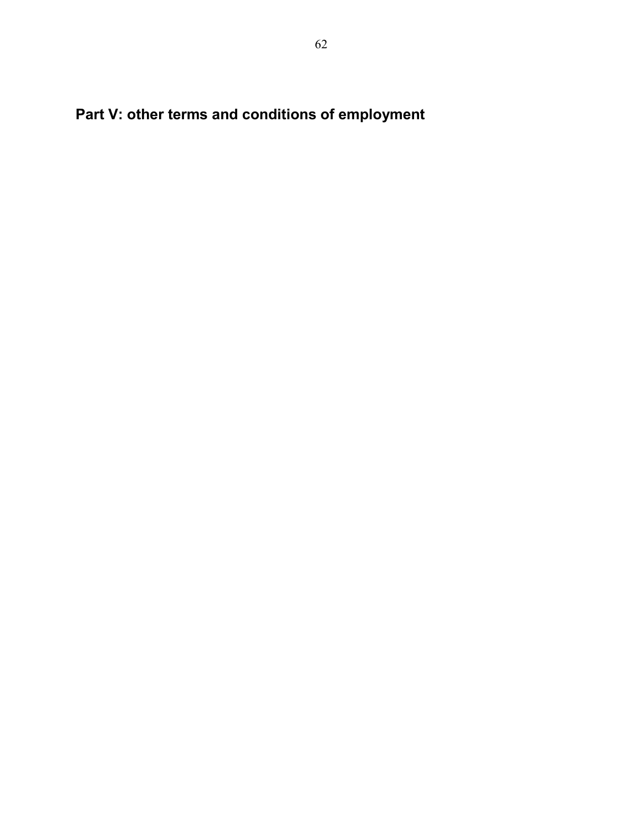**Part V: other terms and conditions of employment**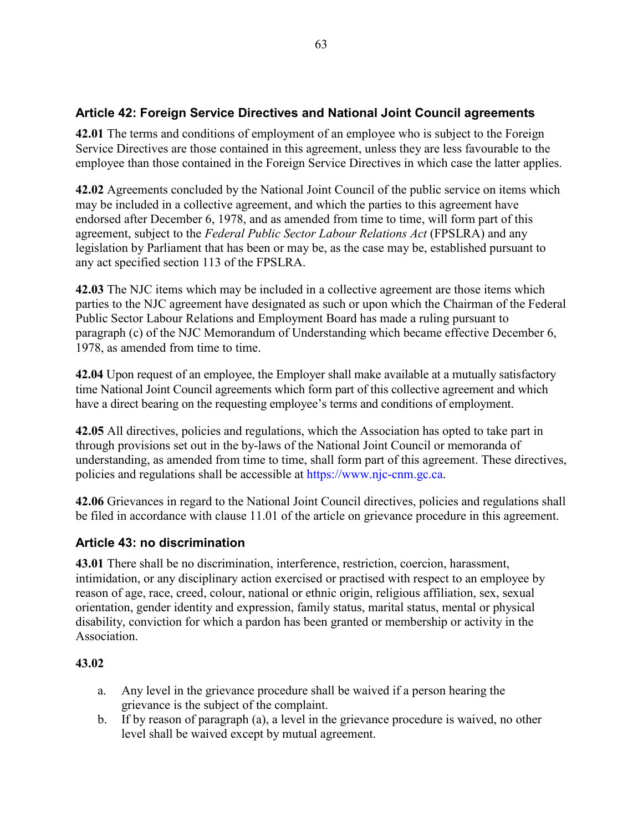# **Article 42: Foreign Service Directives and National Joint Council agreements**

**42.01** The terms and conditions of employment of an employee who is subject to the Foreign Service Directives are those contained in this agreement, unless they are less favourable to the employee than those contained in the Foreign Service Directives in which case the latter applies.

**42.02** Agreements concluded by the National Joint Council of the public service on items which may be included in a collective agreement, and which the parties to this agreement have endorsed after December 6, 1978, and as amended from time to time, will form part of this agreement, subject to the *Federal Public Sector Labour Relations Act* (FPSLRA) and any legislation by Parliament that has been or may be, as the case may be, established pursuant to any act specified section 113 of the FPSLRA.

**42.03** The NJC items which may be included in a collective agreement are those items which parties to the NJC agreement have designated as such or upon which the Chairman of the Federal Public Sector Labour Relations and Employment Board has made a ruling pursuant to paragraph (c) of the NJC Memorandum of Understanding which became effective December 6, 1978, as amended from time to time.

**42.04** Upon request of an employee, the Employer shall make available at a mutually satisfactory time National Joint Council agreements which form part of this collective agreement and which have a direct bearing on the requesting employee's terms and conditions of employment.

**42.05** All directives, policies and regulations, which the Association has opted to take part in through provisions set out in the by-laws of the National Joint Council or memoranda of understanding, as amended from time to time, shall form part of this agreement. These directives, policies and regulations shall be accessible at https://www.njc-cnm.gc.ca.

**42.06** Grievances in regard to the National Joint Council directives, policies and regulations shall be filed in accordance with clause 11.01 of the article on grievance procedure in this agreement.

# **Article 43: no discrimination**

**43.01** There shall be no discrimination, interference, restriction, coercion, harassment, intimidation, or any disciplinary action exercised or practised with respect to an employee by reason of age, race, creed, colour, national or ethnic origin, religious affiliation, sex, sexual orientation, gender identity and expression, family status, marital status, mental or physical disability, conviction for which a pardon has been granted or membership or activity in the Association.

# **43.02**

- a. Any level in the grievance procedure shall be waived if a person hearing the grievance is the subject of the complaint.
- b. If by reason of paragraph (a), a level in the grievance procedure is waived, no other level shall be waived except by mutual agreement.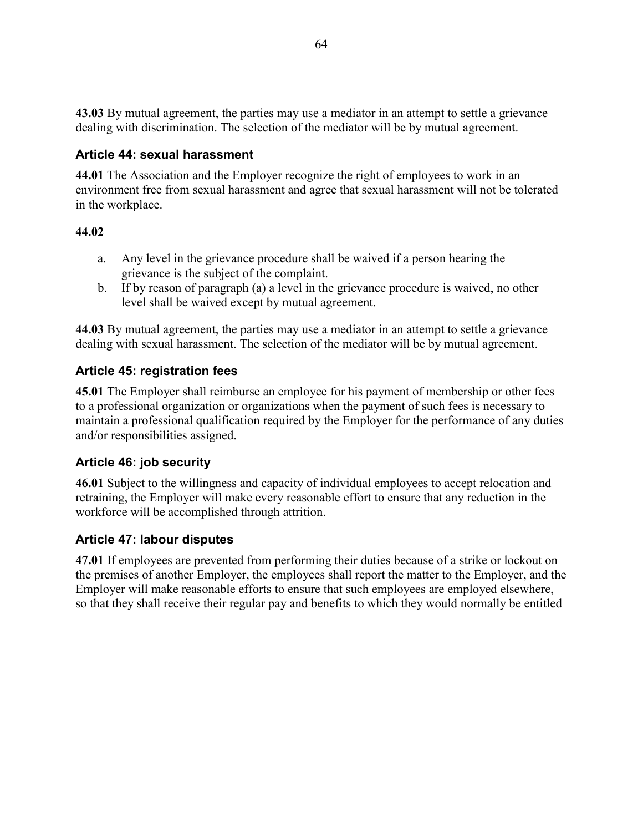**43.03** By mutual agreement, the parties may use a mediator in an attempt to settle a grievance dealing with discrimination. The selection of the mediator will be by mutual agreement.

# **Article 44: sexual harassment**

**44.01** The Association and the Employer recognize the right of employees to work in an environment free from sexual harassment and agree that sexual harassment will not be tolerated in the workplace.

# **44.02**

- a. Any level in the grievance procedure shall be waived if a person hearing the grievance is the subject of the complaint.
- b. If by reason of paragraph (a) a level in the grievance procedure is waived, no other level shall be waived except by mutual agreement.

**44.03** By mutual agreement, the parties may use a mediator in an attempt to settle a grievance dealing with sexual harassment. The selection of the mediator will be by mutual agreement.

# **Article 45: registration fees**

**45.01** The Employer shall reimburse an employee for his payment of membership or other fees to a professional organization or organizations when the payment of such fees is necessary to maintain a professional qualification required by the Employer for the performance of any duties and/or responsibilities assigned.

# **Article 46: job security**

**46.01** Subject to the willingness and capacity of individual employees to accept relocation and retraining, the Employer will make every reasonable effort to ensure that any reduction in the workforce will be accomplished through attrition.

# **Article 47: labour disputes**

**47.01** If employees are prevented from performing their duties because of a strike or lockout on the premises of another Employer, the employees shall report the matter to the Employer, and the Employer will make reasonable efforts to ensure that such employees are employed elsewhere, so that they shall receive their regular pay and benefits to which they would normally be entitled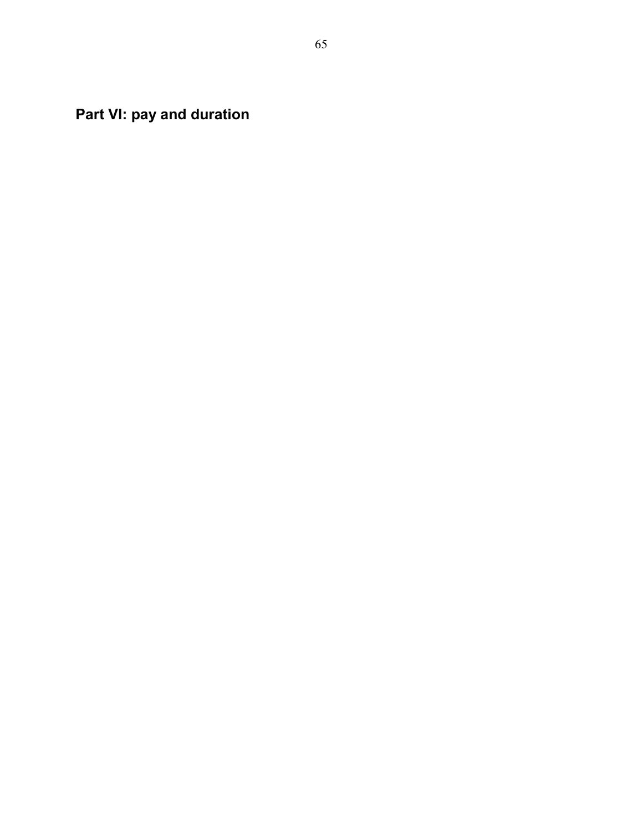**Part VI: pay and duration**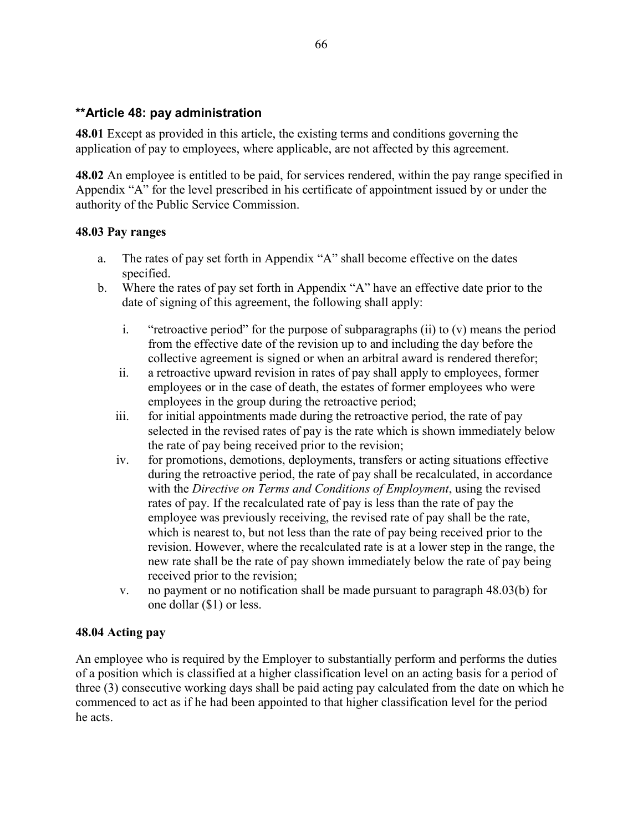### **\*\*Article 48: pay administration**

**48.01** Except as provided in this article, the existing terms and conditions governing the application of pay to employees, where applicable, are not affected by this agreement.

**48.02** An employee is entitled to be paid, for services rendered, within the pay range specified in Appendix "A" for the level prescribed in his certificate of appointment issued by or under the authority of the Public Service Commission.

### **48.03 Pay ranges**

- a. The rates of pay set forth in Appendix "A" shall become effective on the dates specified.
- b. Where the rates of pay set forth in Appendix "A" have an effective date prior to the date of signing of this agreement, the following shall apply:
	- i. "retroactive period" for the purpose of subparagraphs (ii) to (v) means the period from the effective date of the revision up to and including the day before the collective agreement is signed or when an arbitral award is rendered therefor;
	- ii. a retroactive upward revision in rates of pay shall apply to employees, former employees or in the case of death, the estates of former employees who were employees in the group during the retroactive period;
	- iii. for initial appointments made during the retroactive period, the rate of pay selected in the revised rates of pay is the rate which is shown immediately below the rate of pay being received prior to the revision;
	- iv. for promotions, demotions, deployments, transfers or acting situations effective during the retroactive period, the rate of pay shall be recalculated, in accordance with the *Directive on Terms and Conditions of Employment*, using the revised rates of pay. If the recalculated rate of pay is less than the rate of pay the employee was previously receiving, the revised rate of pay shall be the rate, which is nearest to, but not less than the rate of pay being received prior to the revision. However, where the recalculated rate is at a lower step in the range, the new rate shall be the rate of pay shown immediately below the rate of pay being received prior to the revision;
	- v. no payment or no notification shall be made pursuant to paragraph 48.03(b) for one dollar (\$1) or less.

### **48.04 Acting pay**

An employee who is required by the Employer to substantially perform and performs the duties of a position which is classified at a higher classification level on an acting basis for a period of three (3) consecutive working days shall be paid acting pay calculated from the date on which he commenced to act as if he had been appointed to that higher classification level for the period he acts.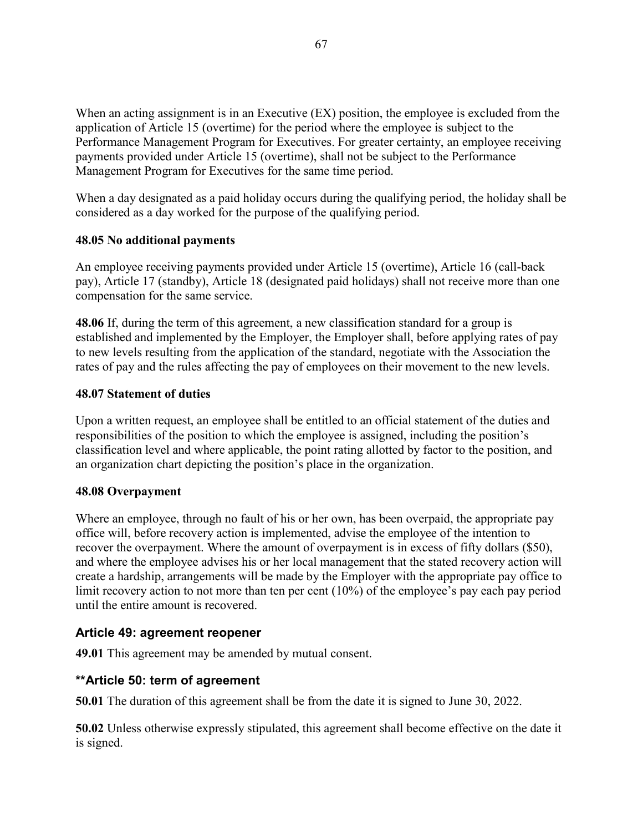When an acting assignment is in an Executive (EX) position, the employee is excluded from the application of Article 15 (overtime) for the period where the employee is subject to the Performance Management Program for Executives. For greater certainty, an employee receiving payments provided under Article 15 (overtime), shall not be subject to the Performance Management Program for Executives for the same time period.

When a day designated as a paid holiday occurs during the qualifying period, the holiday shall be considered as a day worked for the purpose of the qualifying period.

# **48.05 No additional payments**

An employee receiving payments provided under Article 15 (overtime), Article 16 (call-back pay), Article 17 (standby), Article 18 (designated paid holidays) shall not receive more than one compensation for the same service.

**48.06** If, during the term of this agreement, a new classification standard for a group is established and implemented by the Employer, the Employer shall, before applying rates of pay to new levels resulting from the application of the standard, negotiate with the Association the rates of pay and the rules affecting the pay of employees on their movement to the new levels.

## **48.07 Statement of duties**

Upon a written request, an employee shall be entitled to an official statement of the duties and responsibilities of the position to which the employee is assigned, including the position's classification level and where applicable, the point rating allotted by factor to the position, and an organization chart depicting the position's place in the organization.

### **48.08 Overpayment**

Where an employee, through no fault of his or her own, has been overpaid, the appropriate pay office will, before recovery action is implemented, advise the employee of the intention to recover the overpayment. Where the amount of overpayment is in excess of fifty dollars (\$50), and where the employee advises his or her local management that the stated recovery action will create a hardship, arrangements will be made by the Employer with the appropriate pay office to limit recovery action to not more than ten per cent (10%) of the employee's pay each pay period until the entire amount is recovered.

# **Article 49: agreement reopener**

**49.01** This agreement may be amended by mutual consent.

# **\*\*Article 50: term of agreement**

**50.01** The duration of this agreement shall be from the date it is signed to June 30, 2022.

**50.02** Unless otherwise expressly stipulated, this agreement shall become effective on the date it is signed.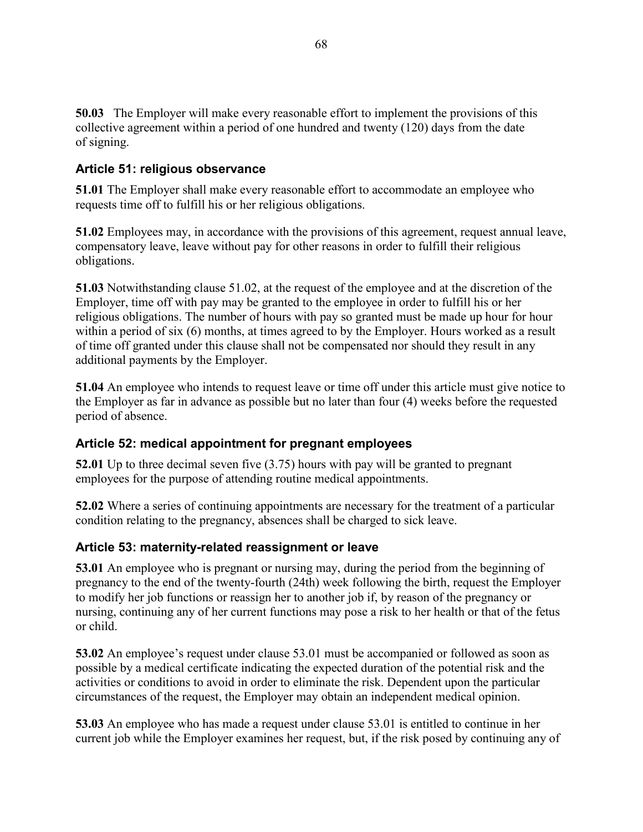**50.03** The Employer will make every reasonable effort to implement the provisions of this collective agreement within a period of one hundred and twenty (120) days from the date of signing.

# **Article 51: religious observance**

**51.01** The Employer shall make every reasonable effort to accommodate an employee who requests time off to fulfill his or her religious obligations.

**51.02** Employees may, in accordance with the provisions of this agreement, request annual leave, compensatory leave, leave without pay for other reasons in order to fulfill their religious obligations.

**51.03** Notwithstanding clause 51.02, at the request of the employee and at the discretion of the Employer, time off with pay may be granted to the employee in order to fulfill his or her religious obligations. The number of hours with pay so granted must be made up hour for hour within a period of six (6) months, at times agreed to by the Employer. Hours worked as a result of time off granted under this clause shall not be compensated nor should they result in any additional payments by the Employer.

**51.04** An employee who intends to request leave or time off under this article must give notice to the Employer as far in advance as possible but no later than four (4) weeks before the requested period of absence.

# **Article 52: medical appointment for pregnant employees**

**52.01** Up to three decimal seven five (3.75) hours with pay will be granted to pregnant employees for the purpose of attending routine medical appointments.

**52.02** Where a series of continuing appointments are necessary for the treatment of a particular condition relating to the pregnancy, absences shall be charged to sick leave.

# **Article 53: maternity-related reassignment or leave**

**53.01** An employee who is pregnant or nursing may, during the period from the beginning of pregnancy to the end of the twenty-fourth (24th) week following the birth, request the Employer to modify her job functions or reassign her to another job if, by reason of the pregnancy or nursing, continuing any of her current functions may pose a risk to her health or that of the fetus or child.

**53.02** An employee's request under clause 53.01 must be accompanied or followed as soon as possible by a medical certificate indicating the expected duration of the potential risk and the activities or conditions to avoid in order to eliminate the risk. Dependent upon the particular circumstances of the request, the Employer may obtain an independent medical opinion.

**53.03** An employee who has made a request under clause 53.01 is entitled to continue in her current job while the Employer examines her request, but, if the risk posed by continuing any of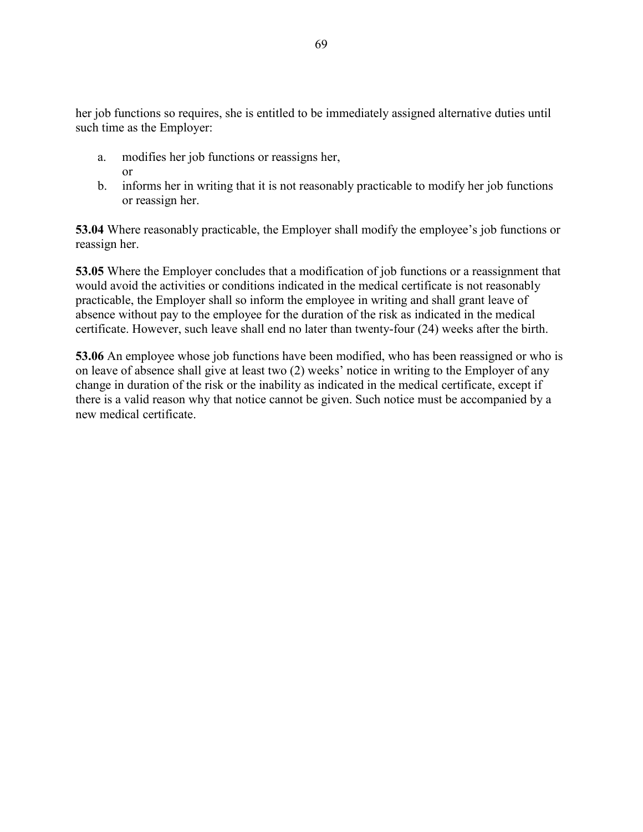her job functions so requires, she is entitled to be immediately assigned alternative duties until such time as the Employer:

- a. modifies her job functions or reassigns her, or
- b. informs her in writing that it is not reasonably practicable to modify her job functions or reassign her.

**53.04** Where reasonably practicable, the Employer shall modify the employee's job functions or reassign her.

**53.05** Where the Employer concludes that a modification of job functions or a reassignment that would avoid the activities or conditions indicated in the medical certificate is not reasonably practicable, the Employer shall so inform the employee in writing and shall grant leave of absence without pay to the employee for the duration of the risk as indicated in the medical certificate. However, such leave shall end no later than twenty-four (24) weeks after the birth.

**53.06** An employee whose job functions have been modified, who has been reassigned or who is on leave of absence shall give at least two (2) weeks' notice in writing to the Employer of any change in duration of the risk or the inability as indicated in the medical certificate, except if there is a valid reason why that notice cannot be given. Such notice must be accompanied by a new medical certificate.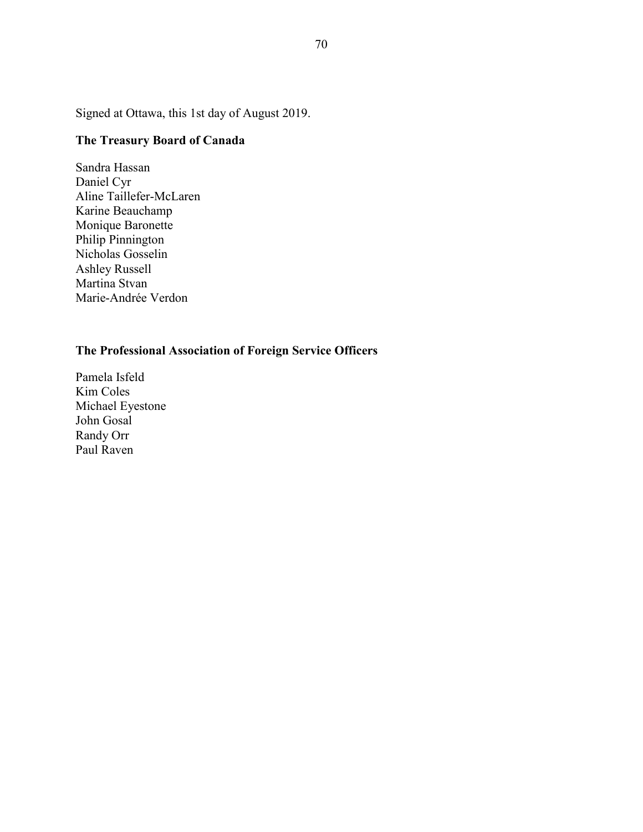Signed at Ottawa, this 1st day of August 2019.

# **The Treasury Board of Canada**

Sandra Hassan Daniel Cyr Aline Taillefer-McLaren Karine Beauchamp Monique Baronette Philip Pinnington Nicholas Gosselin Ashley Russell Martina Stvan Marie-Andrée Verdon

# **The Professional Association of Foreign Service Officers**

Pamela Isfeld Kim Coles Michael Eyestone John Gosal Randy Orr Paul Raven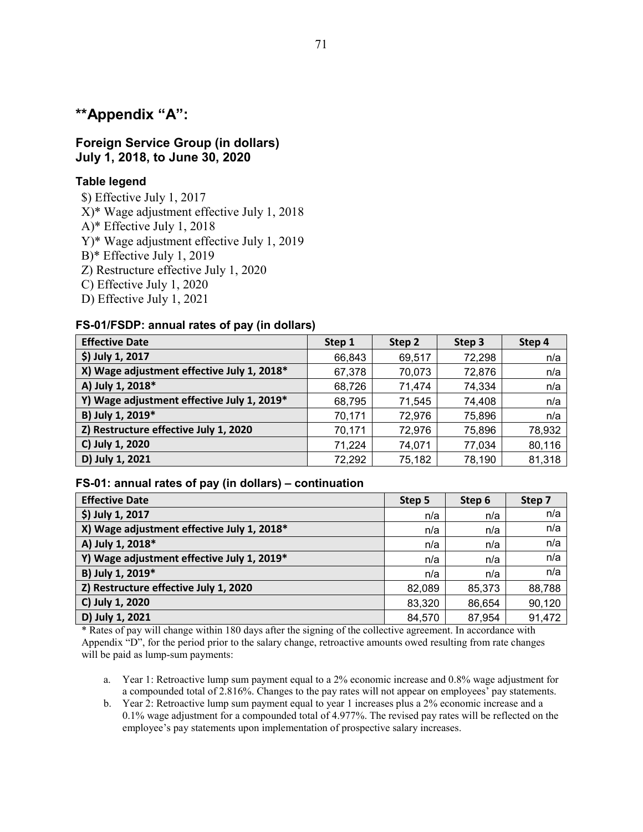# **\*\*Appendix "A":**

### **Foreign Service Group (in dollars) July 1, 2018, to June 30, 2020**

### **Table legend**

\$) Effective July 1, 2017

X)\* Wage adjustment effective July 1, 2018

A)\* Effective July 1, 2018

Y)\* Wage adjustment effective July 1, 2019

B)\* Effective July 1, 2019

- Z) Restructure effective July 1, 2020
- C) Effective July 1, 2020
- D) Effective July 1, 2021

### **FS-01/FSDP: annual rates of pay (in dollars)**

| <b>Effective Date</b>                      | Step 1 | Step 2 | Step 3 | Step 4 |
|--------------------------------------------|--------|--------|--------|--------|
| \$) July 1, 2017                           | 66,843 | 69,517 | 72,298 | n/a    |
| X) Wage adjustment effective July 1, 2018* | 67,378 | 70,073 | 72,876 | n/a    |
| A) July 1, 2018*                           | 68,726 | 71,474 | 74,334 | n/a    |
| Y) Wage adjustment effective July 1, 2019* | 68,795 | 71,545 | 74,408 | n/a    |
| B) July 1, 2019*                           | 70,171 | 72,976 | 75,896 | n/a    |
| Z) Restructure effective July 1, 2020      | 70,171 | 72,976 | 75,896 | 78,932 |
| C) July 1, 2020                            | 71,224 | 74,071 | 77,034 | 80,116 |
| D) July 1, 2021                            | 72,292 | 75,182 | 78,190 | 81,318 |

### **FS-01: annual rates of pay (in dollars) – continuation**

| <b>Effective Date</b>                      | Step 5 | Step 6 | Step 7 |
|--------------------------------------------|--------|--------|--------|
| \$) July 1, 2017                           | n/a    | n/a    | n/a    |
| X) Wage adjustment effective July 1, 2018* | n/a    | n/a    | n/a    |
| A) July 1, 2018*                           | n/a    | n/a    | n/a    |
| Y) Wage adjustment effective July 1, 2019* | n/a    | n/a    | n/a    |
| B) July 1, 2019*                           | n/a    | n/a    | n/a    |
| Z) Restructure effective July 1, 2020      | 82,089 | 85,373 | 88,788 |
| C) July 1, 2020                            | 83,320 | 86,654 | 90,120 |
| D) July 1, 2021                            | 84,570 | 87,954 | 91,472 |

\* Rates of pay will change within 180 days after the signing of the collective agreement. In accordance with Appendix "D", for the period prior to the salary change, retroactive amounts owed resulting from rate changes will be paid as lump-sum payments:

- a. Year 1: Retroactive lump sum payment equal to a 2% economic increase and 0.8% wage adjustment for a compounded total of 2.816%. Changes to the pay rates will not appear on employees' pay statements.
- b. Year 2: Retroactive lump sum payment equal to year 1 increases plus a 2% economic increase and a 0.1% wage adjustment for a compounded total of 4.977%. The revised pay rates will be reflected on the employee's pay statements upon implementation of prospective salary increases.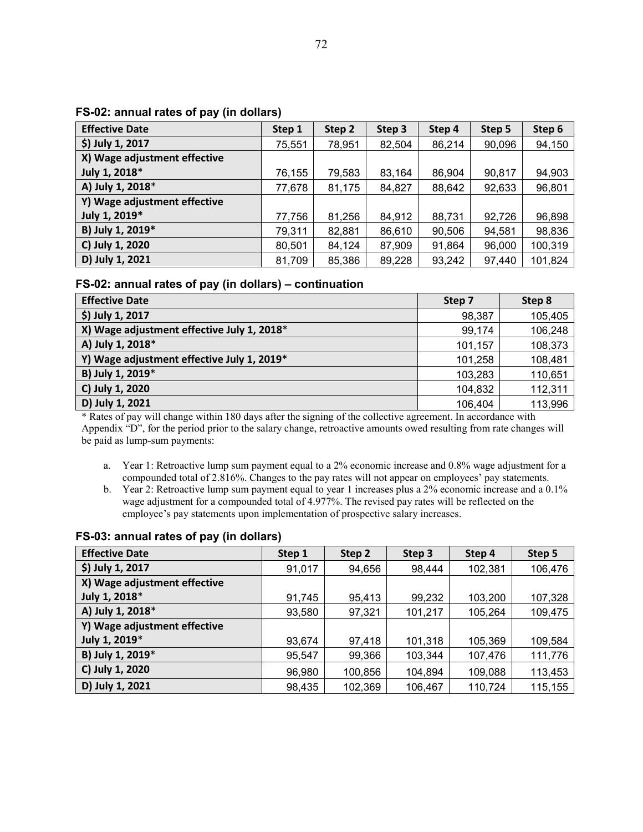| <b>Effective Date</b>        | Step 1 | Step 2 | Step 3 | Step 4 | Step 5 | Step 6  |  |
|------------------------------|--------|--------|--------|--------|--------|---------|--|
| \$) July 1, 2017             | 75,551 | 78,951 | 82,504 | 86,214 | 90,096 | 94,150  |  |
| X) Wage adjustment effective |        |        |        |        |        |         |  |
| July 1, 2018*                | 76,155 | 79,583 | 83,164 | 86,904 | 90,817 | 94,903  |  |
| A) July 1, 2018*             | 77,678 | 81,175 | 84,827 | 88,642 | 92,633 | 96,801  |  |
| Y) Wage adjustment effective |        |        |        |        |        |         |  |
| July 1, 2019*                | 77,756 | 81,256 | 84,912 | 88,731 | 92,726 | 96,898  |  |
| B) July 1, 2019*             | 79,311 | 82,881 | 86,610 | 90,506 | 94,581 | 98,836  |  |
| C) July 1, 2020              | 80,501 | 84,124 | 87,909 | 91,864 | 96,000 | 100,319 |  |
| D) July 1, 2021              | 81,709 | 85,386 | 89,228 | 93,242 | 97,440 | 101,824 |  |

#### **FS-02: annual rates of pay (in dollars)**

### **FS-02: annual rates of pay (in dollars) – continuation**

| <b>Effective Date</b>                      | Step 7  | Step 8  |
|--------------------------------------------|---------|---------|
| \$) July 1, 2017                           | 98,387  | 105,405 |
| X) Wage adjustment effective July 1, 2018* | 99,174  | 106,248 |
| A) July 1, 2018*                           | 101,157 | 108,373 |
| Y) Wage adjustment effective July 1, 2019* | 101,258 | 108,481 |
| B) July 1, 2019*                           | 103,283 | 110,651 |
| C) July 1, 2020                            | 104,832 | 112,311 |
| D) July 1, 2021                            | 106,404 | 113,996 |

\* Rates of pay will change within 180 days after the signing of the collective agreement. In accordance with Appendix "D", for the period prior to the salary change, retroactive amounts owed resulting from rate changes will be paid as lump-sum payments:

- a. Year 1: Retroactive lump sum payment equal to a 2% economic increase and 0.8% wage adjustment for a compounded total of 2.816%. Changes to the pay rates will not appear on employees' pay statements.
- b. Year 2: Retroactive lump sum payment equal to year 1 increases plus a 2% economic increase and a 0.1% wage adjustment for a compounded total of 4.977%. The revised pay rates will be reflected on the employee's pay statements upon implementation of prospective salary increases.

| <b>Effective Date</b>        | Step 1 | Step 2  | Step 3  | Step 4  | Step 5  |
|------------------------------|--------|---------|---------|---------|---------|
| \$) July 1, 2017             | 91,017 | 94,656  | 98,444  | 102,381 | 106,476 |
| X) Wage adjustment effective |        |         |         |         |         |
| July 1, 2018*                | 91,745 | 95,413  | 99,232  | 103,200 | 107,328 |
| A) July 1, 2018*             | 93,580 | 97,321  | 101,217 | 105,264 | 109,475 |
| Y) Wage adjustment effective |        |         |         |         |         |
| July 1, 2019*                | 93,674 | 97,418  | 101,318 | 105,369 | 109,584 |
| B) July 1, 2019*             | 95,547 | 99,366  | 103,344 | 107,476 | 111,776 |
| C) July 1, 2020              | 96,980 | 100,856 | 104,894 | 109,088 | 113,453 |
| D) July 1, 2021              | 98,435 | 102,369 | 106,467 | 110,724 | 115,155 |

#### **FS-03: annual rates of pay (in dollars)**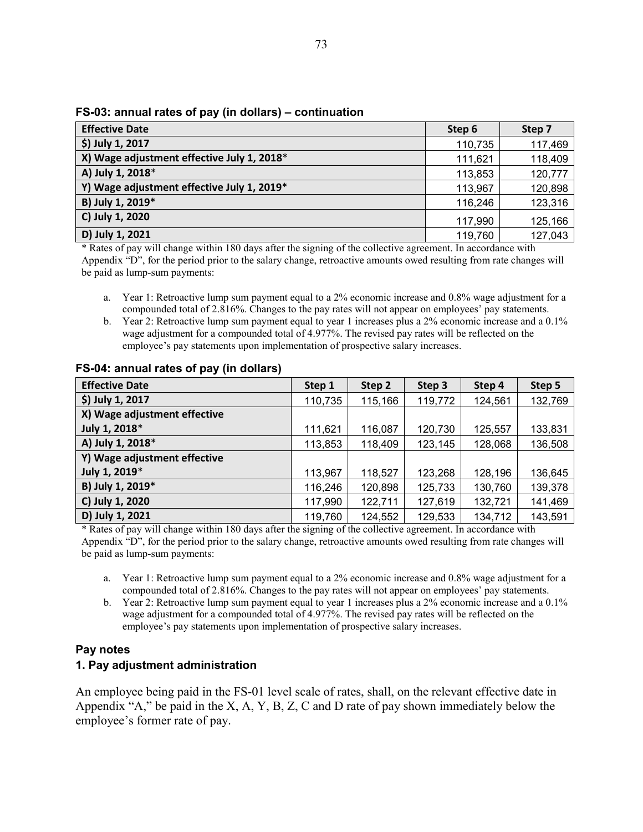#### **FS-03: annual rates of pay (in dollars) – continuation**

| <b>Effective Date</b>                      | Step 6  | Step 7  |
|--------------------------------------------|---------|---------|
| \$) July 1, 2017                           | 110,735 | 117,469 |
| X) Wage adjustment effective July 1, 2018* | 111,621 | 118,409 |
| A) July 1, 2018*                           | 113,853 | 120,777 |
| Y) Wage adjustment effective July 1, 2019* | 113,967 | 120,898 |
| B) July 1, 2019*                           | 116,246 | 123,316 |
| C) July 1, 2020                            | 117,990 | 125,166 |
| D) July 1, 2021                            | 119,760 | 127,043 |

\* Rates of pay will change within 180 days after the signing of the collective agreement. In accordance with Appendix "D", for the period prior to the salary change, retroactive amounts owed resulting from rate changes will be paid as lump-sum payments:

- a. Year 1: Retroactive lump sum payment equal to a 2% economic increase and 0.8% wage adjustment for a compounded total of 2.816%. Changes to the pay rates will not appear on employees' pay statements.
- b. Year 2: Retroactive lump sum payment equal to year 1 increases plus a 2% economic increase and a 0.1% wage adjustment for a compounded total of 4.977%. The revised pay rates will be reflected on the employee's pay statements upon implementation of prospective salary increases.

| <b>Effective Date</b>        | Step 1  | Step 2  | Step 3  | Step 4  | Step 5  |
|------------------------------|---------|---------|---------|---------|---------|
| \$) July 1, 2017             | 110,735 | 115,166 | 119,772 | 124,561 | 132,769 |
| X) Wage adjustment effective |         |         |         |         |         |
| July 1, 2018*                | 111,621 | 116,087 | 120,730 | 125,557 | 133,831 |
| A) July 1, 2018*             | 113,853 | 118,409 | 123,145 | 128,068 | 136,508 |
| Y) Wage adjustment effective |         |         |         |         |         |
| July 1, 2019*                | 113,967 | 118,527 | 123,268 | 128,196 | 136,645 |
| B) July 1, 2019*             | 116,246 | 120,898 | 125,733 | 130,760 | 139,378 |
| C) July 1, 2020              | 117,990 | 122,711 | 127,619 | 132,721 | 141,469 |
| D) July 1, 2021              | 119,760 | 124,552 | 129,533 | 134,712 | 143,591 |

#### **FS-04: annual rates of pay (in dollars)**

\* Rates of pay will change within 180 days after the signing of the collective agreement. In accordance with Appendix "D", for the period prior to the salary change, retroactive amounts owed resulting from rate changes will be paid as lump-sum payments:

- a. Year 1: Retroactive lump sum payment equal to a 2% economic increase and 0.8% wage adjustment for a compounded total of 2.816%. Changes to the pay rates will not appear on employees' pay statements.
- b. Year 2: Retroactive lump sum payment equal to year 1 increases plus a 2% economic increase and a 0.1% wage adjustment for a compounded total of 4.977%. The revised pay rates will be reflected on the employee's pay statements upon implementation of prospective salary increases.

### **Pay notes**

### **1. Pay adjustment administration**

An employee being paid in the FS-01 level scale of rates, shall, on the relevant effective date in Appendix "A," be paid in the X, A, Y, B, Z, C and D rate of pay shown immediately below the employee's former rate of pay.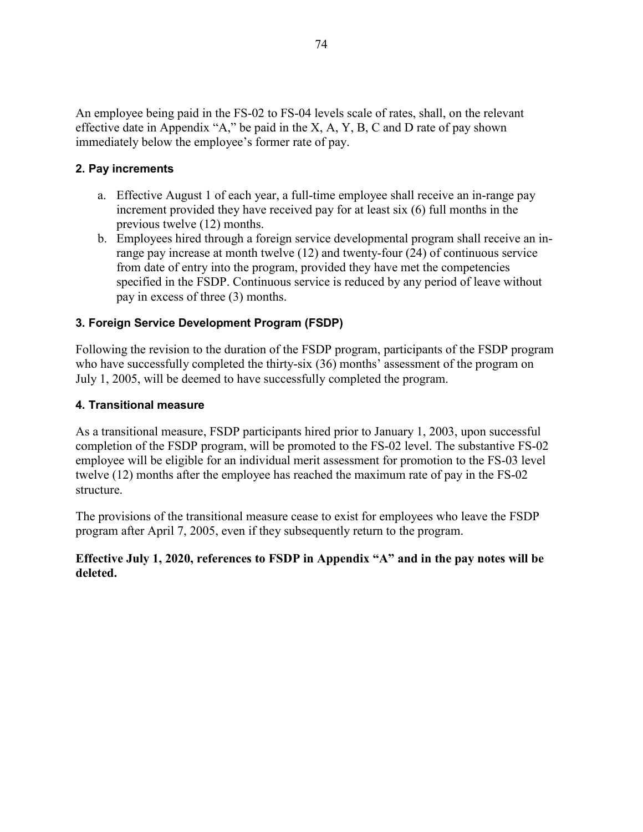An employee being paid in the FS-02 to FS-04 levels scale of rates, shall, on the relevant effective date in Appendix "A," be paid in the X, A, Y, B, C and D rate of pay shown immediately below the employee's former rate of pay.

## **2. Pay increments**

- a. Effective August 1 of each year, a full-time employee shall receive an in-range pay increment provided they have received pay for at least six (6) full months in the previous twelve (12) months.
- b. Employees hired through a foreign service developmental program shall receive an inrange pay increase at month twelve (12) and twenty-four (24) of continuous service from date of entry into the program, provided they have met the competencies specified in the FSDP. Continuous service is reduced by any period of leave without pay in excess of three (3) months.

# **3. Foreign Service Development Program (FSDP)**

Following the revision to the duration of the FSDP program, participants of the FSDP program who have successfully completed the thirty-six (36) months' assessment of the program on July 1, 2005, will be deemed to have successfully completed the program.

## **4. Transitional measure**

As a transitional measure, FSDP participants hired prior to January 1, 2003, upon successful completion of the FSDP program, will be promoted to the FS-02 level. The substantive FS-02 employee will be eligible for an individual merit assessment for promotion to the FS-03 level twelve (12) months after the employee has reached the maximum rate of pay in the FS-02 structure.

The provisions of the transitional measure cease to exist for employees who leave the FSDP program after April 7, 2005, even if they subsequently return to the program.

## **Effective July 1, 2020, references to FSDP in Appendix "A" and in the pay notes will be deleted.**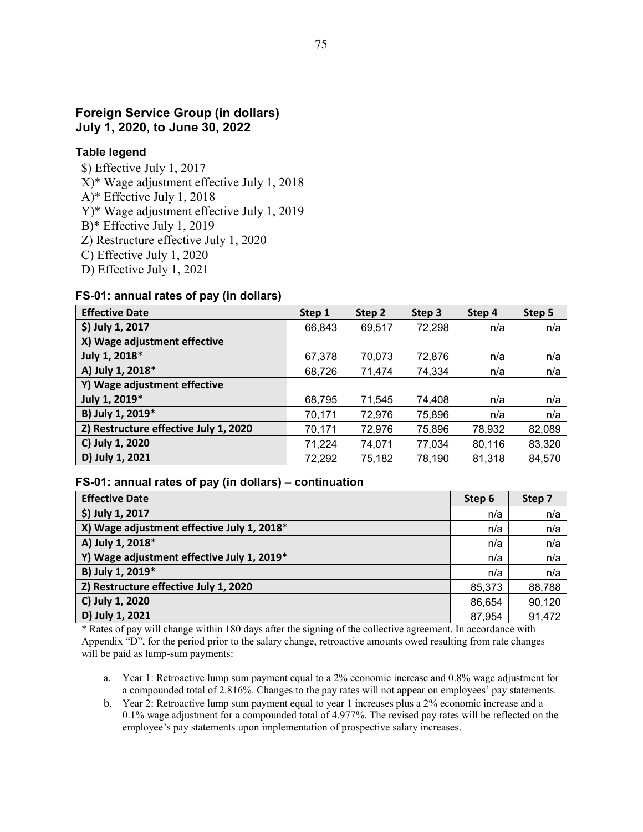# **Foreign Service Group (in dollars) July 1, 2020, to June 30, 2022**

#### **Table legend**

- \$) Effective July 1, 2017
- X)\* Wage adjustment effective July 1, 2018
- A)\* Effective July 1, 2018
- Y)\* Wage adjustment effective July 1, 2019
- B)\* Effective July 1, 2019
- Z) Restructure effective July 1, 2020
- C) Effective July 1, 2020
- D) Effective July 1, 2021

#### **FS-01: annual rates of pay (in dollars)**

| <b>Effective Date</b>                 | Step 1 | Step 2 | Step 3 | Step 4 | Step 5 |
|---------------------------------------|--------|--------|--------|--------|--------|
| \$) July 1, 2017                      | 66,843 | 69,517 | 72,298 | n/a    | n/a    |
| X) Wage adjustment effective          |        |        |        |        |        |
| July 1, 2018*                         | 67,378 | 70,073 | 72,876 | n/a    | n/a    |
| A) July 1, 2018*                      | 68,726 | 71,474 | 74,334 | n/a    | n/a    |
| Y) Wage adjustment effective          |        |        |        |        |        |
| July 1, 2019*                         | 68,795 | 71,545 | 74,408 | n/a    | n/a    |
| B) July 1, 2019*                      | 70,171 | 72,976 | 75,896 | n/a    | n/a    |
| Z) Restructure effective July 1, 2020 | 70,171 | 72,976 | 75,896 | 78,932 | 82,089 |
| C) July 1, 2020                       | 71,224 | 74,071 | 77,034 | 80,116 | 83,320 |
| D) July 1, 2021                       | 72,292 | 75,182 | 78,190 | 81,318 | 84,570 |

#### **FS-01: annual rates of pay (in dollars) – continuation**

| <b>Effective Date</b>                      | Step 6 | Step 7 |
|--------------------------------------------|--------|--------|
| \$) July 1, 2017                           | n/a    | n/a    |
| X) Wage adjustment effective July 1, 2018* | n/a    | n/a    |
| A) July 1, 2018*                           | n/a    | n/a    |
| Y) Wage adjustment effective July 1, 2019* | n/a    | n/a    |
| B) July 1, 2019*                           | n/a    | n/a    |
| Z) Restructure effective July 1, 2020      | 85,373 | 88,788 |
| C) July 1, 2020                            | 86,654 | 90,120 |
| D) July 1, 2021                            | 87,954 | 91,472 |

\* Rates of pay will change within 180 days after the signing of the collective agreement. In accordance with Appendix "D", for the period prior to the salary change, retroactive amounts owed resulting from rate changes will be paid as lump-sum payments:

- a. Year 1: Retroactive lump sum payment equal to a 2% economic increase and 0.8% wage adjustment for a compounded total of 2.816%. Changes to the pay rates will not appear on employees' pay statements.
- b. Year 2: Retroactive lump sum payment equal to year 1 increases plus a 2% economic increase and a 0.1% wage adjustment for a compounded total of 4.977%. The revised pay rates will be reflected on the employee's pay statements upon implementation of prospective salary increases.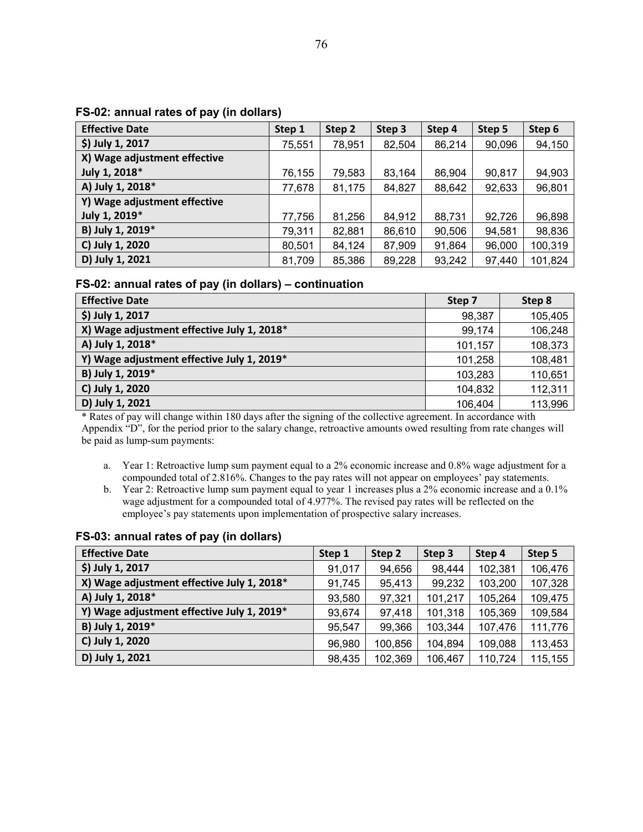#### **FS-02: annual rates of pay (in dollars)**

| <b>Effective Date</b>        | Step 1 | Step 2 | Step 3 | Step 4 | Step 5 | Step 6  |
|------------------------------|--------|--------|--------|--------|--------|---------|
| \$) July 1, 2017             | 75,551 | 78,951 | 82,504 | 86,214 | 90,096 | 94,150  |
| X) Wage adjustment effective |        |        |        |        |        |         |
| July 1, 2018*                | 76,155 | 79,583 | 83,164 | 86,904 | 90,817 | 94,903  |
| A) July 1, 2018*             | 77,678 | 81,175 | 84,827 | 88,642 | 92,633 | 96,801  |
| Y) Wage adjustment effective |        |        |        |        |        |         |
| July 1, 2019*                | 77,756 | 81,256 | 84,912 | 88,731 | 92,726 | 96,898  |
| B) July 1, 2019*             | 79,311 | 82,881 | 86,610 | 90,506 | 94,581 | 98,836  |
| C) July 1, 2020              | 80,501 | 84,124 | 87,909 | 91,864 | 96,000 | 100,319 |
| D) July 1, 2021              | 81,709 | 85,386 | 89,228 | 93,242 | 97,440 | 101,824 |

#### **FS-02: annual rates of pay (in dollars) – continuation**

| <b>Effective Date</b>                      | Step 7  | Step 8  |
|--------------------------------------------|---------|---------|
| \$) July 1, 2017                           | 98,387  | 105,405 |
| X) Wage adjustment effective July 1, 2018* | 99,174  | 106,248 |
| A) July 1, 2018*                           | 101,157 | 108,373 |
| Y) Wage adjustment effective July 1, 2019* | 101,258 | 108,481 |
| B) July 1, 2019*                           | 103,283 | 110,651 |
| C) July 1, 2020                            | 104,832 | 112,311 |
| D) July 1, 2021                            | 106,404 | 113,996 |

\* Rates of pay will change within 180 days after the signing of the collective agreement. In accordance with Appendix "D", for the period prior to the salary change, retroactive amounts owed resulting from rate changes will be paid as lump-sum payments:

- a. Year 1: Retroactive lump sum payment equal to a 2% economic increase and 0.8% wage adjustment for a compounded total of 2.816%. Changes to the pay rates will not appear on employees' pay statements.
- b. Year 2: Retroactive lump sum payment equal to year 1 increases plus a 2% economic increase and a 0.1% wage adjustment for a compounded total of 4.977%. The revised pay rates will be reflected on the employee's pay statements upon implementation of prospective salary increases.

| <b>Effective Date</b>                      | Step 1 | Step 2  | Step 3  | Step 4  | Step 5  |
|--------------------------------------------|--------|---------|---------|---------|---------|
| \$) July 1, 2017                           | 91,017 | 94,656  | 98,444  | 102,381 | 106,476 |
| X) Wage adjustment effective July 1, 2018* | 91,745 | 95,413  | 99,232  | 103,200 | 107,328 |
| A) July 1, 2018*                           | 93,580 | 97,321  | 101,217 | 105,264 | 109,475 |
| Y) Wage adjustment effective July 1, 2019* | 93,674 | 97,418  | 101,318 | 105,369 | 109,584 |
| B) July 1, 2019*                           | 95,547 | 99,366  | 103,344 | 107,476 | 111,776 |
| C) July 1, 2020                            | 96,980 | 100,856 | 104,894 | 109,088 | 113,453 |
| D) July 1, 2021                            | 98,435 | 102,369 | 106,467 | 110,724 | 115,155 |

#### **FS-03: annual rates of pay (in dollars)**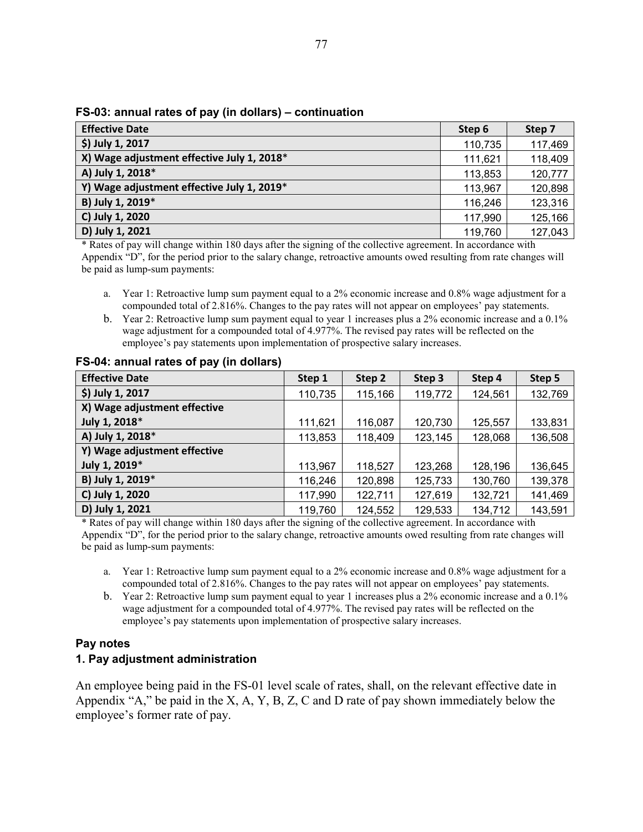| $\sim$ 00. annual ratoo of pay (in aonaro) |         |         |
|--------------------------------------------|---------|---------|
| <b>Effective Date</b>                      | Step 6  | Step 7  |
| \$) July 1, 2017                           | 110,735 | 117,469 |
| X) Wage adjustment effective July 1, 2018* | 111,621 | 118,409 |
| A) July 1, 2018*                           | 113,853 | 120,777 |
| Y) Wage adjustment effective July 1, 2019* | 113,967 | 120,898 |
| B) July 1, 2019*                           | 116,246 | 123,316 |
| C) July 1, 2020                            | 117,990 | 125,166 |
| D) July 1, 2021                            | 119,760 | 127,043 |

#### **FS-03: annual rates of pay (in dollars) – continuation**

\* Rates of pay will change within 180 days after the signing of the collective agreement. In accordance with Appendix "D", for the period prior to the salary change, retroactive amounts owed resulting from rate changes will be paid as lump-sum payments:

- a. Year 1: Retroactive lump sum payment equal to a 2% economic increase and 0.8% wage adjustment for a compounded total of 2.816%. Changes to the pay rates will not appear on employees' pay statements.
- b. Year 2: Retroactive lump sum payment equal to year 1 increases plus a 2% economic increase and a 0.1% wage adjustment for a compounded total of 4.977%. The revised pay rates will be reflected on the employee's pay statements upon implementation of prospective salary increases.

| <b>Effective Date</b>        | Step 1  | Step 2  | Step 3  | Step 4  | Step 5  |
|------------------------------|---------|---------|---------|---------|---------|
| \$) July 1, 2017             | 110,735 | 115,166 | 119,772 | 124,561 | 132,769 |
| X) Wage adjustment effective |         |         |         |         |         |
| July 1, 2018*                | 111,621 | 116,087 | 120,730 | 125,557 | 133,831 |
| A) July 1, 2018*             | 113,853 | 118,409 | 123,145 | 128,068 | 136,508 |
| Y) Wage adjustment effective |         |         |         |         |         |
| July 1, 2019*                | 113,967 | 118,527 | 123,268 | 128,196 | 136,645 |
| B) July 1, 2019*             | 116,246 | 120,898 | 125,733 | 130,760 | 139,378 |
| C) July 1, 2020              | 117,990 | 122,711 | 127,619 | 132,721 | 141,469 |
| D) July 1, 2021              | 119,760 | 124,552 | 129,533 | 134,712 | 143,591 |

#### **FS-04: annual rates of pay (in dollars)**

\* Rates of pay will change within 180 days after the signing of the collective agreement. In accordance with Appendix "D", for the period prior to the salary change, retroactive amounts owed resulting from rate changes will be paid as lump-sum payments:

- a. Year 1: Retroactive lump sum payment equal to a 2% economic increase and 0.8% wage adjustment for a compounded total of 2.816%. Changes to the pay rates will not appear on employees' pay statements.
- b. Year 2: Retroactive lump sum payment equal to year 1 increases plus a 2% economic increase and a 0.1% wage adjustment for a compounded total of 4.977%. The revised pay rates will be reflected on the employee's pay statements upon implementation of prospective salary increases.

### **Pay notes**

### **1. Pay adjustment administration**

An employee being paid in the FS-01 level scale of rates, shall, on the relevant effective date in Appendix "A," be paid in the X, A, Y, B, Z, C and D rate of pay shown immediately below the employee's former rate of pay.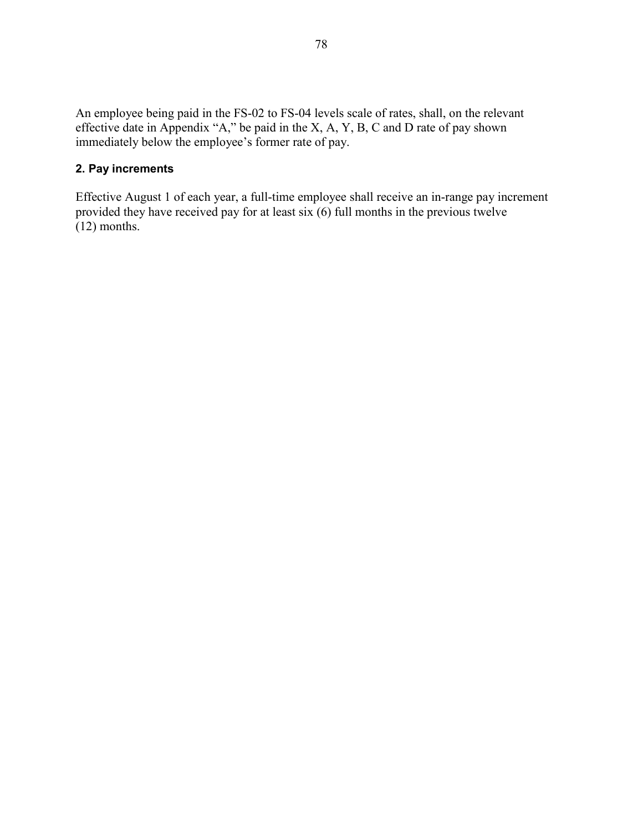An employee being paid in the FS-02 to FS-04 levels scale of rates, shall, on the relevant effective date in Appendix "A," be paid in the X, A, Y, B, C and D rate of pay shown immediately below the employee's former rate of pay.

# **2. Pay increments**

Effective August 1 of each year, a full-time employee shall receive an in-range pay increment provided they have received pay for at least  $\sin(6)$  full months in the previous twelve (12) months.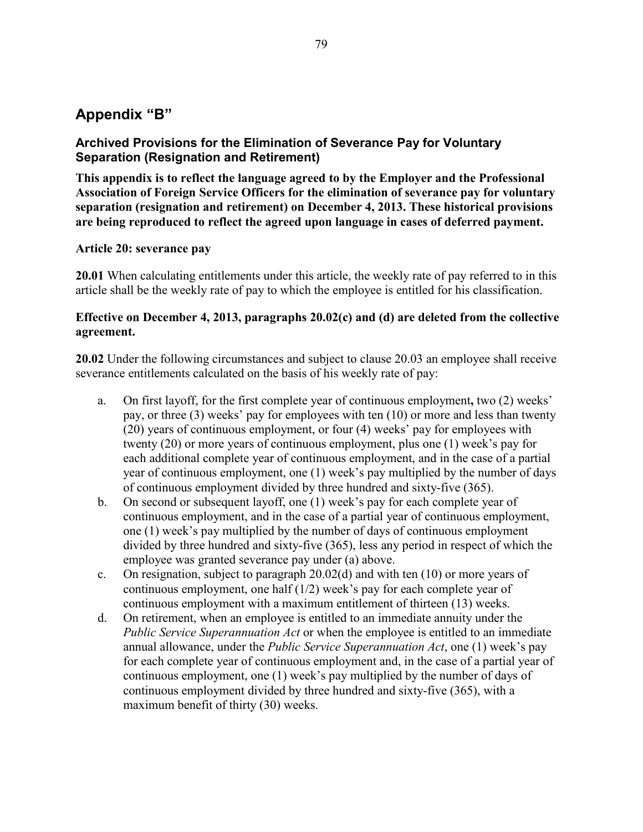# **Appendix "B"**

# **Archived Provisions for the Elimination of Severance Pay for Voluntary Separation (Resignation and Retirement)**

**This appendix is to reflect the language agreed to by the Employer and the Professional Association of Foreign Service Officers for the elimination of severance pay for voluntary separation (resignation and retirement) on December 4, 2013. These historical provisions are being reproduced to reflect the agreed upon language in cases of deferred payment.**

## **Article 20: severance pay**

**20.01** When calculating entitlements under this article, the weekly rate of pay referred to in this article shall be the weekly rate of pay to which the employee is entitled for his classification.

# **Effective on December 4, 2013, paragraphs 20.02(c) and (d) are deleted from the collective agreement.**

**20.02** Under the following circumstances and subject to clause 20.03 an employee shall receive severance entitlements calculated on the basis of his weekly rate of pay:

- a. On first layoff, for the first complete year of continuous employment**,** two (2) weeks' pay, or three (3) weeks' pay for employees with ten (10) or more and less than twenty (20) years of continuous employment, or four (4) weeks' pay for employees with twenty (20) or more years of continuous employment, plus one (1) week's pay for each additional complete year of continuous employment, and in the case of a partial year of continuous employment, one (1) week's pay multiplied by the number of days of continuous employment divided by three hundred and sixty-five (365).
- b. On second or subsequent layoff, one (1) week's pay for each complete year of continuous employment, and in the case of a partial year of continuous employment, one (1) week's pay multiplied by the number of days of continuous employment divided by three hundred and sixty-five (365), less any period in respect of which the employee was granted severance pay under (a) above.
- c. On resignation, subject to paragraph 20.02(d) and with ten (10) or more years of continuous employment, one half (1/2) week's pay for each complete year of continuous employment with a maximum entitlement of thirteen (13) weeks.
- d. On retirement, when an employee is entitled to an immediate annuity under the *Public Service Superannuation Act* or when the employee is entitled to an immediate annual allowance, under the *Public Service Superannuation Act*, one (1) week's pay for each complete year of continuous employment and, in the case of a partial year of continuous employment, one (1) week's pay multiplied by the number of days of continuous employment divided by three hundred and sixty-five (365), with a maximum benefit of thirty (30) weeks.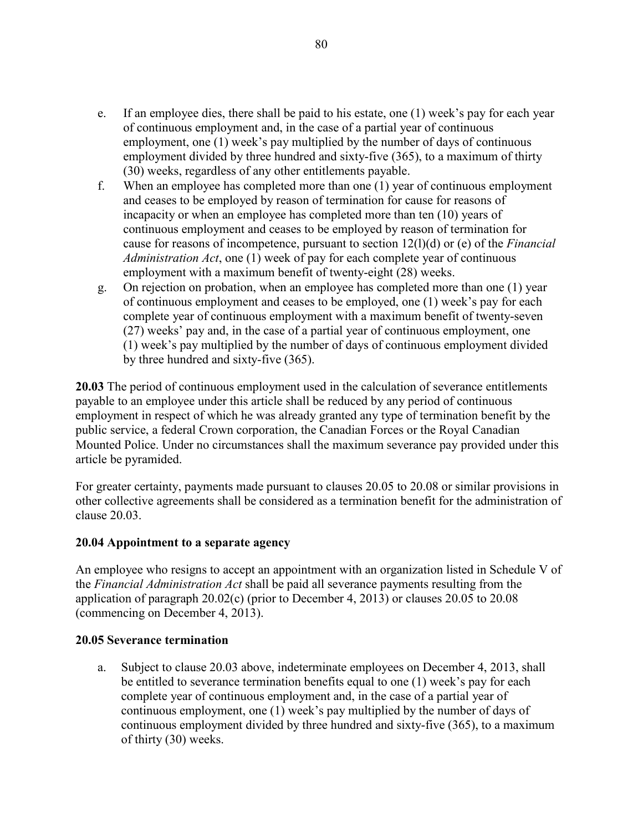- e. If an employee dies, there shall be paid to his estate, one (1) week's pay for each year of continuous employment and, in the case of a partial year of continuous employment, one (1) week's pay multiplied by the number of days of continuous employment divided by three hundred and sixty-five (365), to a maximum of thirty (30) weeks, regardless of any other entitlements payable.
- f. When an employee has completed more than one (1) year of continuous employment and ceases to be employed by reason of termination for cause for reasons of incapacity or when an employee has completed more than ten (10) years of continuous employment and ceases to be employed by reason of termination for cause for reasons of incompetence, pursuant to section 12(l)(d) or (e) of the *Financial Administration Act*, one (1) week of pay for each complete year of continuous employment with a maximum benefit of twenty-eight (28) weeks.
- g. On rejection on probation, when an employee has completed more than one (1) year of continuous employment and ceases to be employed, one (1) week's pay for each complete year of continuous employment with a maximum benefit of twenty-seven (27) weeks' pay and, in the case of a partial year of continuous employment, one (1) week's pay multiplied by the number of days of continuous employment divided by three hundred and sixty-five (365).

**20.03** The period of continuous employment used in the calculation of severance entitlements payable to an employee under this article shall be reduced by any period of continuous employment in respect of which he was already granted any type of termination benefit by the public service, a federal Crown corporation, the Canadian Forces or the Royal Canadian Mounted Police. Under no circumstances shall the maximum severance pay provided under this article be pyramided.

For greater certainty, payments made pursuant to clauses 20.05 to 20.08 or similar provisions in other collective agreements shall be considered as a termination benefit for the administration of clause 20.03.

### **20.04 Appointment to a separate agency**

An employee who resigns to accept an appointment with an organization listed in Schedule V of the *Financial Administration Act* shall be paid all severance payments resulting from the application of paragraph 20.02(c) (prior to December 4, 2013) or clauses 20.05 to 20.08 (commencing on December 4, 2013).

### **20.05 Severance termination**

a. Subject to clause 20.03 above, indeterminate employees on December 4, 2013, shall be entitled to severance termination benefits equal to one (1) week's pay for each complete year of continuous employment and, in the case of a partial year of continuous employment, one (1) week's pay multiplied by the number of days of continuous employment divided by three hundred and sixty-five (365), to a maximum of thirty (30) weeks.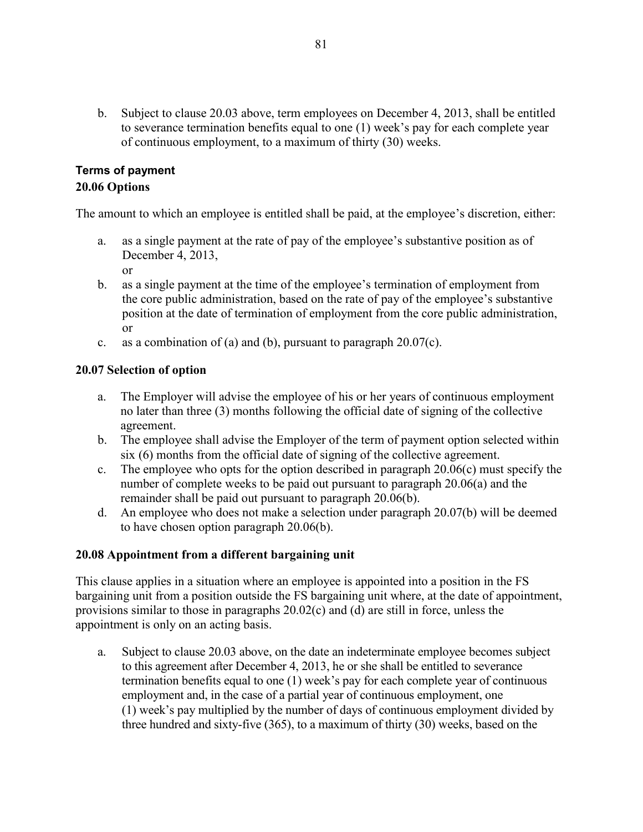b. Subject to clause 20.03 above, term employees on December 4, 2013, shall be entitled to severance termination benefits equal to one (1) week's pay for each complete year of continuous employment, to a maximum of thirty (30) weeks.

# **Terms of payment 20.06 Options**

The amount to which an employee is entitled shall be paid, at the employee's discretion, either:

- a. as a single payment at the rate of pay of the employee's substantive position as of December 4, 2013,
	- or
- b. as a single payment at the time of the employee's termination of employment from the core public administration, based on the rate of pay of the employee's substantive position at the date of termination of employment from the core public administration, or
- c. as a combination of (a) and (b), pursuant to paragraph  $20.07(c)$ .

# **20.07 Selection of option**

- a. The Employer will advise the employee of his or her years of continuous employment no later than three (3) months following the official date of signing of the collective agreement.
- b. The employee shall advise the Employer of the term of payment option selected within six (6) months from the official date of signing of the collective agreement.
- c. The employee who opts for the option described in paragraph  $20.06(c)$  must specify the number of complete weeks to be paid out pursuant to paragraph 20.06(a) and the remainder shall be paid out pursuant to paragraph 20.06(b).
- d. An employee who does not make a selection under paragraph 20.07(b) will be deemed to have chosen option paragraph 20.06(b).

# **20.08 Appointment from a different bargaining unit**

This clause applies in a situation where an employee is appointed into a position in the FS bargaining unit from a position outside the FS bargaining unit where, at the date of appointment, provisions similar to those in paragraphs 20.02(c) and (d) are still in force, unless the appointment is only on an acting basis.

a. Subject to clause 20.03 above, on the date an indeterminate employee becomes subject to this agreement after December 4, 2013, he or she shall be entitled to severance termination benefits equal to one (1) week's pay for each complete year of continuous employment and, in the case of a partial year of continuous employment, one (1) week's pay multiplied by the number of days of continuous employment divided by three hundred and sixty-five (365), to a maximum of thirty (30) weeks, based on the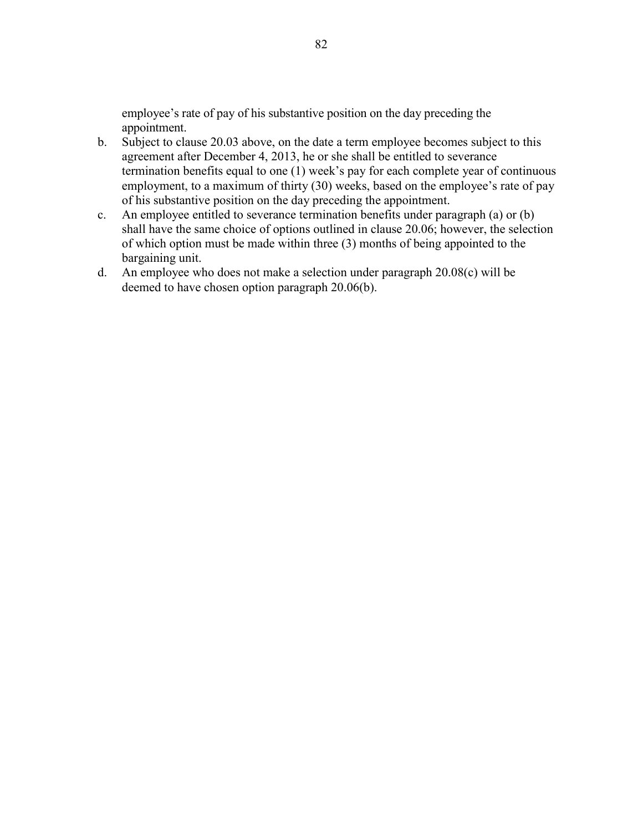employee's rate of pay of his substantive position on the day preceding the appointment.

- b. Subject to clause 20.03 above, on the date a term employee becomes subject to this agreement after December 4, 2013, he or she shall be entitled to severance termination benefits equal to one (1) week's pay for each complete year of continuous employment, to a maximum of thirty (30) weeks, based on the employee's rate of pay of his substantive position on the day preceding the appointment.
- c. An employee entitled to severance termination benefits under paragraph (a) or (b) shall have the same choice of options outlined in clause 20.06; however, the selection of which option must be made within three (3) months of being appointed to the bargaining unit.
- d. An employee who does not make a selection under paragraph 20.08(c) will be deemed to have chosen option paragraph 20.06(b).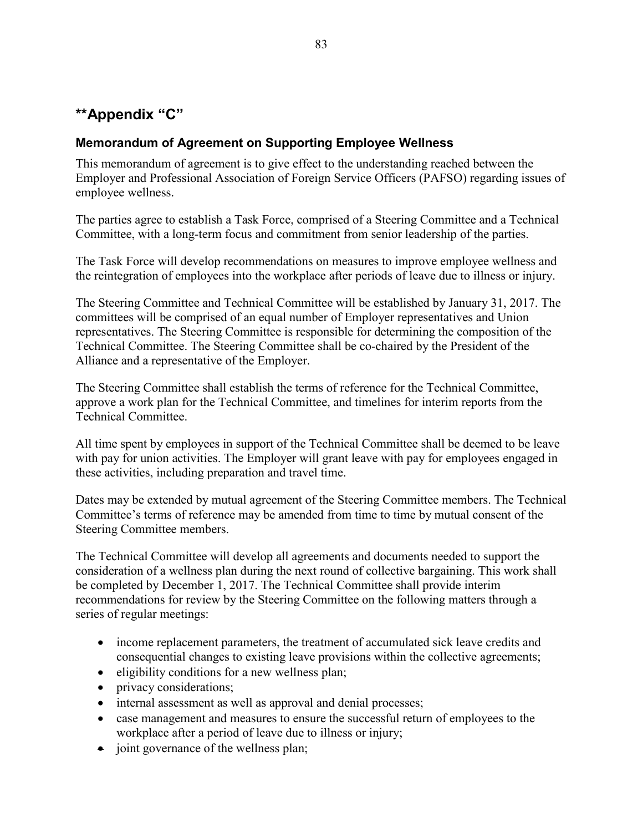# **\*\*Appendix "C"**

# **Memorandum of Agreement on Supporting Employee Wellness**

This memorandum of agreement is to give effect to the understanding reached between the Employer and Professional Association of Foreign Service Officers (PAFSO) regarding issues of employee wellness.

The parties agree to establish a Task Force, comprised of a Steering Committee and a Technical Committee, with a long-term focus and commitment from senior leadership of the parties.

The Task Force will develop recommendations on measures to improve employee wellness and the reintegration of employees into the workplace after periods of leave due to illness or injury.

The Steering Committee and Technical Committee will be established by January 31, 2017. The committees will be comprised of an equal number of Employer representatives and Union representatives. The Steering Committee is responsible for determining the composition of the Technical Committee. The Steering Committee shall be co-chaired by the President of the Alliance and a representative of the Employer.

The Steering Committee shall establish the terms of reference for the Technical Committee, approve a work plan for the Technical Committee, and timelines for interim reports from the Technical Committee.

All time spent by employees in support of the Technical Committee shall be deemed to be leave with pay for union activities. The Employer will grant leave with pay for employees engaged in these activities, including preparation and travel time.

Dates may be extended by mutual agreement of the Steering Committee members. The Technical Committee's terms of reference may be amended from time to time by mutual consent of the Steering Committee members.

The Technical Committee will develop all agreements and documents needed to support the consideration of a wellness plan during the next round of collective bargaining. This work shall be completed by December 1, 2017. The Technical Committee shall provide interim recommendations for review by the Steering Committee on the following matters through a series of regular meetings:

- income replacement parameters, the treatment of accumulated sick leave credits and consequential changes to existing leave provisions within the collective agreements;
- $\bullet$  eligibility conditions for a new wellness plan;
- privacy considerations;
- internal assessment as well as approval and denial processes;
- case management and measures to ensure the successful return of employees to the workplace after a period of leave due to illness or injury;
- joint governance of the wellness plan;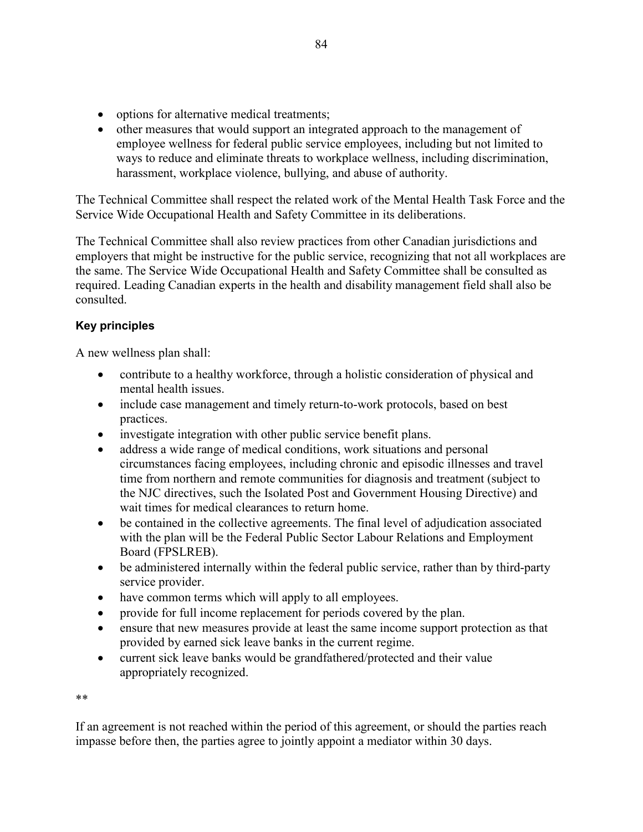- options for alternative medical treatments;
- other measures that would support an integrated approach to the management of employee wellness for federal public service employees, including but not limited to ways to reduce and eliminate threats to workplace wellness, including discrimination, harassment, workplace violence, bullying, and abuse of authority.

The Technical Committee shall respect the related work of the Mental Health Task Force and the Service Wide Occupational Health and Safety Committee in its deliberations.

The Technical Committee shall also review practices from other Canadian jurisdictions and employers that might be instructive for the public service, recognizing that not all workplaces are the same. The Service Wide Occupational Health and Safety Committee shall be consulted as required. Leading Canadian experts in the health and disability management field shall also be consulted.

# **Key principles**

A new wellness plan shall:

- contribute to a healthy workforce, through a holistic consideration of physical and mental health issues.
- include case management and timely return-to-work protocols, based on best practices.
- investigate integration with other public service benefit plans.
- address a wide range of medical conditions, work situations and personal circumstances facing employees, including chronic and episodic illnesses and travel time from northern and remote communities for diagnosis and treatment (subject to the NJC directives, such the Isolated Post and Government Housing Directive) and wait times for medical clearances to return home.
- be contained in the collective agreements. The final level of adjudication associated with the plan will be the Federal Public Sector Labour Relations and Employment Board (FPSLREB).
- be administered internally within the federal public service, rather than by third-party service provider.
- have common terms which will apply to all employees.
- provide for full income replacement for periods covered by the plan.
- ensure that new measures provide at least the same income support protection as that provided by earned sick leave banks in the current regime.
- current sick leave banks would be grandfathered/protected and their value appropriately recognized.

\*\*

If an agreement is not reached within the period of this agreement, or should the parties reach impasse before then, the parties agree to jointly appoint a mediator within 30 days.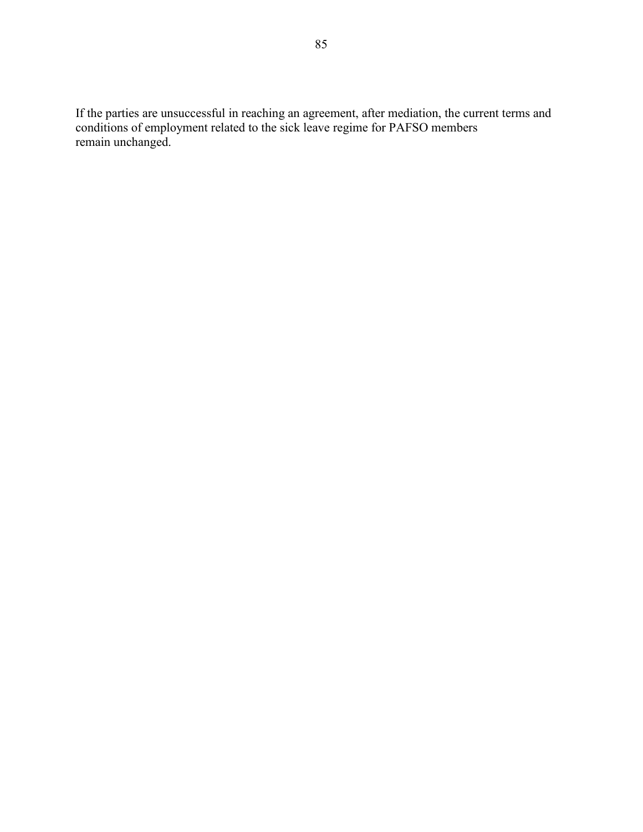If the parties are unsuccessful in reaching an agreement, after mediation, the current terms and conditions of employment related to the sick leave regime for PAFSO members remain unchanged.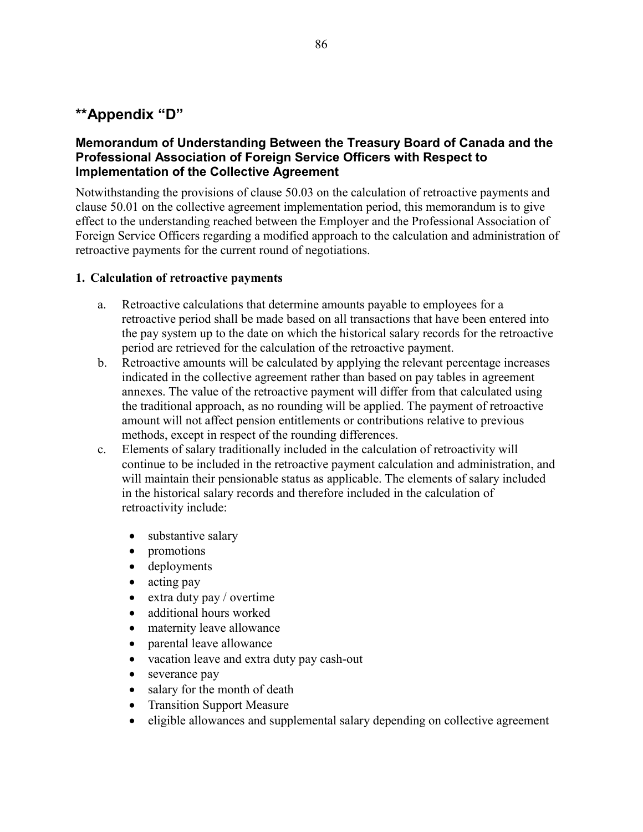# **\*\*Appendix "D"**

## **Memorandum of Understanding Between the Treasury Board of Canada and the Professional Association of Foreign Service Officers with Respect to Implementation of the Collective Agreement**

Notwithstanding the provisions of clause 50.03 on the calculation of retroactive payments and clause 50.01 on the collective agreement implementation period, this memorandum is to give effect to the understanding reached between the Employer and the Professional Association of Foreign Service Officers regarding a modified approach to the calculation and administration of retroactive payments for the current round of negotiations.

### **1. Calculation of retroactive payments**

- a. Retroactive calculations that determine amounts payable to employees for a retroactive period shall be made based on all transactions that have been entered into the pay system up to the date on which the historical salary records for the retroactive period are retrieved for the calculation of the retroactive payment.
- b. Retroactive amounts will be calculated by applying the relevant percentage increases indicated in the collective agreement rather than based on pay tables in agreement annexes. The value of the retroactive payment will differ from that calculated using the traditional approach, as no rounding will be applied. The payment of retroactive amount will not affect pension entitlements or contributions relative to previous methods, except in respect of the rounding differences.
- c. Elements of salary traditionally included in the calculation of retroactivity will continue to be included in the retroactive payment calculation and administration, and will maintain their pensionable status as applicable. The elements of salary included in the historical salary records and therefore included in the calculation of retroactivity include:
	- substantive salary
	- promotions
	- deployments
	- acting pay
	- $\bullet$  extra duty pay / overtime
	- additional hours worked
	- maternity leave allowance
	- parental leave allowance
	- vacation leave and extra duty pay cash-out
	- severance pay
	- salary for the month of death
	- Transition Support Measure
	- eligible allowances and supplemental salary depending on collective agreement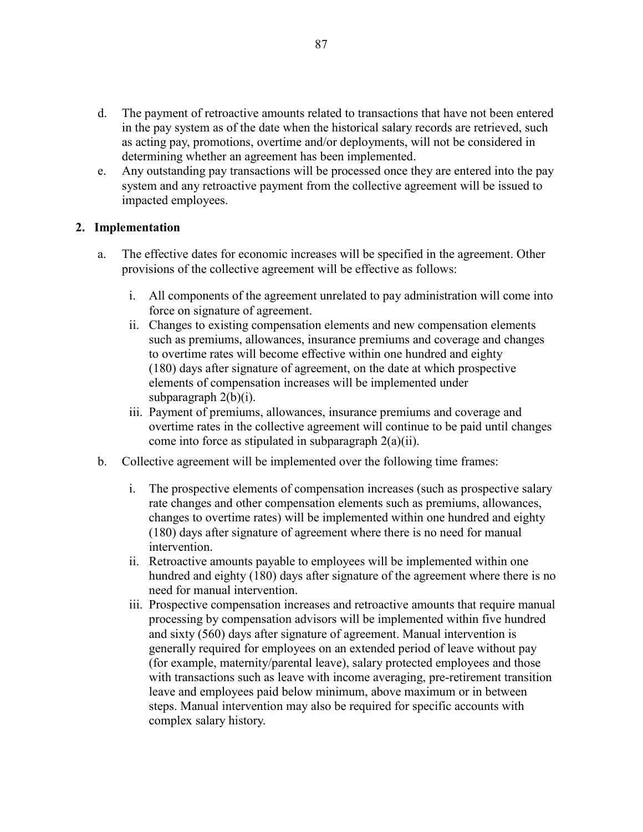- d. The payment of retroactive amounts related to transactions that have not been entered in the pay system as of the date when the historical salary records are retrieved, such as acting pay, promotions, overtime and/or deployments, will not be considered in determining whether an agreement has been implemented.
- e. Any outstanding pay transactions will be processed once they are entered into the pay system and any retroactive payment from the collective agreement will be issued to impacted employees.

## **2. Implementation**

- a. The effective dates for economic increases will be specified in the agreement. Other provisions of the collective agreement will be effective as follows:
	- i. All components of the agreement unrelated to pay administration will come into force on signature of agreement.
	- ii. Changes to existing compensation elements and new compensation elements such as premiums, allowances, insurance premiums and coverage and changes to overtime rates will become effective within one hundred and eighty (180) days after signature of agreement, on the date at which prospective elements of compensation increases will be implemented under subparagraph 2(b)(i).
	- iii. Payment of premiums, allowances, insurance premiums and coverage and overtime rates in the collective agreement will continue to be paid until changes come into force as stipulated in subparagraph 2(a)(ii).
- b. Collective agreement will be implemented over the following time frames:
	- i. The prospective elements of compensation increases (such as prospective salary rate changes and other compensation elements such as premiums, allowances, changes to overtime rates) will be implemented within one hundred and eighty (180) days after signature of agreement where there is no need for manual intervention.
	- ii. Retroactive amounts payable to employees will be implemented within one hundred and eighty (180) days after signature of the agreement where there is no need for manual intervention.
	- iii. Prospective compensation increases and retroactive amounts that require manual processing by compensation advisors will be implemented within five hundred and sixty (560) days after signature of agreement. Manual intervention is generally required for employees on an extended period of leave without pay (for example, maternity/parental leave), salary protected employees and those with transactions such as leave with income averaging, pre-retirement transition leave and employees paid below minimum, above maximum or in between steps. Manual intervention may also be required for specific accounts with complex salary history.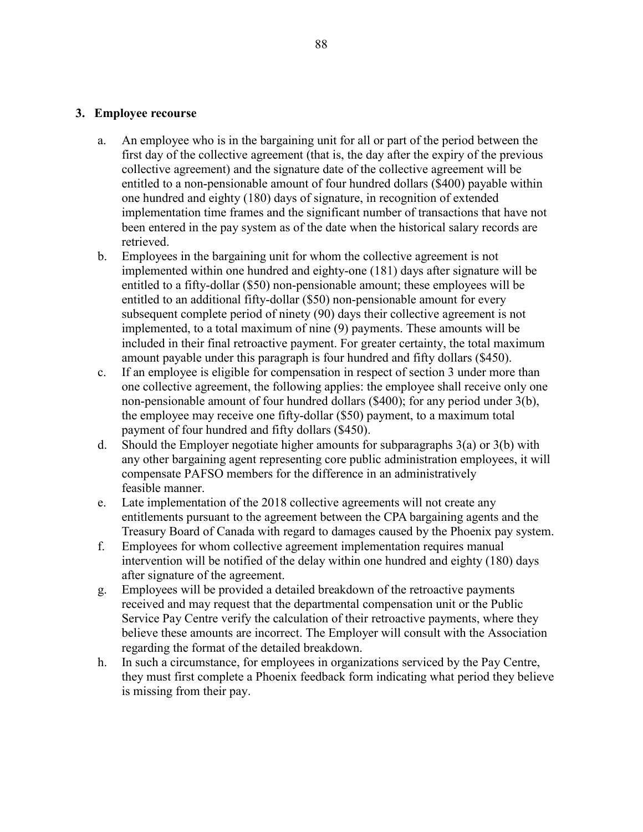#### **3. Employee recourse**

- a. An employee who is in the bargaining unit for all or part of the period between the first day of the collective agreement (that is, the day after the expiry of the previous collective agreement) and the signature date of the collective agreement will be entitled to a non-pensionable amount of four hundred dollars (\$400) payable within one hundred and eighty (180) days of signature, in recognition of extended implementation time frames and the significant number of transactions that have not been entered in the pay system as of the date when the historical salary records are retrieved.
- b. Employees in the bargaining unit for whom the collective agreement is not implemented within one hundred and eighty-one (181) days after signature will be entitled to a fifty-dollar (\$50) non-pensionable amount; these employees will be entitled to an additional fifty-dollar (\$50) non-pensionable amount for every subsequent complete period of ninety (90) days their collective agreement is not implemented, to a total maximum of nine (9) payments. These amounts will be included in their final retroactive payment. For greater certainty, the total maximum amount payable under this paragraph is four hundred and fifty dollars (\$450).
- c. If an employee is eligible for compensation in respect of section 3 under more than one collective agreement, the following applies: the employee shall receive only one non-pensionable amount of four hundred dollars (\$400); for any period under 3(b), the employee may receive one fifty-dollar (\$50) payment, to a maximum total payment of four hundred and fifty dollars (\$450).
- d. Should the Employer negotiate higher amounts for subparagraphs  $3(a)$  or  $3(b)$  with any other bargaining agent representing core public administration employees, it will compensate PAFSO members for the difference in an administratively feasible manner.
- e. Late implementation of the 2018 collective agreements will not create any entitlements pursuant to the agreement between the CPA bargaining agents and the Treasury Board of Canada with regard to damages caused by the Phoenix pay system.
- f. Employees for whom collective agreement implementation requires manual intervention will be notified of the delay within one hundred and eighty (180) days after signature of the agreement.
- g. Employees will be provided a detailed breakdown of the retroactive payments received and may request that the departmental compensation unit or the Public Service Pay Centre verify the calculation of their retroactive payments, where they believe these amounts are incorrect. The Employer will consult with the Association regarding the format of the detailed breakdown.
- h. In such a circumstance, for employees in organizations serviced by the Pay Centre, they must first complete a Phoenix feedback form indicating what period they believe is missing from their pay.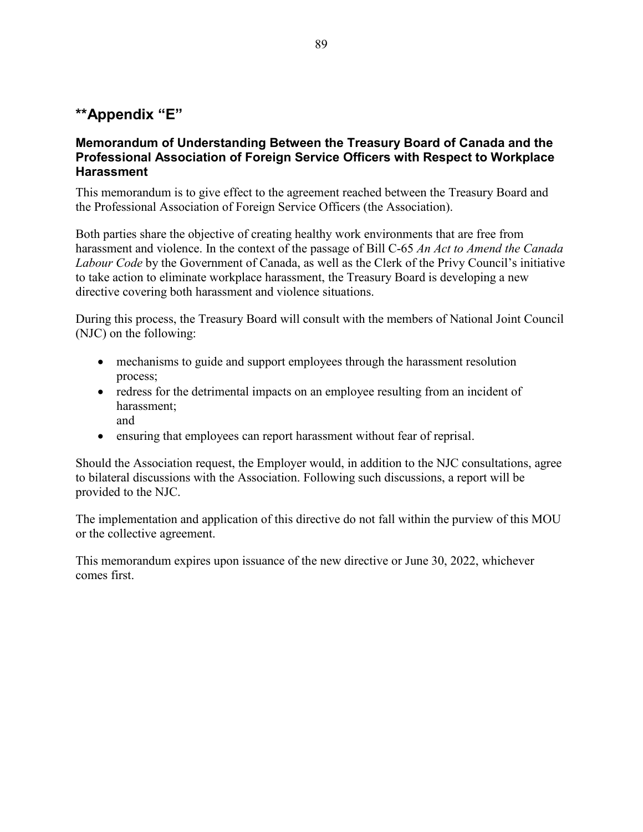# **\*\*Appendix "E"**

## **Memorandum of Understanding Between the Treasury Board of Canada and the Professional Association of Foreign Service Officers with Respect to Workplace Harassment**

This memorandum is to give effect to the agreement reached between the Treasury Board and the Professional Association of Foreign Service Officers (the Association).

Both parties share the objective of creating healthy work environments that are free from harassment and violence. In the context of the passage of Bill C-65 *An Act to Amend the Canada Labour Code* by the Government of Canada, as well as the Clerk of the Privy Council's initiative to take action to eliminate workplace harassment, the Treasury Board is developing a new directive covering both harassment and violence situations.

During this process, the Treasury Board will consult with the members of National Joint Council (NJC) on the following:

- mechanisms to guide and support employees through the harassment resolution process;
- redress for the detrimental impacts on an employee resulting from an incident of harassment; and
- ensuring that employees can report harassment without fear of reprisal.

Should the Association request, the Employer would, in addition to the NJC consultations, agree to bilateral discussions with the Association. Following such discussions, a report will be provided to the NJC.

The implementation and application of this directive do not fall within the purview of this MOU or the collective agreement.

This memorandum expires upon issuance of the new directive or June 30, 2022, whichever comes first.